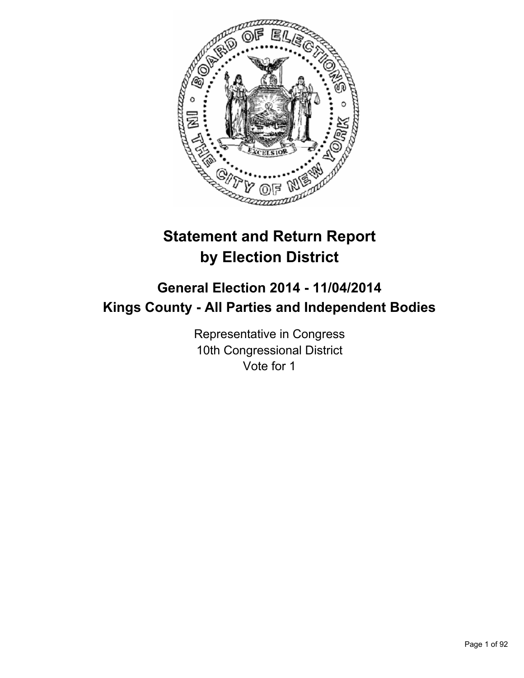

# **Statement and Return Report by Election District**

## **General Election 2014 - 11/04/2014 Kings County - All Parties and Independent Bodies**

Representative in Congress 10th Congressional District Vote for 1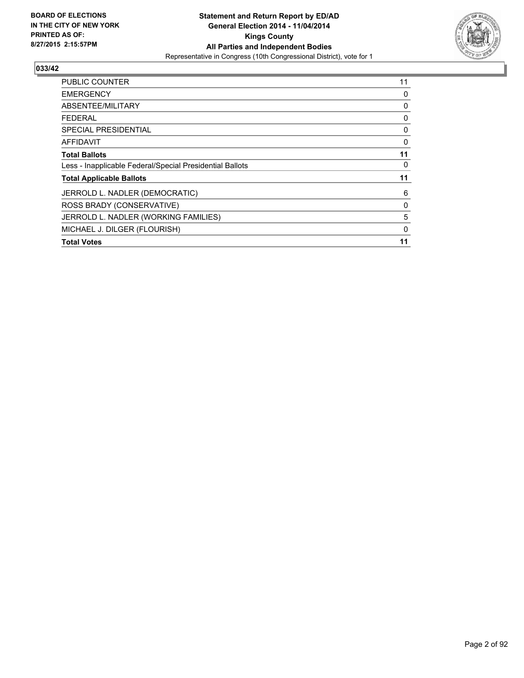

| <b>PUBLIC COUNTER</b>                                    | 11 |
|----------------------------------------------------------|----|
| <b>EMERGENCY</b>                                         | 0  |
| ABSENTEE/MILITARY                                        | 0  |
| <b>FEDERAL</b>                                           | 0  |
| SPECIAL PRESIDENTIAL                                     | 0  |
| AFFIDAVIT                                                | 0  |
| <b>Total Ballots</b>                                     | 11 |
| Less - Inapplicable Federal/Special Presidential Ballots | 0  |
| <b>Total Applicable Ballots</b>                          | 11 |
| JERROLD L. NADLER (DEMOCRATIC)                           | 6  |
| ROSS BRADY (CONSERVATIVE)                                | 0  |
| JERROLD L. NADLER (WORKING FAMILIES)                     | 5  |
| MICHAEL J. DILGER (FLOURISH)                             | 0  |
| <b>Total Votes</b>                                       | 11 |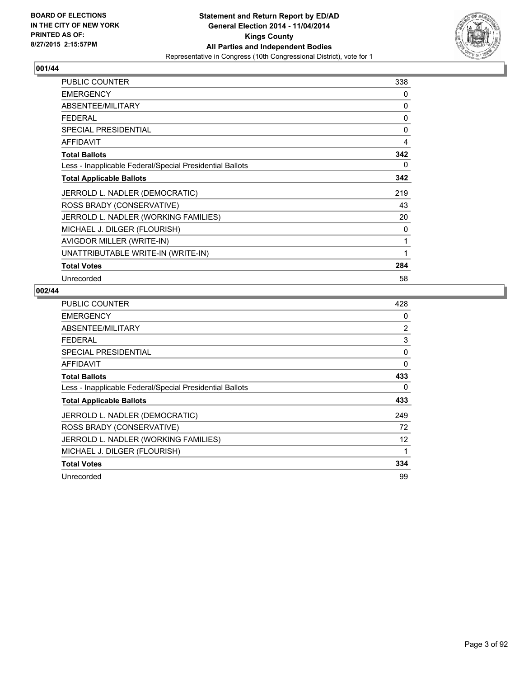

| <b>PUBLIC COUNTER</b>                                    | 338 |
|----------------------------------------------------------|-----|
| <b>EMERGENCY</b>                                         | 0   |
| ABSENTEE/MILITARY                                        | 0   |
| <b>FEDERAL</b>                                           | 0   |
| <b>SPECIAL PRESIDENTIAL</b>                              | 0   |
| <b>AFFIDAVIT</b>                                         | 4   |
| <b>Total Ballots</b>                                     | 342 |
| Less - Inapplicable Federal/Special Presidential Ballots | 0   |
| <b>Total Applicable Ballots</b>                          | 342 |
| JERROLD L. NADLER (DEMOCRATIC)                           | 219 |
| ROSS BRADY (CONSERVATIVE)                                | 43  |
| JERROLD L. NADLER (WORKING FAMILIES)                     | 20  |
| MICHAEL J. DILGER (FLOURISH)                             | 0   |
| AVIGDOR MILLER (WRITE-IN)                                | 1   |
| UNATTRIBUTABLE WRITE-IN (WRITE-IN)                       | 1   |
| <b>Total Votes</b>                                       | 284 |
| Unrecorded                                               | 58  |

| <b>PUBLIC COUNTER</b>                                    | 428            |
|----------------------------------------------------------|----------------|
| <b>EMERGENCY</b>                                         | 0              |
| ABSENTEE/MILITARY                                        | $\overline{2}$ |
| <b>FEDERAL</b>                                           | 3              |
| <b>SPECIAL PRESIDENTIAL</b>                              | 0              |
| <b>AFFIDAVIT</b>                                         | 0              |
| <b>Total Ballots</b>                                     | 433            |
| Less - Inapplicable Federal/Special Presidential Ballots | 0              |
| <b>Total Applicable Ballots</b>                          | 433            |
| JERROLD L. NADLER (DEMOCRATIC)                           | 249            |
| ROSS BRADY (CONSERVATIVE)                                | 72             |
| JERROLD L. NADLER (WORKING FAMILIES)                     | 12             |
| MICHAEL J. DILGER (FLOURISH)                             | 1              |
| <b>Total Votes</b>                                       | 334            |
| Unrecorded                                               | 99             |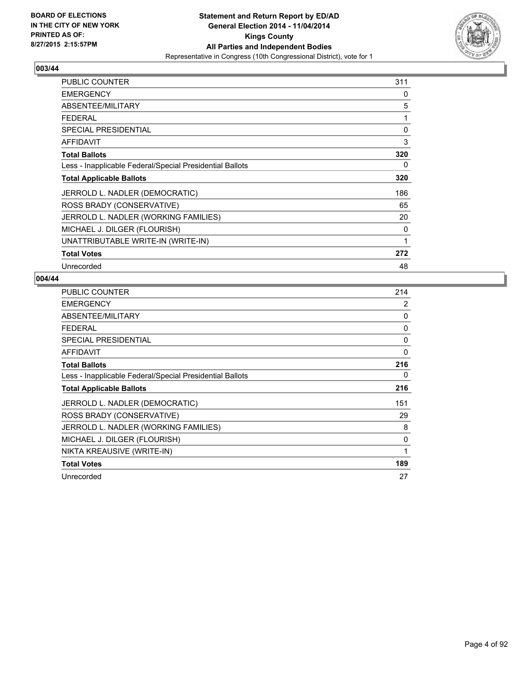

| <b>PUBLIC COUNTER</b>                                    | 311 |
|----------------------------------------------------------|-----|
| <b>EMERGENCY</b>                                         | 0   |
| ABSENTEE/MILITARY                                        | 5   |
| <b>FEDERAL</b>                                           | 1   |
| <b>SPECIAL PRESIDENTIAL</b>                              | 0   |
| AFFIDAVIT                                                | 3   |
| <b>Total Ballots</b>                                     | 320 |
| Less - Inapplicable Federal/Special Presidential Ballots | 0   |
| <b>Total Applicable Ballots</b>                          | 320 |
| JERROLD L. NADLER (DEMOCRATIC)                           | 186 |
| ROSS BRADY (CONSERVATIVE)                                | 65  |
| JERROLD L. NADLER (WORKING FAMILIES)                     | 20  |
| MICHAEL J. DILGER (FLOURISH)                             | 0   |
| UNATTRIBUTABLE WRITE-IN (WRITE-IN)                       | 1   |
| <b>Total Votes</b>                                       | 272 |
| Unrecorded                                               | 48  |

| <b>PUBLIC COUNTER</b>                                    | 214            |
|----------------------------------------------------------|----------------|
| <b>EMERGENCY</b>                                         | $\overline{2}$ |
| ABSENTEE/MILITARY                                        | 0              |
| <b>FEDERAL</b>                                           | 0              |
| <b>SPECIAL PRESIDENTIAL</b>                              | 0              |
| <b>AFFIDAVIT</b>                                         | 0              |
| <b>Total Ballots</b>                                     | 216            |
| Less - Inapplicable Federal/Special Presidential Ballots | 0              |
| <b>Total Applicable Ballots</b>                          | 216            |
| JERROLD L. NADLER (DEMOCRATIC)                           | 151            |
| ROSS BRADY (CONSERVATIVE)                                | 29             |
| JERROLD L. NADLER (WORKING FAMILIES)                     | 8              |
| MICHAEL J. DILGER (FLOURISH)                             | 0              |
| NIKTA KREAUSIVE (WRITE-IN)                               | $\mathbf{1}$   |
| <b>Total Votes</b>                                       | 189            |
| Unrecorded                                               | 27             |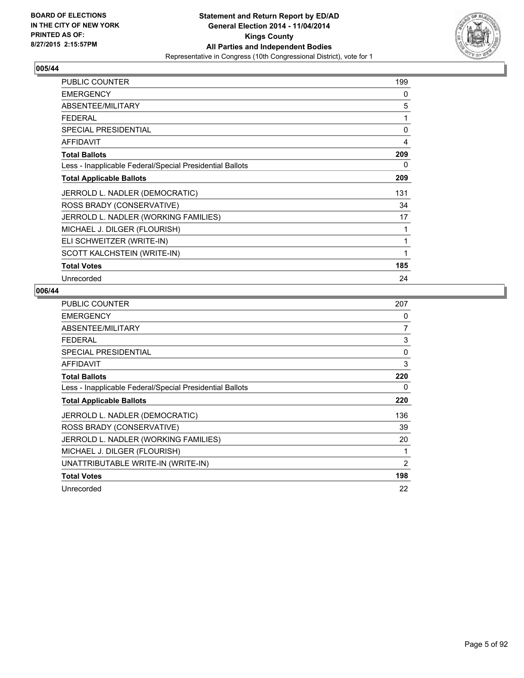

| <b>PUBLIC COUNTER</b>                                    | 199 |
|----------------------------------------------------------|-----|
| <b>EMERGENCY</b>                                         | 0   |
| ABSENTEE/MILITARY                                        | 5   |
| <b>FEDERAL</b>                                           | 1   |
| SPECIAL PRESIDENTIAL                                     | 0   |
| <b>AFFIDAVIT</b>                                         | 4   |
| <b>Total Ballots</b>                                     | 209 |
| Less - Inapplicable Federal/Special Presidential Ballots | 0   |
| <b>Total Applicable Ballots</b>                          | 209 |
| JERROLD L. NADLER (DEMOCRATIC)                           | 131 |
| ROSS BRADY (CONSERVATIVE)                                | 34  |
| JERROLD L. NADLER (WORKING FAMILIES)                     | 17  |
| MICHAEL J. DILGER (FLOURISH)                             | 1   |
| ELI SCHWEITZER (WRITE-IN)                                | 1   |
| SCOTT KALCHSTEIN (WRITE-IN)                              | 1   |
| <b>Total Votes</b>                                       | 185 |
| Unrecorded                                               | 24  |

| <b>PUBLIC COUNTER</b>                                    | 207      |
|----------------------------------------------------------|----------|
| <b>EMERGENCY</b>                                         | 0        |
| ABSENTEE/MILITARY                                        | 7        |
| <b>FEDERAL</b>                                           | 3        |
| <b>SPECIAL PRESIDENTIAL</b>                              | $\Omega$ |
| <b>AFFIDAVIT</b>                                         | 3        |
| <b>Total Ballots</b>                                     | 220      |
| Less - Inapplicable Federal/Special Presidential Ballots | 0        |
| <b>Total Applicable Ballots</b>                          | 220      |
| JERROLD L. NADLER (DEMOCRATIC)                           | 136      |
| ROSS BRADY (CONSERVATIVE)                                | 39       |
| JERROLD L. NADLER (WORKING FAMILIES)                     | 20       |
| MICHAEL J. DILGER (FLOURISH)                             | 1        |
| UNATTRIBUTABLE WRITE-IN (WRITE-IN)                       | 2        |
| <b>Total Votes</b>                                       | 198      |
| Unrecorded                                               | 22       |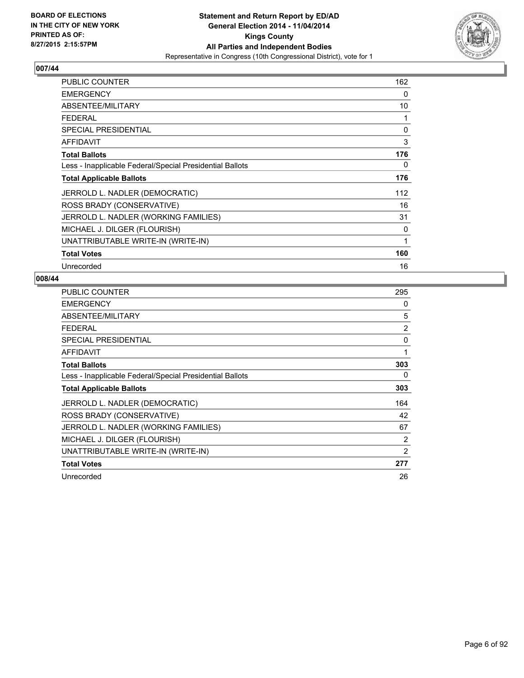

| <b>PUBLIC COUNTER</b>                                    | 162 |
|----------------------------------------------------------|-----|
| <b>EMERGENCY</b>                                         | 0   |
| ABSENTEE/MILITARY                                        | 10  |
| <b>FEDERAL</b>                                           | 1   |
| <b>SPECIAL PRESIDENTIAL</b>                              | 0   |
| <b>AFFIDAVIT</b>                                         | 3   |
| <b>Total Ballots</b>                                     | 176 |
| Less - Inapplicable Federal/Special Presidential Ballots | 0   |
| <b>Total Applicable Ballots</b>                          | 176 |
| JERROLD L. NADLER (DEMOCRATIC)                           | 112 |
| ROSS BRADY (CONSERVATIVE)                                | 16  |
| JERROLD L. NADLER (WORKING FAMILIES)                     | 31  |
| MICHAEL J. DILGER (FLOURISH)                             | 0   |
| UNATTRIBUTABLE WRITE-IN (WRITE-IN)                       | 1   |
| <b>Total Votes</b>                                       | 160 |
| Unrecorded                                               | 16  |

| <b>PUBLIC COUNTER</b>                                    | 295            |
|----------------------------------------------------------|----------------|
| <b>EMERGENCY</b>                                         | 0              |
| ABSENTEE/MILITARY                                        | 5              |
| <b>FEDERAL</b>                                           | $\overline{2}$ |
| <b>SPECIAL PRESIDENTIAL</b>                              | 0              |
| <b>AFFIDAVIT</b>                                         | 1              |
| <b>Total Ballots</b>                                     | 303            |
| Less - Inapplicable Federal/Special Presidential Ballots | 0              |
| <b>Total Applicable Ballots</b>                          | 303            |
| JERROLD L. NADLER (DEMOCRATIC)                           | 164            |
| ROSS BRADY (CONSERVATIVE)                                | 42             |
| JERROLD L. NADLER (WORKING FAMILIES)                     | 67             |
| MICHAEL J. DILGER (FLOURISH)                             | 2              |
| UNATTRIBUTABLE WRITE-IN (WRITE-IN)                       | $\overline{2}$ |
| <b>Total Votes</b>                                       | 277            |
| Unrecorded                                               | 26             |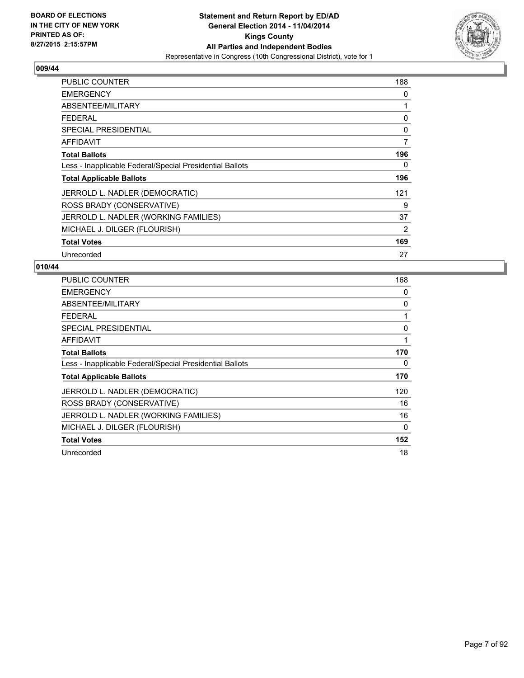

| PUBLIC COUNTER                                           | 188            |
|----------------------------------------------------------|----------------|
| <b>EMERGENCY</b>                                         | 0              |
| ABSENTEE/MILITARY                                        | 1              |
| <b>FEDERAL</b>                                           | 0              |
| <b>SPECIAL PRESIDENTIAL</b>                              | 0              |
| AFFIDAVIT                                                | $\overline{7}$ |
| <b>Total Ballots</b>                                     | 196            |
| Less - Inapplicable Federal/Special Presidential Ballots | 0              |
| <b>Total Applicable Ballots</b>                          | 196            |
| JERROLD L. NADLER (DEMOCRATIC)                           | 121            |
| ROSS BRADY (CONSERVATIVE)                                | 9              |
| JERROLD L. NADLER (WORKING FAMILIES)                     | 37             |
| MICHAEL J. DILGER (FLOURISH)                             | 2              |
| <b>Total Votes</b>                                       | 169            |
| Unrecorded                                               | 27             |

| PUBLIC COUNTER                                           | 168 |
|----------------------------------------------------------|-----|
| <b>EMERGENCY</b>                                         | 0   |
| ABSENTEE/MILITARY                                        | 0   |
| <b>FEDERAL</b>                                           | 1   |
| SPECIAL PRESIDENTIAL                                     | 0   |
| AFFIDAVIT                                                | 1   |
| <b>Total Ballots</b>                                     | 170 |
| Less - Inapplicable Federal/Special Presidential Ballots | 0   |
| <b>Total Applicable Ballots</b>                          | 170 |
| JERROLD L. NADLER (DEMOCRATIC)                           | 120 |
| ROSS BRADY (CONSERVATIVE)                                | 16  |
| JERROLD L. NADLER (WORKING FAMILIES)                     | 16  |
| MICHAEL J. DILGER (FLOURISH)                             | 0   |
| <b>Total Votes</b>                                       | 152 |
| Unrecorded                                               | 18  |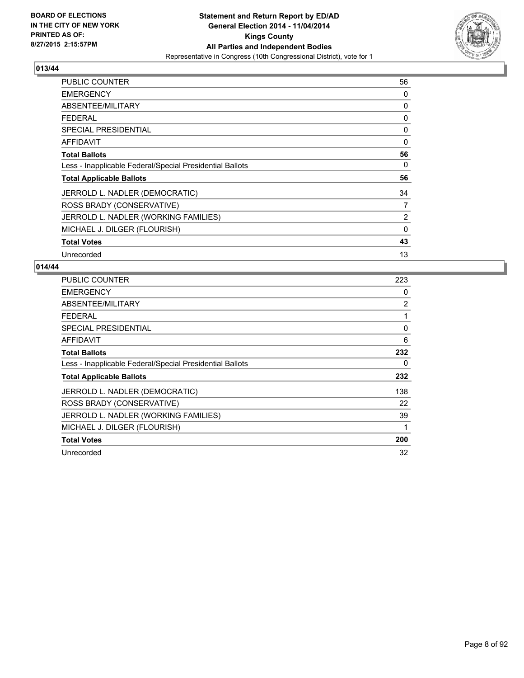

| PUBLIC COUNTER                                           | 56 |
|----------------------------------------------------------|----|
| <b>EMERGENCY</b>                                         | 0  |
| ABSENTEE/MILITARY                                        | 0  |
| <b>FEDERAL</b>                                           | 0  |
| <b>SPECIAL PRESIDENTIAL</b>                              | 0  |
| <b>AFFIDAVIT</b>                                         | 0  |
| <b>Total Ballots</b>                                     | 56 |
| Less - Inapplicable Federal/Special Presidential Ballots | 0  |
| <b>Total Applicable Ballots</b>                          | 56 |
| JERROLD L. NADLER (DEMOCRATIC)                           | 34 |
| ROSS BRADY (CONSERVATIVE)                                | 7  |
| JERROLD L. NADLER (WORKING FAMILIES)                     | 2  |
| MICHAEL J. DILGER (FLOURISH)                             | 0  |
| <b>Total Votes</b>                                       | 43 |
| Unrecorded                                               | 13 |

| <b>PUBLIC COUNTER</b>                                    | 223 |
|----------------------------------------------------------|-----|
| <b>EMERGENCY</b>                                         | 0   |
| ABSENTEE/MILITARY                                        | 2   |
| <b>FEDERAL</b>                                           | 1   |
| SPECIAL PRESIDENTIAL                                     | 0   |
| <b>AFFIDAVIT</b>                                         | 6   |
| <b>Total Ballots</b>                                     | 232 |
| Less - Inapplicable Federal/Special Presidential Ballots | 0   |
| <b>Total Applicable Ballots</b>                          | 232 |
| JERROLD L. NADLER (DEMOCRATIC)                           | 138 |
| ROSS BRADY (CONSERVATIVE)                                | 22  |
| JERROLD L. NADLER (WORKING FAMILIES)                     | 39  |
| MICHAEL J. DILGER (FLOURISH)                             | 1   |
| <b>Total Votes</b>                                       | 200 |
| Unrecorded                                               | 32  |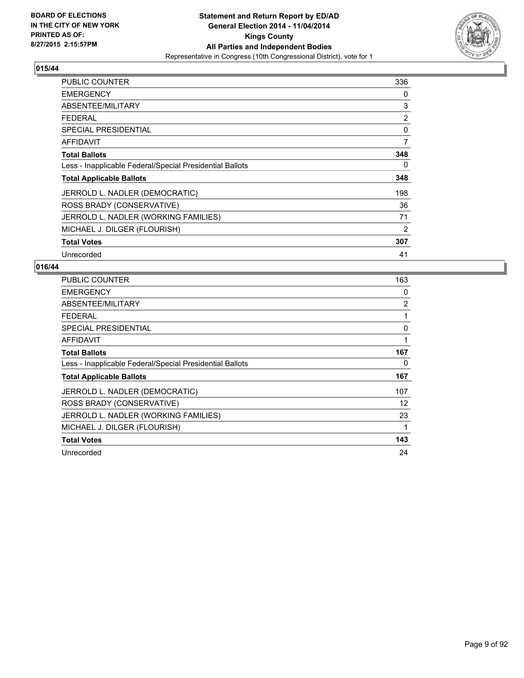

| <b>PUBLIC COUNTER</b>                                    | 336 |
|----------------------------------------------------------|-----|
| <b>EMERGENCY</b>                                         | 0   |
| ABSENTEE/MILITARY                                        | 3   |
| <b>FEDERAL</b>                                           | 2   |
| <b>SPECIAL PRESIDENTIAL</b>                              | 0   |
| AFFIDAVIT                                                | 7   |
| <b>Total Ballots</b>                                     | 348 |
| Less - Inapplicable Federal/Special Presidential Ballots | 0   |
| <b>Total Applicable Ballots</b>                          | 348 |
| JERROLD L. NADLER (DEMOCRATIC)                           | 198 |
| ROSS BRADY (CONSERVATIVE)                                | 36  |
| JERROLD L. NADLER (WORKING FAMILIES)                     | 71  |
| MICHAEL J. DILGER (FLOURISH)                             | 2   |
| <b>Total Votes</b>                                       | 307 |
| Unrecorded                                               | 41  |

| <b>PUBLIC COUNTER</b>                                    | 163 |
|----------------------------------------------------------|-----|
| <b>EMERGENCY</b>                                         | 0   |
| ABSENTEE/MILITARY                                        | 2   |
| <b>FEDERAL</b>                                           | 1   |
| <b>SPECIAL PRESIDENTIAL</b>                              | 0   |
| AFFIDAVIT                                                | 1   |
| <b>Total Ballots</b>                                     | 167 |
| Less - Inapplicable Federal/Special Presidential Ballots | 0   |
| <b>Total Applicable Ballots</b>                          | 167 |
| JERROLD L. NADLER (DEMOCRATIC)                           | 107 |
| ROSS BRADY (CONSERVATIVE)                                | 12  |
| JERROLD L. NADLER (WORKING FAMILIES)                     | 23  |
| MICHAEL J. DILGER (FLOURISH)                             | 1   |
| <b>Total Votes</b>                                       | 143 |
| Unrecorded                                               | 24  |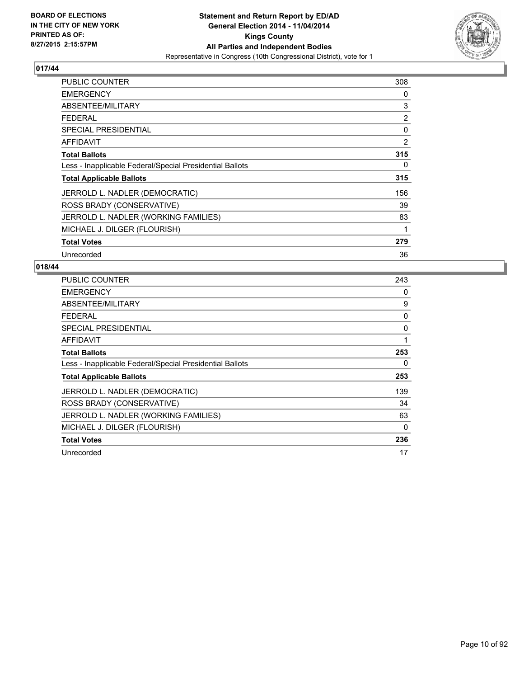

| PUBLIC COUNTER                                           | 308 |
|----------------------------------------------------------|-----|
| <b>EMERGENCY</b>                                         | 0   |
| ABSENTEE/MILITARY                                        | 3   |
| <b>FEDERAL</b>                                           | 2   |
| <b>SPECIAL PRESIDENTIAL</b>                              | 0   |
| AFFIDAVIT                                                | 2   |
| <b>Total Ballots</b>                                     | 315 |
| Less - Inapplicable Federal/Special Presidential Ballots | 0   |
| <b>Total Applicable Ballots</b>                          | 315 |
| JERROLD L. NADLER (DEMOCRATIC)                           | 156 |
| ROSS BRADY (CONSERVATIVE)                                | 39  |
| JERROLD L. NADLER (WORKING FAMILIES)                     | 83  |
| MICHAEL J. DILGER (FLOURISH)                             | 1   |
| <b>Total Votes</b>                                       | 279 |
| Unrecorded                                               | 36  |

| <b>PUBLIC COUNTER</b>                                    | 243 |
|----------------------------------------------------------|-----|
| <b>EMERGENCY</b>                                         | 0   |
| ABSENTEE/MILITARY                                        | 9   |
| <b>FEDERAL</b>                                           | 0   |
| SPECIAL PRESIDENTIAL                                     | 0   |
| <b>AFFIDAVIT</b>                                         | 1   |
| <b>Total Ballots</b>                                     | 253 |
| Less - Inapplicable Federal/Special Presidential Ballots | 0   |
| <b>Total Applicable Ballots</b>                          | 253 |
| JERROLD L. NADLER (DEMOCRATIC)                           | 139 |
| ROSS BRADY (CONSERVATIVE)                                | 34  |
| JERROLD L. NADLER (WORKING FAMILIES)                     | 63  |
| MICHAEL J. DILGER (FLOURISH)                             | 0   |
| <b>Total Votes</b>                                       | 236 |
| Unrecorded                                               | 17  |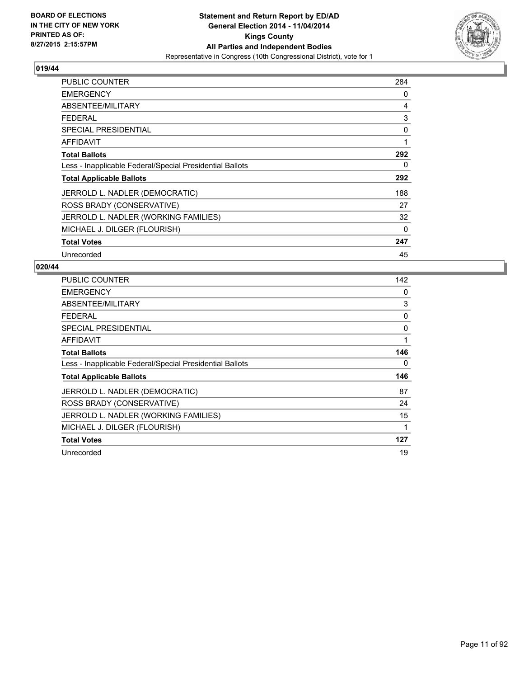

| <b>PUBLIC COUNTER</b>                                    | 284 |
|----------------------------------------------------------|-----|
| <b>EMERGENCY</b>                                         | 0   |
| ABSENTEE/MILITARY                                        | 4   |
| <b>FEDERAL</b>                                           | 3   |
| <b>SPECIAL PRESIDENTIAL</b>                              | 0   |
| AFFIDAVIT                                                | 1   |
| <b>Total Ballots</b>                                     | 292 |
| Less - Inapplicable Federal/Special Presidential Ballots | 0   |
| <b>Total Applicable Ballots</b>                          | 292 |
| JERROLD L. NADLER (DEMOCRATIC)                           | 188 |
| ROSS BRADY (CONSERVATIVE)                                | 27  |
| JERROLD L. NADLER (WORKING FAMILIES)                     | 32  |
| MICHAEL J. DILGER (FLOURISH)                             | 0   |
| <b>Total Votes</b>                                       | 247 |
| Unrecorded                                               | 45  |

| <b>PUBLIC COUNTER</b>                                    | 142 |
|----------------------------------------------------------|-----|
| <b>EMERGENCY</b>                                         | 0   |
| ABSENTEE/MILITARY                                        | 3   |
| <b>FEDERAL</b>                                           | 0   |
| <b>SPECIAL PRESIDENTIAL</b>                              | 0   |
| <b>AFFIDAVIT</b>                                         | 1   |
| <b>Total Ballots</b>                                     | 146 |
| Less - Inapplicable Federal/Special Presidential Ballots | 0   |
| <b>Total Applicable Ballots</b>                          | 146 |
| JERROLD L. NADLER (DEMOCRATIC)                           | 87  |
| ROSS BRADY (CONSERVATIVE)                                | 24  |
| JERROLD L. NADLER (WORKING FAMILIES)                     | 15  |
| MICHAEL J. DILGER (FLOURISH)                             | 1   |
| <b>Total Votes</b>                                       | 127 |
| Unrecorded                                               | 19  |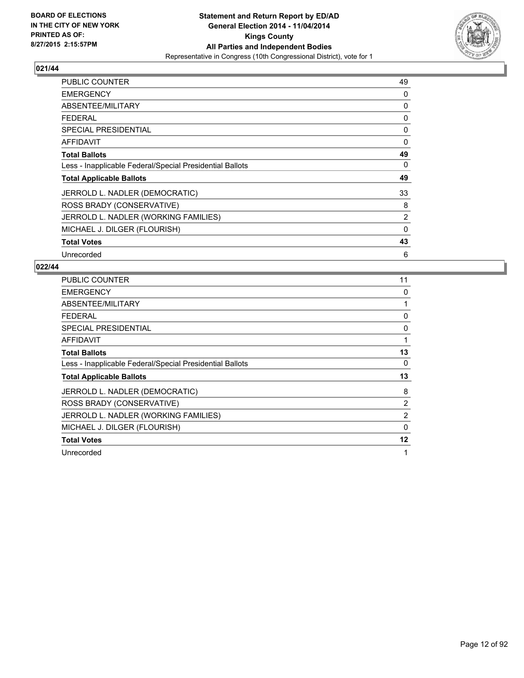

| <b>PUBLIC COUNTER</b>                                    | 49          |
|----------------------------------------------------------|-------------|
| <b>EMERGENCY</b>                                         | 0           |
| ABSENTEE/MILITARY                                        | 0           |
| <b>FEDERAL</b>                                           | 0           |
| SPECIAL PRESIDENTIAL                                     | 0           |
| AFFIDAVIT                                                | 0           |
| <b>Total Ballots</b>                                     | 49          |
| Less - Inapplicable Federal/Special Presidential Ballots | 0           |
| <b>Total Applicable Ballots</b>                          | 49          |
| JERROLD L. NADLER (DEMOCRATIC)                           | 33          |
| ROSS BRADY (CONSERVATIVE)                                | 8           |
| JERROLD L. NADLER (WORKING FAMILIES)                     | 2           |
| MICHAEL J. DILGER (FLOURISH)                             | $\mathbf 0$ |
| <b>Total Votes</b>                                       | 43          |
| Unrecorded                                               | 6           |

| <b>PUBLIC COUNTER</b>                                    | 11 |
|----------------------------------------------------------|----|
| <b>EMERGENCY</b>                                         | 0  |
| ABSENTEE/MILITARY                                        | 1  |
| <b>FEDERAL</b>                                           | 0  |
| <b>SPECIAL PRESIDENTIAL</b>                              | 0  |
| <b>AFFIDAVIT</b>                                         | 1  |
| <b>Total Ballots</b>                                     | 13 |
| Less - Inapplicable Federal/Special Presidential Ballots | 0  |
| <b>Total Applicable Ballots</b>                          | 13 |
| JERROLD L. NADLER (DEMOCRATIC)                           | 8  |
| ROSS BRADY (CONSERVATIVE)                                | 2  |
| JERROLD L. NADLER (WORKING FAMILIES)                     | 2  |
| MICHAEL J. DILGER (FLOURISH)                             | 0  |
| <b>Total Votes</b>                                       | 12 |
| Unrecorded                                               | 1  |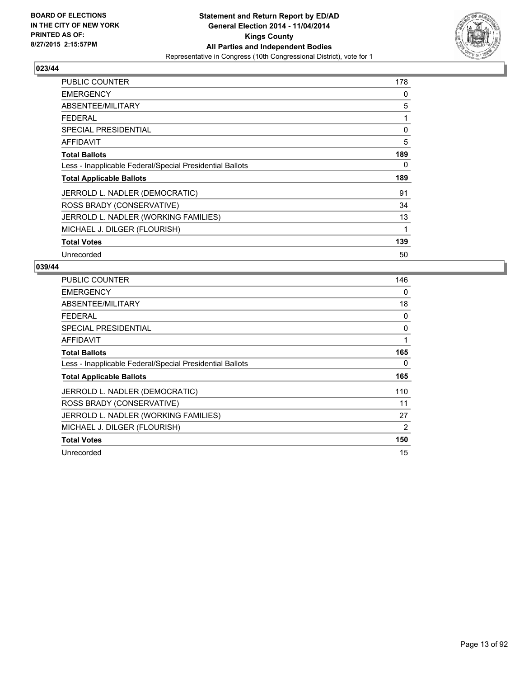

| PUBLIC COUNTER                                           | 178 |
|----------------------------------------------------------|-----|
| <b>EMERGENCY</b>                                         | 0   |
| ABSENTEE/MILITARY                                        | 5   |
| <b>FEDERAL</b>                                           | 1   |
| <b>SPECIAL PRESIDENTIAL</b>                              | 0   |
| AFFIDAVIT                                                | 5   |
| <b>Total Ballots</b>                                     | 189 |
| Less - Inapplicable Federal/Special Presidential Ballots | 0   |
| <b>Total Applicable Ballots</b>                          | 189 |
| JERROLD L. NADLER (DEMOCRATIC)                           | 91  |
| ROSS BRADY (CONSERVATIVE)                                | 34  |
| JERROLD L. NADLER (WORKING FAMILIES)                     | 13  |
| MICHAEL J. DILGER (FLOURISH)                             | 1   |
| <b>Total Votes</b>                                       | 139 |
| Unrecorded                                               | 50  |

| <b>PUBLIC COUNTER</b>                                    | 146 |
|----------------------------------------------------------|-----|
| <b>EMERGENCY</b>                                         | 0   |
| ABSENTEE/MILITARY                                        | 18  |
| <b>FEDERAL</b>                                           | 0   |
| <b>SPECIAL PRESIDENTIAL</b>                              | 0   |
| AFFIDAVIT                                                | 1   |
| <b>Total Ballots</b>                                     | 165 |
| Less - Inapplicable Federal/Special Presidential Ballots | 0   |
| <b>Total Applicable Ballots</b>                          | 165 |
| JERROLD L. NADLER (DEMOCRATIC)                           | 110 |
| ROSS BRADY (CONSERVATIVE)                                | 11  |
| JERROLD L. NADLER (WORKING FAMILIES)                     | 27  |
| MICHAEL J. DILGER (FLOURISH)                             | 2   |
| <b>Total Votes</b>                                       | 150 |
| Unrecorded                                               | 15  |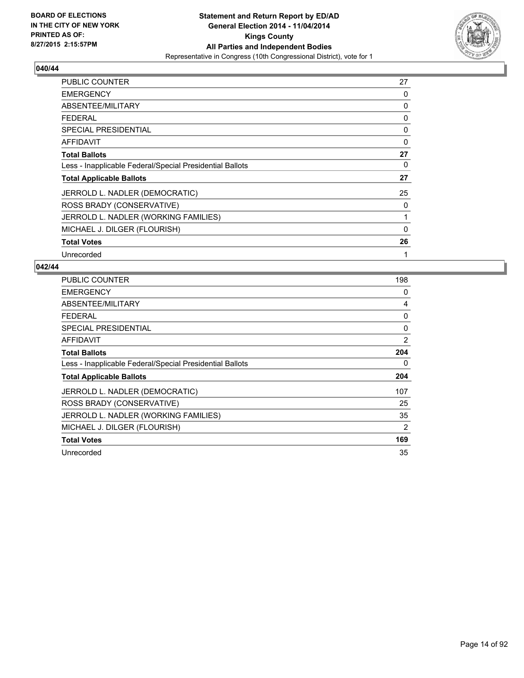

| PUBLIC COUNTER                                           | 27 |
|----------------------------------------------------------|----|
| <b>EMERGENCY</b>                                         | 0  |
| ABSENTEE/MILITARY                                        | 0  |
| <b>FEDERAL</b>                                           | 0  |
| <b>SPECIAL PRESIDENTIAL</b>                              | 0  |
| AFFIDAVIT                                                | 0  |
| <b>Total Ballots</b>                                     | 27 |
| Less - Inapplicable Federal/Special Presidential Ballots | 0  |
| <b>Total Applicable Ballots</b>                          | 27 |
| JERROLD L. NADLER (DEMOCRATIC)                           | 25 |
| ROSS BRADY (CONSERVATIVE)                                | 0  |
| JERROLD L. NADLER (WORKING FAMILIES)                     | 1  |
| MICHAEL J. DILGER (FLOURISH)                             | 0  |
| <b>Total Votes</b>                                       | 26 |
| Unrecorded                                               | 1  |

| <b>PUBLIC COUNTER</b>                                    | 198 |
|----------------------------------------------------------|-----|
| <b>EMERGENCY</b>                                         | 0   |
| ABSENTEE/MILITARY                                        | 4   |
| <b>FEDERAL</b>                                           | 0   |
| SPECIAL PRESIDENTIAL                                     | 0   |
| <b>AFFIDAVIT</b>                                         | 2   |
| <b>Total Ballots</b>                                     | 204 |
| Less - Inapplicable Federal/Special Presidential Ballots | 0   |
| <b>Total Applicable Ballots</b>                          | 204 |
| JERROLD L. NADLER (DEMOCRATIC)                           | 107 |
| ROSS BRADY (CONSERVATIVE)                                | 25  |
| JERROLD L. NADLER (WORKING FAMILIES)                     | 35  |
| MICHAEL J. DILGER (FLOURISH)                             | 2   |
| <b>Total Votes</b>                                       | 169 |
| Unrecorded                                               | 35  |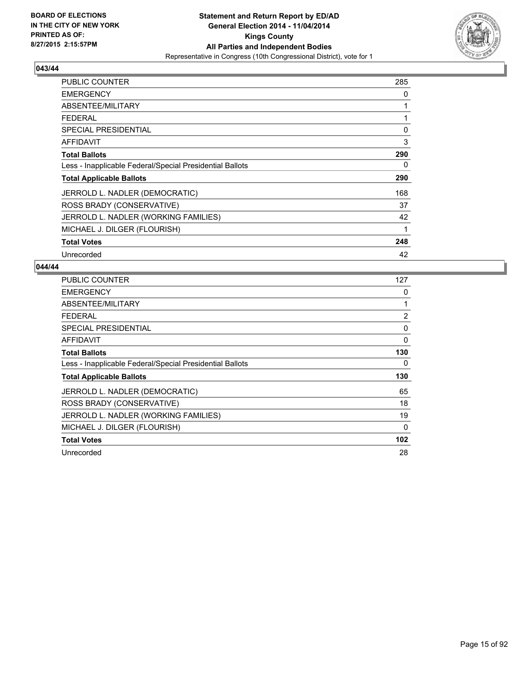

| <b>PUBLIC COUNTER</b>                                    | 285 |
|----------------------------------------------------------|-----|
| <b>EMERGENCY</b>                                         | 0   |
| ABSENTEE/MILITARY                                        | 1   |
| <b>FEDERAL</b>                                           | 1   |
| <b>SPECIAL PRESIDENTIAL</b>                              | 0   |
| AFFIDAVIT                                                | 3   |
| <b>Total Ballots</b>                                     | 290 |
| Less - Inapplicable Federal/Special Presidential Ballots | 0   |
| <b>Total Applicable Ballots</b>                          | 290 |
| JERROLD L. NADLER (DEMOCRATIC)                           | 168 |
| ROSS BRADY (CONSERVATIVE)                                | 37  |
| JERROLD L. NADLER (WORKING FAMILIES)                     | 42  |
| MICHAEL J. DILGER (FLOURISH)                             | 1   |
| <b>Total Votes</b>                                       | 248 |
| Unrecorded                                               | 42  |

| PUBLIC COUNTER                                           | 127            |
|----------------------------------------------------------|----------------|
| <b>EMERGENCY</b>                                         | 0              |
| ABSENTEE/MILITARY                                        | 1              |
| <b>FEDERAL</b>                                           | $\overline{2}$ |
| <b>SPECIAL PRESIDENTIAL</b>                              | 0              |
| AFFIDAVIT                                                | 0              |
| <b>Total Ballots</b>                                     | 130            |
| Less - Inapplicable Federal/Special Presidential Ballots | 0              |
| <b>Total Applicable Ballots</b>                          | 130            |
| JERROLD L. NADLER (DEMOCRATIC)                           | 65             |
| ROSS BRADY (CONSERVATIVE)                                | 18             |
| JERROLD L. NADLER (WORKING FAMILIES)                     | 19             |
| MICHAEL J. DILGER (FLOURISH)                             | $\Omega$       |
| <b>Total Votes</b>                                       | 102            |
| Unrecorded                                               | 28             |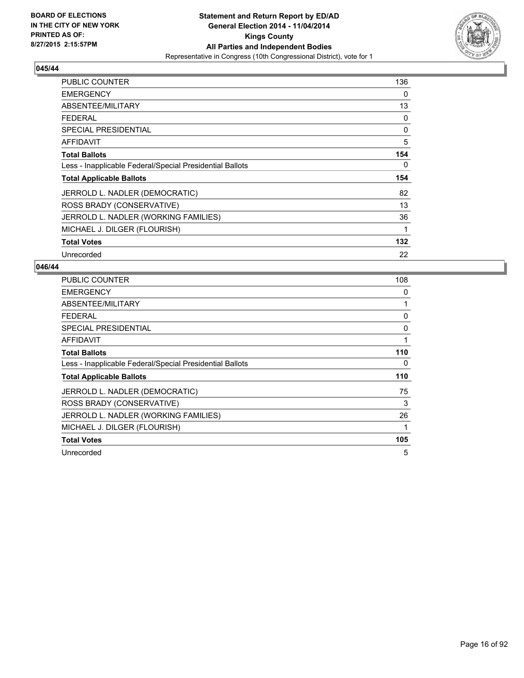

| <b>PUBLIC COUNTER</b>                                    | 136 |
|----------------------------------------------------------|-----|
| <b>EMERGENCY</b>                                         | 0   |
| ABSENTEE/MILITARY                                        | 13  |
| <b>FEDERAL</b>                                           | 0   |
| <b>SPECIAL PRESIDENTIAL</b>                              | 0   |
| <b>AFFIDAVIT</b>                                         | 5   |
| <b>Total Ballots</b>                                     | 154 |
| Less - Inapplicable Federal/Special Presidential Ballots | 0   |
| <b>Total Applicable Ballots</b>                          | 154 |
| JERROLD L. NADLER (DEMOCRATIC)                           | 82  |
| ROSS BRADY (CONSERVATIVE)                                | 13  |
| JERROLD L. NADLER (WORKING FAMILIES)                     | 36  |
| MICHAEL J. DILGER (FLOURISH)                             | 1   |
| <b>Total Votes</b>                                       | 132 |
| Unrecorded                                               | 22  |

| <b>PUBLIC COUNTER</b>                                    | 108 |
|----------------------------------------------------------|-----|
| <b>EMERGENCY</b>                                         | 0   |
| ABSENTEE/MILITARY                                        | 1   |
| <b>FEDERAL</b>                                           | 0   |
| <b>SPECIAL PRESIDENTIAL</b>                              | 0   |
| <b>AFFIDAVIT</b>                                         | 1   |
| <b>Total Ballots</b>                                     | 110 |
| Less - Inapplicable Federal/Special Presidential Ballots | 0   |
| <b>Total Applicable Ballots</b>                          | 110 |
| JERROLD L. NADLER (DEMOCRATIC)                           | 75  |
| ROSS BRADY (CONSERVATIVE)                                | 3   |
| JERROLD L. NADLER (WORKING FAMILIES)                     | 26  |
| MICHAEL J. DILGER (FLOURISH)                             | 1   |
| <b>Total Votes</b>                                       | 105 |
| Unrecorded                                               | 5   |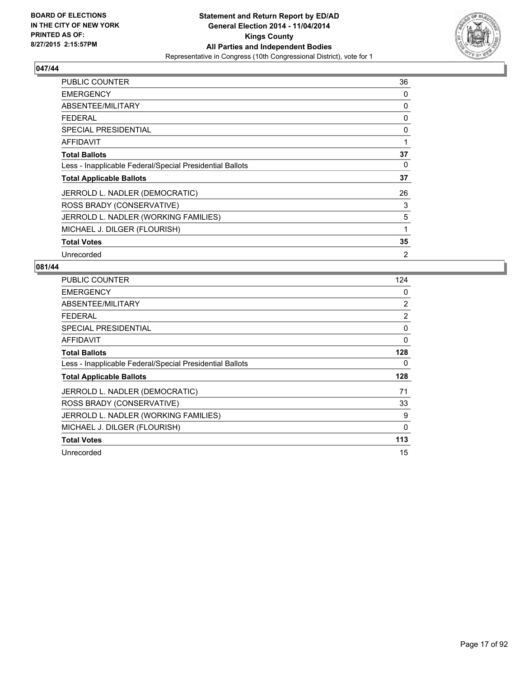

| <b>PUBLIC COUNTER</b>                                    | 36             |
|----------------------------------------------------------|----------------|
| <b>EMERGENCY</b>                                         | 0              |
| ABSENTEE/MILITARY                                        | 0              |
| <b>FEDERAL</b>                                           | 0              |
| <b>SPECIAL PRESIDENTIAL</b>                              | 0              |
| AFFIDAVIT                                                | 1              |
| <b>Total Ballots</b>                                     | 37             |
| Less - Inapplicable Federal/Special Presidential Ballots | 0              |
| <b>Total Applicable Ballots</b>                          | 37             |
| JERROLD L. NADLER (DEMOCRATIC)                           | 26             |
| ROSS BRADY (CONSERVATIVE)                                | 3              |
| JERROLD L. NADLER (WORKING FAMILIES)                     | 5              |
| MICHAEL J. DILGER (FLOURISH)                             | 1              |
| <b>Total Votes</b>                                       | 35             |
| Unrecorded                                               | $\overline{2}$ |

| <b>PUBLIC COUNTER</b>                                    | 124 |
|----------------------------------------------------------|-----|
| <b>EMERGENCY</b>                                         | 0   |
| ABSENTEE/MILITARY                                        | 2   |
| <b>FEDERAL</b>                                           | 2   |
| <b>SPECIAL PRESIDENTIAL</b>                              | 0   |
| <b>AFFIDAVIT</b>                                         | 0   |
| <b>Total Ballots</b>                                     | 128 |
| Less - Inapplicable Federal/Special Presidential Ballots | 0   |
| <b>Total Applicable Ballots</b>                          | 128 |
| JERROLD L. NADLER (DEMOCRATIC)                           | 71  |
| ROSS BRADY (CONSERVATIVE)                                | 33  |
| JERROLD L. NADLER (WORKING FAMILIES)                     | 9   |
| MICHAEL J. DILGER (FLOURISH)                             | 0   |
| <b>Total Votes</b>                                       | 113 |
| Unrecorded                                               | 15  |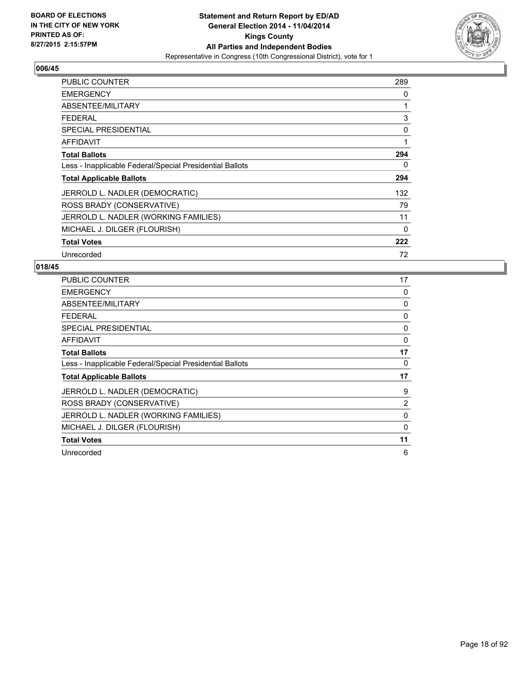

| PUBLIC COUNTER                                           | 289 |
|----------------------------------------------------------|-----|
| <b>EMERGENCY</b>                                         | 0   |
| ABSENTEE/MILITARY                                        | 1   |
| <b>FEDERAL</b>                                           | 3   |
| <b>SPECIAL PRESIDENTIAL</b>                              | 0   |
| <b>AFFIDAVIT</b>                                         | 1   |
| <b>Total Ballots</b>                                     | 294 |
| Less - Inapplicable Federal/Special Presidential Ballots | 0   |
| <b>Total Applicable Ballots</b>                          | 294 |
| JERROLD L. NADLER (DEMOCRATIC)                           | 132 |
| ROSS BRADY (CONSERVATIVE)                                | 79  |
| JERROLD L. NADLER (WORKING FAMILIES)                     | 11  |
| MICHAEL J. DILGER (FLOURISH)                             | 0   |
| <b>Total Votes</b>                                       | 222 |
| Unrecorded                                               | 72  |

| <b>PUBLIC COUNTER</b>                                    | 17 |
|----------------------------------------------------------|----|
| <b>EMERGENCY</b>                                         | 0  |
| ABSENTEE/MILITARY                                        | 0  |
| <b>FEDERAL</b>                                           | 0  |
| <b>SPECIAL PRESIDENTIAL</b>                              | 0  |
| <b>AFFIDAVIT</b>                                         | 0  |
| <b>Total Ballots</b>                                     | 17 |
| Less - Inapplicable Federal/Special Presidential Ballots | 0  |
| <b>Total Applicable Ballots</b>                          | 17 |
| JERROLD L. NADLER (DEMOCRATIC)                           | 9  |
| ROSS BRADY (CONSERVATIVE)                                | 2  |
| JERROLD L. NADLER (WORKING FAMILIES)                     | 0  |
| MICHAEL J. DILGER (FLOURISH)                             | 0  |
|                                                          |    |
| <b>Total Votes</b>                                       | 11 |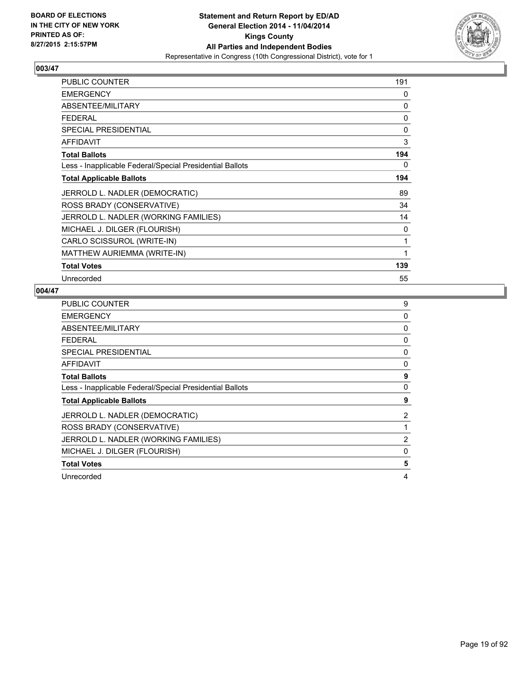

| <b>PUBLIC COUNTER</b>                                    | 191 |
|----------------------------------------------------------|-----|
| <b>EMERGENCY</b>                                         | 0   |
| ABSENTEE/MILITARY                                        | 0   |
| <b>FEDERAL</b>                                           | 0   |
| <b>SPECIAL PRESIDENTIAL</b>                              | 0   |
| <b>AFFIDAVIT</b>                                         | 3   |
| <b>Total Ballots</b>                                     | 194 |
| Less - Inapplicable Federal/Special Presidential Ballots | 0   |
| <b>Total Applicable Ballots</b>                          | 194 |
| JERROLD L. NADLER (DEMOCRATIC)                           | 89  |
| ROSS BRADY (CONSERVATIVE)                                | 34  |
| JERROLD L. NADLER (WORKING FAMILIES)                     | 14  |
| MICHAEL J. DILGER (FLOURISH)                             | 0   |
| CARLO SCISSUROL (WRITE-IN)                               | 1   |
| MATTHEW AURIEMMA (WRITE-IN)                              | 1   |
| <b>Total Votes</b>                                       | 139 |
| Unrecorded                                               | 55  |

| <b>PUBLIC COUNTER</b>                                    | 9 |
|----------------------------------------------------------|---|
| <b>EMERGENCY</b>                                         | 0 |
| ABSENTEE/MILITARY                                        | 0 |
| <b>FEDERAL</b>                                           | 0 |
| <b>SPECIAL PRESIDENTIAL</b>                              | 0 |
| <b>AFFIDAVIT</b>                                         | 0 |
| <b>Total Ballots</b>                                     | 9 |
| Less - Inapplicable Federal/Special Presidential Ballots | 0 |
| <b>Total Applicable Ballots</b>                          | 9 |
| JERROLD L. NADLER (DEMOCRATIC)                           | 2 |
| ROSS BRADY (CONSERVATIVE)                                |   |
| JERROLD L. NADLER (WORKING FAMILIES)                     | 2 |
| MICHAEL J. DILGER (FLOURISH)                             | 0 |
| <b>Total Votes</b>                                       |   |
|                                                          | 5 |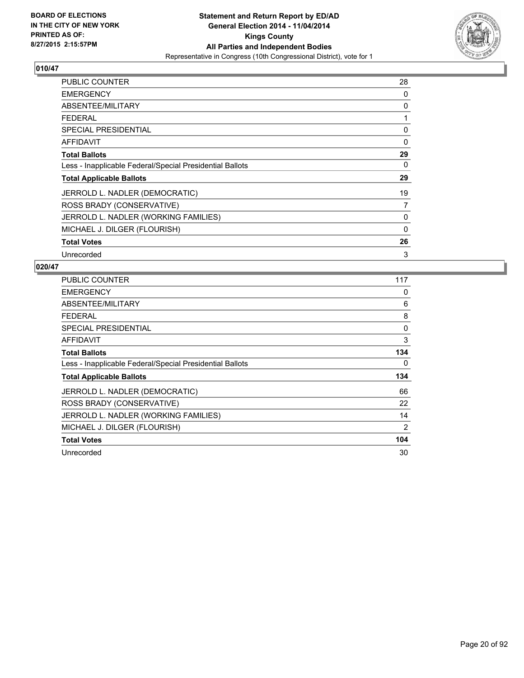

| <b>PUBLIC COUNTER</b>                                    | 28       |
|----------------------------------------------------------|----------|
| <b>EMERGENCY</b>                                         | 0        |
| ABSENTEE/MILITARY                                        | 0        |
| <b>FEDERAL</b>                                           | 1        |
| <b>SPECIAL PRESIDENTIAL</b>                              | 0        |
| AFFIDAVIT                                                | 0        |
| <b>Total Ballots</b>                                     | 29       |
| Less - Inapplicable Federal/Special Presidential Ballots | 0        |
| <b>Total Applicable Ballots</b>                          | 29       |
| JERROLD L. NADLER (DEMOCRATIC)                           | 19       |
| ROSS BRADY (CONSERVATIVE)                                | 7        |
| JERROLD L. NADLER (WORKING FAMILIES)                     | 0        |
| MICHAEL J. DILGER (FLOURISH)                             | $\Omega$ |
| <b>Total Votes</b>                                       | 26       |
| Unrecorded                                               | 3        |

| <b>PUBLIC COUNTER</b>                                    | 117 |
|----------------------------------------------------------|-----|
| <b>EMERGENCY</b>                                         | 0   |
| ABSENTEE/MILITARY                                        | 6   |
| <b>FEDERAL</b>                                           | 8   |
| <b>SPECIAL PRESIDENTIAL</b>                              | 0   |
| AFFIDAVIT                                                | 3   |
| <b>Total Ballots</b>                                     | 134 |
| Less - Inapplicable Federal/Special Presidential Ballots | 0   |
| <b>Total Applicable Ballots</b>                          | 134 |
| JERROLD L. NADLER (DEMOCRATIC)                           | 66  |
| ROSS BRADY (CONSERVATIVE)                                | 22  |
| JERROLD L. NADLER (WORKING FAMILIES)                     | 14  |
| MICHAEL J. DILGER (FLOURISH)                             | 2   |
| <b>Total Votes</b>                                       | 104 |
| Unrecorded                                               | 30  |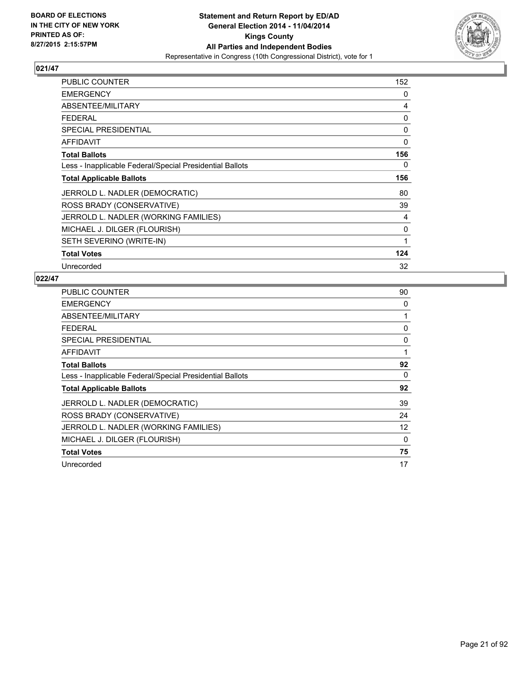

| <b>PUBLIC COUNTER</b>                                    | 152 |
|----------------------------------------------------------|-----|
| <b>EMERGENCY</b>                                         | 0   |
| ABSENTEE/MILITARY                                        | 4   |
| <b>FEDERAL</b>                                           | 0   |
| <b>SPECIAL PRESIDENTIAL</b>                              | 0   |
| AFFIDAVIT                                                | 0   |
| <b>Total Ballots</b>                                     | 156 |
| Less - Inapplicable Federal/Special Presidential Ballots | 0   |
| <b>Total Applicable Ballots</b>                          | 156 |
| JERROLD L. NADLER (DEMOCRATIC)                           | 80  |
| ROSS BRADY (CONSERVATIVE)                                | 39  |
| JERROLD L. NADLER (WORKING FAMILIES)                     | 4   |
| MICHAEL J. DILGER (FLOURISH)                             | 0   |
| SETH SEVERINO (WRITE-IN)                                 | 1   |
| <b>Total Votes</b>                                       | 124 |
| Unrecorded                                               | 32  |

| <b>PUBLIC COUNTER</b>                                    | 90 |
|----------------------------------------------------------|----|
| <b>EMERGENCY</b>                                         | 0  |
| <b>ABSENTEE/MILITARY</b>                                 | 1  |
| FEDERAL                                                  | 0  |
| <b>SPECIAL PRESIDENTIAL</b>                              | 0  |
| <b>AFFIDAVIT</b>                                         | 1  |
| <b>Total Ballots</b>                                     | 92 |
| Less - Inapplicable Federal/Special Presidential Ballots | 0  |
| <b>Total Applicable Ballots</b>                          | 92 |
| JERROLD L. NADLER (DEMOCRATIC)                           | 39 |
| ROSS BRADY (CONSERVATIVE)                                | 24 |
| JERROLD L. NADLER (WORKING FAMILIES)                     | 12 |
| MICHAEL J. DILGER (FLOURISH)                             | 0  |
| <b>Total Votes</b>                                       | 75 |
| Unrecorded                                               | 17 |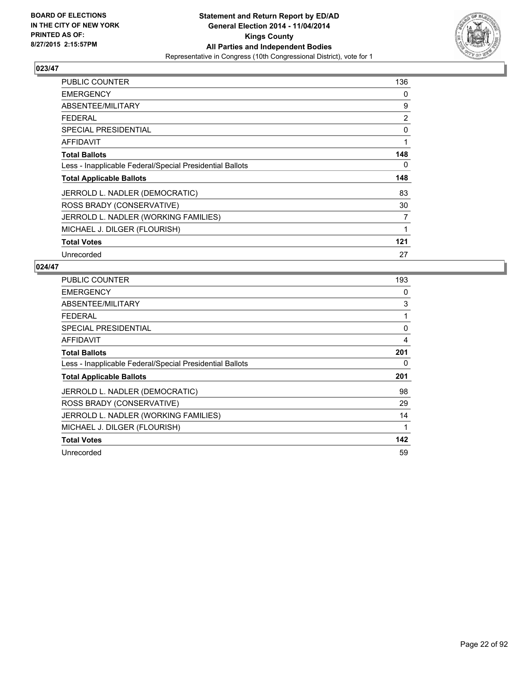

| <b>PUBLIC COUNTER</b>                                    | 136 |
|----------------------------------------------------------|-----|
| <b>EMERGENCY</b>                                         | 0   |
| ABSENTEE/MILITARY                                        | 9   |
| <b>FEDERAL</b>                                           | 2   |
| <b>SPECIAL PRESIDENTIAL</b>                              | 0   |
| AFFIDAVIT                                                | 1   |
| <b>Total Ballots</b>                                     | 148 |
| Less - Inapplicable Federal/Special Presidential Ballots | 0   |
| <b>Total Applicable Ballots</b>                          | 148 |
| JERROLD L. NADLER (DEMOCRATIC)                           | 83  |
| ROSS BRADY (CONSERVATIVE)                                | 30  |
| JERROLD L. NADLER (WORKING FAMILIES)                     | 7   |
| MICHAEL J. DILGER (FLOURISH)                             | 1   |
| <b>Total Votes</b>                                       | 121 |
| Unrecorded                                               | 27  |

| <b>PUBLIC COUNTER</b>                                    | 193 |
|----------------------------------------------------------|-----|
| <b>EMERGENCY</b>                                         | 0   |
| ABSENTEE/MILITARY                                        | 3   |
| <b>FEDERAL</b>                                           | 1   |
| <b>SPECIAL PRESIDENTIAL</b>                              | 0   |
| AFFIDAVIT                                                | 4   |
| <b>Total Ballots</b>                                     | 201 |
| Less - Inapplicable Federal/Special Presidential Ballots | 0   |
| <b>Total Applicable Ballots</b>                          | 201 |
| JERROLD L. NADLER (DEMOCRATIC)                           | 98  |
| ROSS BRADY (CONSERVATIVE)                                | 29  |
| JERROLD L. NADLER (WORKING FAMILIES)                     | 14  |
| MICHAEL J. DILGER (FLOURISH)                             | 1   |
| <b>Total Votes</b>                                       | 142 |
| Unrecorded                                               | 59  |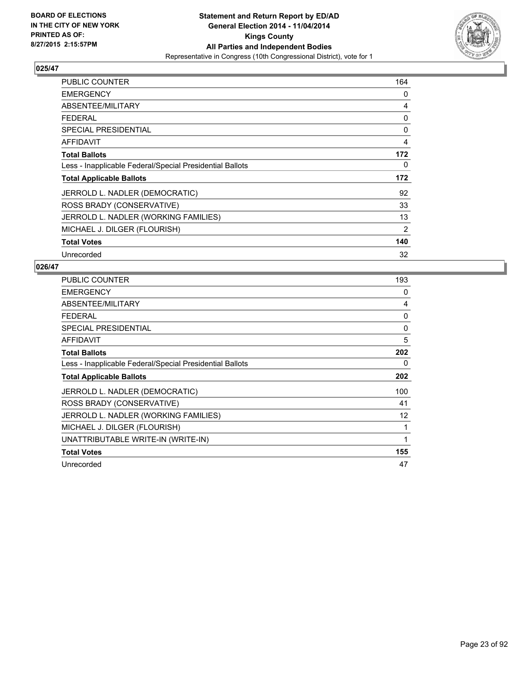

| <b>PUBLIC COUNTER</b>                                    | 164 |
|----------------------------------------------------------|-----|
| <b>EMERGENCY</b>                                         | 0   |
| ABSENTEE/MILITARY                                        | 4   |
| <b>FEDERAL</b>                                           | 0   |
| <b>SPECIAL PRESIDENTIAL</b>                              | 0   |
| <b>AFFIDAVIT</b>                                         | 4   |
| <b>Total Ballots</b>                                     | 172 |
| Less - Inapplicable Federal/Special Presidential Ballots | 0   |
| <b>Total Applicable Ballots</b>                          | 172 |
| JERROLD L. NADLER (DEMOCRATIC)                           | 92  |
| ROSS BRADY (CONSERVATIVE)                                | 33  |
| JERROLD L. NADLER (WORKING FAMILIES)                     | 13  |
| MICHAEL J. DILGER (FLOURISH)                             | 2   |
| <b>Total Votes</b>                                       | 140 |
| Unrecorded                                               | 32  |

| <b>PUBLIC COUNTER</b>                                    | 193 |
|----------------------------------------------------------|-----|
| <b>EMERGENCY</b>                                         | 0   |
| ABSENTEE/MILITARY                                        | 4   |
| <b>FEDERAL</b>                                           | 0   |
| <b>SPECIAL PRESIDENTIAL</b>                              | 0   |
| <b>AFFIDAVIT</b>                                         | 5   |
| <b>Total Ballots</b>                                     | 202 |
| Less - Inapplicable Federal/Special Presidential Ballots | 0   |
| <b>Total Applicable Ballots</b>                          | 202 |
| JERROLD L. NADLER (DEMOCRATIC)                           | 100 |
| ROSS BRADY (CONSERVATIVE)                                | 41  |
| JERROLD L. NADLER (WORKING FAMILIES)                     | 12  |
| MICHAEL J. DILGER (FLOURISH)                             | 1   |
| UNATTRIBUTABLE WRITE-IN (WRITE-IN)                       | 1   |
| <b>Total Votes</b>                                       | 155 |
| Unrecorded                                               | 47  |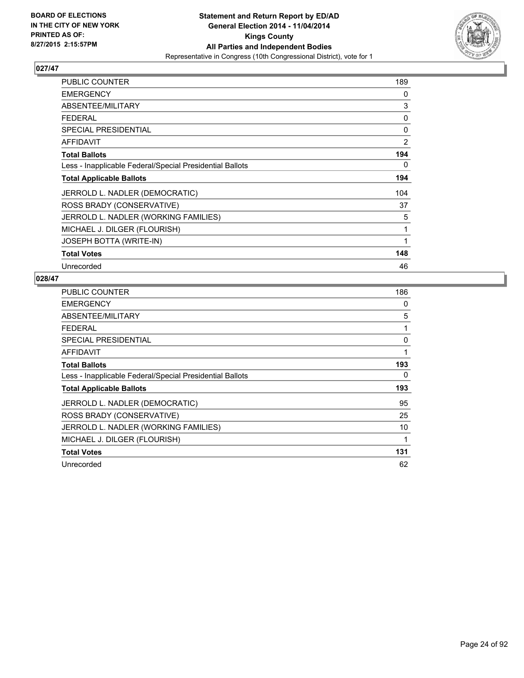

| <b>PUBLIC COUNTER</b>                                    | 189 |
|----------------------------------------------------------|-----|
| <b>EMERGENCY</b>                                         | 0   |
| ABSENTEE/MILITARY                                        | 3   |
| <b>FEDERAL</b>                                           | 0   |
| <b>SPECIAL PRESIDENTIAL</b>                              | 0   |
| <b>AFFIDAVIT</b>                                         | 2   |
| <b>Total Ballots</b>                                     | 194 |
| Less - Inapplicable Federal/Special Presidential Ballots | 0   |
| <b>Total Applicable Ballots</b>                          | 194 |
| JERROLD L. NADLER (DEMOCRATIC)                           | 104 |
| ROSS BRADY (CONSERVATIVE)                                | 37  |
| JERROLD L. NADLER (WORKING FAMILIES)                     | 5   |
| MICHAEL J. DILGER (FLOURISH)                             | 1   |
| JOSEPH BOTTA (WRITE-IN)                                  | 1   |
| <b>Total Votes</b>                                       | 148 |
| Unrecorded                                               | 46  |

| <b>PUBLIC COUNTER</b>                                    | 186 |
|----------------------------------------------------------|-----|
| <b>EMERGENCY</b>                                         | 0   |
| ABSENTEE/MILITARY                                        | 5   |
| <b>FEDERAL</b>                                           | 1   |
| <b>SPECIAL PRESIDENTIAL</b>                              | 0   |
| <b>AFFIDAVIT</b>                                         | 1   |
| <b>Total Ballots</b>                                     | 193 |
| Less - Inapplicable Federal/Special Presidential Ballots | 0   |
| <b>Total Applicable Ballots</b>                          | 193 |
| JERROLD L. NADLER (DEMOCRATIC)                           | 95  |
| ROSS BRADY (CONSERVATIVE)                                | 25  |
| JERROLD L. NADLER (WORKING FAMILIES)                     | 10  |
| MICHAEL J. DILGER (FLOURISH)                             | 1   |
| <b>Total Votes</b>                                       | 131 |
| Unrecorded                                               | 62  |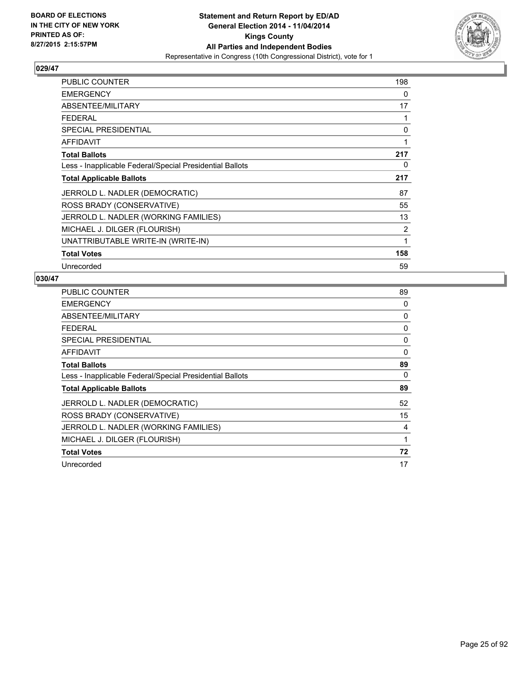

| PUBLIC COUNTER                                           | 198 |
|----------------------------------------------------------|-----|
| <b>EMERGENCY</b>                                         | 0   |
| ABSENTEE/MILITARY                                        | 17  |
| <b>FEDERAL</b>                                           | 1   |
| <b>SPECIAL PRESIDENTIAL</b>                              | 0   |
| AFFIDAVIT                                                | 1   |
| <b>Total Ballots</b>                                     | 217 |
| Less - Inapplicable Federal/Special Presidential Ballots | 0   |
| <b>Total Applicable Ballots</b>                          | 217 |
| JERROLD L. NADLER (DEMOCRATIC)                           | 87  |
| ROSS BRADY (CONSERVATIVE)                                | 55  |
| JERROLD L. NADLER (WORKING FAMILIES)                     | 13  |
| MICHAEL J. DILGER (FLOURISH)                             | 2   |
| UNATTRIBUTABLE WRITE-IN (WRITE-IN)                       | 1   |
| <b>Total Votes</b>                                       | 158 |
| Unrecorded                                               | 59  |

| PUBLIC COUNTER                                           | 89       |
|----------------------------------------------------------|----------|
| <b>EMERGENCY</b>                                         | 0        |
| ABSENTEE/MILITARY                                        | 0        |
| <b>FEDERAL</b>                                           | 0        |
| <b>SPECIAL PRESIDENTIAL</b>                              | 0        |
| <b>AFFIDAVIT</b>                                         | $\Omega$ |
| <b>Total Ballots</b>                                     | 89       |
| Less - Inapplicable Federal/Special Presidential Ballots | 0        |
| <b>Total Applicable Ballots</b>                          | 89       |
| JERROLD L. NADLER (DEMOCRATIC)                           | 52       |
| ROSS BRADY (CONSERVATIVE)                                | 15       |
| JERROLD L. NADLER (WORKING FAMILIES)                     | 4        |
| MICHAEL J. DILGER (FLOURISH)                             | 1        |
| <b>Total Votes</b>                                       | 72       |
| Unrecorded                                               | 17       |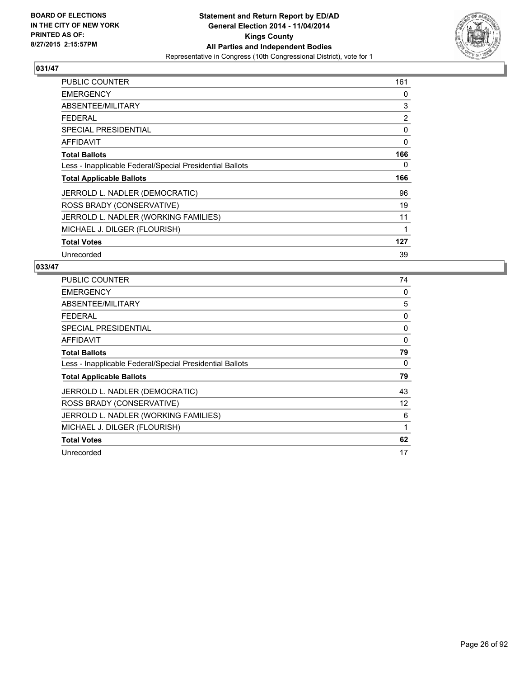

| <b>PUBLIC COUNTER</b>                                    | 161 |
|----------------------------------------------------------|-----|
| <b>EMERGENCY</b>                                         | 0   |
| ABSENTEE/MILITARY                                        | 3   |
| <b>FEDERAL</b>                                           | 2   |
| <b>SPECIAL PRESIDENTIAL</b>                              | 0   |
| AFFIDAVIT                                                | 0   |
| <b>Total Ballots</b>                                     | 166 |
| Less - Inapplicable Federal/Special Presidential Ballots | 0   |
| <b>Total Applicable Ballots</b>                          | 166 |
| JERROLD L. NADLER (DEMOCRATIC)                           | 96  |
| ROSS BRADY (CONSERVATIVE)                                | 19  |
| JERROLD L. NADLER (WORKING FAMILIES)                     | 11  |
| MICHAEL J. DILGER (FLOURISH)                             | 1   |
| <b>Total Votes</b>                                       | 127 |
| Unrecorded                                               | 39  |

| <b>PUBLIC COUNTER</b>                                    | 74 |
|----------------------------------------------------------|----|
| <b>EMERGENCY</b>                                         | 0  |
| ABSENTEE/MILITARY                                        | 5  |
| <b>FEDERAL</b>                                           | 0  |
| <b>SPECIAL PRESIDENTIAL</b>                              | 0  |
| <b>AFFIDAVIT</b>                                         | 0  |
| <b>Total Ballots</b>                                     | 79 |
| Less - Inapplicable Federal/Special Presidential Ballots | 0  |
| <b>Total Applicable Ballots</b>                          | 79 |
| JERROLD L. NADLER (DEMOCRATIC)                           | 43 |
| ROSS BRADY (CONSERVATIVE)                                | 12 |
| JERROLD L. NADLER (WORKING FAMILIES)                     | 6  |
| MICHAEL J. DILGER (FLOURISH)                             | 1  |
| <b>Total Votes</b>                                       | 62 |
| Unrecorded                                               | 17 |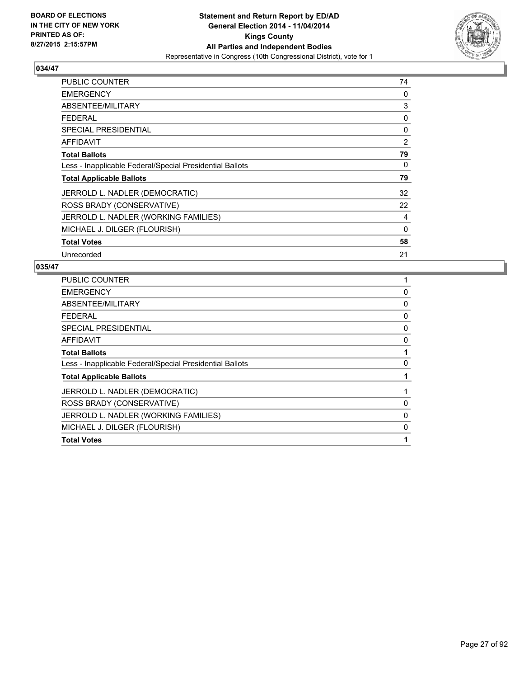

| <b>PUBLIC COUNTER</b>                                    | 74 |
|----------------------------------------------------------|----|
| <b>EMERGENCY</b>                                         | 0  |
| ABSENTEE/MILITARY                                        | 3  |
| <b>FEDERAL</b>                                           | 0  |
| <b>SPECIAL PRESIDENTIAL</b>                              | 0  |
| AFFIDAVIT                                                | 2  |
| <b>Total Ballots</b>                                     | 79 |
| Less - Inapplicable Federal/Special Presidential Ballots | 0  |
| <b>Total Applicable Ballots</b>                          | 79 |
| JERROLD L. NADLER (DEMOCRATIC)                           | 32 |
| ROSS BRADY (CONSERVATIVE)                                | 22 |
| JERROLD L. NADLER (WORKING FAMILIES)                     | 4  |
| MICHAEL J. DILGER (FLOURISH)                             | 0  |
| <b>Total Votes</b>                                       | 58 |
| Unrecorded                                               | 21 |

| <b>PUBLIC COUNTER</b>                                    |             |
|----------------------------------------------------------|-------------|
| <b>EMERGENCY</b>                                         | 0           |
| ABSENTEE/MILITARY                                        | 0           |
| <b>FEDERAL</b>                                           | 0           |
| <b>SPECIAL PRESIDENTIAL</b>                              | 0           |
| <b>AFFIDAVIT</b>                                         | 0           |
| <b>Total Ballots</b>                                     |             |
| Less - Inapplicable Federal/Special Presidential Ballots | $\Omega$    |
| <b>Total Applicable Ballots</b>                          |             |
| JERROLD L. NADLER (DEMOCRATIC)                           |             |
| ROSS BRADY (CONSERVATIVE)                                | 0           |
| JERROLD L. NADLER (WORKING FAMILIES)                     | $\mathbf 0$ |
| MICHAEL J. DILGER (FLOURISH)                             | 0           |
| <b>Total Votes</b>                                       |             |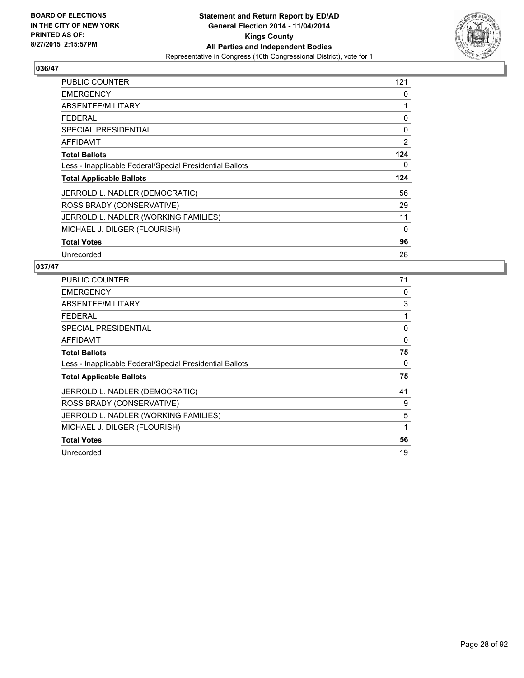

| <b>PUBLIC COUNTER</b>                                    | 121 |
|----------------------------------------------------------|-----|
| <b>EMERGENCY</b>                                         | 0   |
| ABSENTEE/MILITARY                                        | 1   |
| <b>FEDERAL</b>                                           | 0   |
| <b>SPECIAL PRESIDENTIAL</b>                              | 0   |
| AFFIDAVIT                                                | 2   |
| <b>Total Ballots</b>                                     | 124 |
| Less - Inapplicable Federal/Special Presidential Ballots | 0   |
| <b>Total Applicable Ballots</b>                          | 124 |
| JERROLD L. NADLER (DEMOCRATIC)                           | 56  |
| ROSS BRADY (CONSERVATIVE)                                | 29  |
| JERROLD L. NADLER (WORKING FAMILIES)                     | 11  |
| MICHAEL J. DILGER (FLOURISH)                             | 0   |
| <b>Total Votes</b>                                       | 96  |
| Unrecorded                                               | 28  |

| <b>PUBLIC COUNTER</b>                                    | 71 |
|----------------------------------------------------------|----|
| <b>EMERGENCY</b>                                         | 0  |
| ABSENTEE/MILITARY                                        | 3  |
| <b>FEDERAL</b>                                           | 1  |
| <b>SPECIAL PRESIDENTIAL</b>                              | 0  |
| <b>AFFIDAVIT</b>                                         | 0  |
| <b>Total Ballots</b>                                     | 75 |
| Less - Inapplicable Federal/Special Presidential Ballots | 0  |
| <b>Total Applicable Ballots</b>                          | 75 |
| JERROLD L. NADLER (DEMOCRATIC)                           | 41 |
| ROSS BRADY (CONSERVATIVE)                                | 9  |
| JERROLD L. NADLER (WORKING FAMILIES)                     | 5  |
| MICHAEL J. DILGER (FLOURISH)                             | 1  |
| <b>Total Votes</b>                                       | 56 |
| Unrecorded                                               | 19 |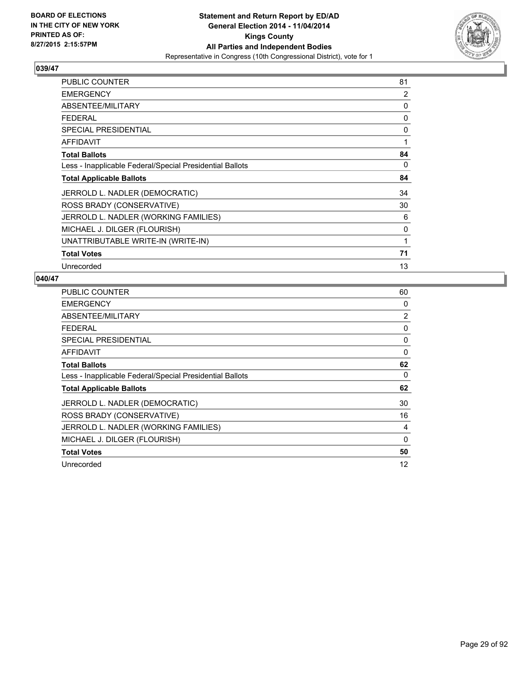

| <b>PUBLIC COUNTER</b>                                    | 81 |
|----------------------------------------------------------|----|
| <b>EMERGENCY</b>                                         | 2  |
| ABSENTEE/MILITARY                                        | 0  |
| <b>FEDERAL</b>                                           | 0  |
| <b>SPECIAL PRESIDENTIAL</b>                              | 0  |
| <b>AFFIDAVIT</b>                                         | 1  |
| <b>Total Ballots</b>                                     | 84 |
| Less - Inapplicable Federal/Special Presidential Ballots | 0  |
| <b>Total Applicable Ballots</b>                          | 84 |
| JERROLD L. NADLER (DEMOCRATIC)                           | 34 |
| ROSS BRADY (CONSERVATIVE)                                | 30 |
| JERROLD L. NADLER (WORKING FAMILIES)                     | 6  |
| MICHAEL J. DILGER (FLOURISH)                             | 0  |
| UNATTRIBUTABLE WRITE-IN (WRITE-IN)                       | 1  |
| <b>Total Votes</b>                                       | 71 |
| Unrecorded                                               | 13 |

| PUBLIC COUNTER                                           | 60             |
|----------------------------------------------------------|----------------|
| <b>EMERGENCY</b>                                         | 0              |
| ABSENTEE/MILITARY                                        | $\overline{2}$ |
| <b>FEDERAL</b>                                           | 0              |
| <b>SPECIAL PRESIDENTIAL</b>                              | 0              |
| <b>AFFIDAVIT</b>                                         | $\Omega$       |
| <b>Total Ballots</b>                                     | 62             |
| Less - Inapplicable Federal/Special Presidential Ballots | 0              |
| <b>Total Applicable Ballots</b>                          | 62             |
| JERROLD L. NADLER (DEMOCRATIC)                           | 30             |
| ROSS BRADY (CONSERVATIVE)                                | 16             |
| JERROLD L. NADLER (WORKING FAMILIES)                     | 4              |
| MICHAEL J. DILGER (FLOURISH)                             | $\Omega$       |
| <b>Total Votes</b>                                       | 50             |
| Unrecorded                                               | 12             |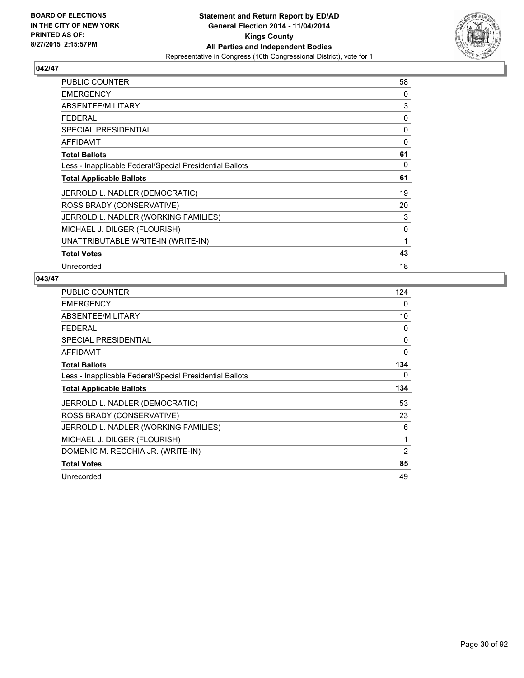

| <b>PUBLIC COUNTER</b>                                    | 58 |
|----------------------------------------------------------|----|
| <b>EMERGENCY</b>                                         | 0  |
| ABSENTEE/MILITARY                                        | 3  |
| <b>FEDERAL</b>                                           | 0  |
| <b>SPECIAL PRESIDENTIAL</b>                              | 0  |
| <b>AFFIDAVIT</b>                                         | 0  |
| <b>Total Ballots</b>                                     | 61 |
| Less - Inapplicable Federal/Special Presidential Ballots | 0  |
| <b>Total Applicable Ballots</b>                          | 61 |
| JERROLD L. NADLER (DEMOCRATIC)                           | 19 |
| ROSS BRADY (CONSERVATIVE)                                | 20 |
| JERROLD L. NADLER (WORKING FAMILIES)                     | 3  |
| MICHAEL J. DILGER (FLOURISH)                             | 0  |
| UNATTRIBUTABLE WRITE-IN (WRITE-IN)                       | 1  |
| <b>Total Votes</b>                                       | 43 |
| Unrecorded                                               | 18 |

| PUBLIC COUNTER                                           | 124 |
|----------------------------------------------------------|-----|
| <b>EMERGENCY</b>                                         | 0   |
| ABSENTEE/MILITARY                                        | 10  |
| <b>FEDERAL</b>                                           | 0   |
| <b>SPECIAL PRESIDENTIAL</b>                              | 0   |
| <b>AFFIDAVIT</b>                                         | 0   |
| <b>Total Ballots</b>                                     | 134 |
| Less - Inapplicable Federal/Special Presidential Ballots | 0   |
| <b>Total Applicable Ballots</b>                          | 134 |
| JERROLD L. NADLER (DEMOCRATIC)                           | 53  |
| ROSS BRADY (CONSERVATIVE)                                | 23  |
| JERROLD L. NADLER (WORKING FAMILIES)                     | 6   |
| MICHAEL J. DILGER (FLOURISH)                             | 1   |
| DOMENIC M. RECCHIA JR. (WRITE-IN)                        | 2   |
| <b>Total Votes</b>                                       | 85  |
| Unrecorded                                               | 49  |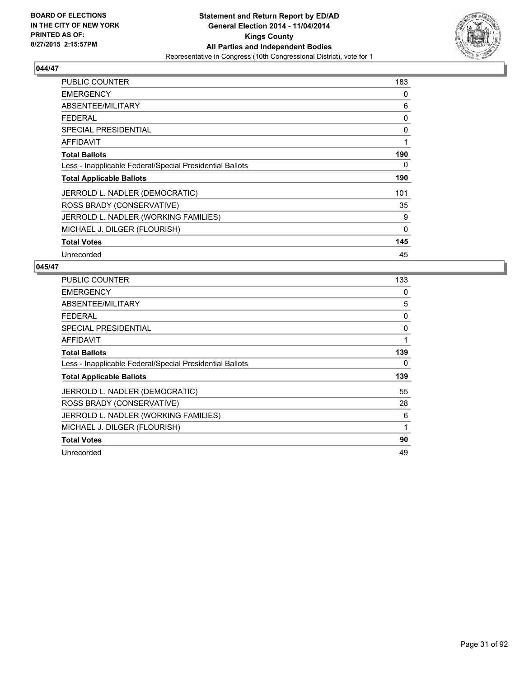

| <b>PUBLIC COUNTER</b>                                    | 183         |
|----------------------------------------------------------|-------------|
| <b>EMERGENCY</b>                                         | 0           |
| ABSENTEE/MILITARY                                        | 6           |
| <b>FEDERAL</b>                                           | 0           |
| <b>SPECIAL PRESIDENTIAL</b>                              | 0           |
| AFFIDAVIT                                                | 1           |
| <b>Total Ballots</b>                                     | 190         |
| Less - Inapplicable Federal/Special Presidential Ballots | 0           |
| <b>Total Applicable Ballots</b>                          | 190         |
| JERROLD L. NADLER (DEMOCRATIC)                           | 101         |
| ROSS BRADY (CONSERVATIVE)                                | 35          |
| JERROLD L. NADLER (WORKING FAMILIES)                     | 9           |
| MICHAEL J. DILGER (FLOURISH)                             | $\mathbf 0$ |
| <b>Total Votes</b>                                       | 145         |
| Unrecorded                                               | 45          |

| <b>PUBLIC COUNTER</b>                                    | 133 |
|----------------------------------------------------------|-----|
| <b>EMERGENCY</b>                                         | 0   |
| ABSENTEE/MILITARY                                        | 5   |
| <b>FEDERAL</b>                                           | 0   |
| <b>SPECIAL PRESIDENTIAL</b>                              | 0   |
| <b>AFFIDAVIT</b>                                         | 1   |
| <b>Total Ballots</b>                                     | 139 |
| Less - Inapplicable Federal/Special Presidential Ballots | 0   |
| <b>Total Applicable Ballots</b>                          | 139 |
| JERROLD L. NADLER (DEMOCRATIC)                           | 55  |
| ROSS BRADY (CONSERVATIVE)                                | 28  |
| JERROLD L. NADLER (WORKING FAMILIES)                     | 6   |
| MICHAEL J. DILGER (FLOURISH)                             | 1   |
| <b>Total Votes</b>                                       | 90  |
| Unrecorded                                               | 49  |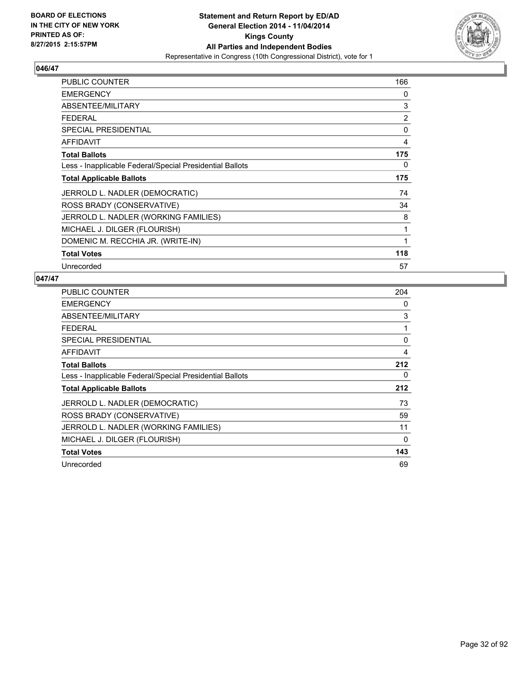

| <b>PUBLIC COUNTER</b>                                    | 166            |
|----------------------------------------------------------|----------------|
| <b>EMERGENCY</b>                                         | 0              |
| ABSENTEE/MILITARY                                        | 3              |
| <b>FEDERAL</b>                                           | $\overline{2}$ |
| <b>SPECIAL PRESIDENTIAL</b>                              | 0              |
| <b>AFFIDAVIT</b>                                         | 4              |
| <b>Total Ballots</b>                                     | 175            |
| Less - Inapplicable Federal/Special Presidential Ballots | 0              |
| <b>Total Applicable Ballots</b>                          | 175            |
| JERROLD L. NADLER (DEMOCRATIC)                           | 74             |
| ROSS BRADY (CONSERVATIVE)                                | 34             |
| JERROLD L. NADLER (WORKING FAMILIES)                     | 8              |
| MICHAEL J. DILGER (FLOURISH)                             | 1              |
| DOMENIC M. RECCHIA JR. (WRITE-IN)                        | 1              |
| <b>Total Votes</b>                                       | 118            |
| Unrecorded                                               | 57             |

| <b>PUBLIC COUNTER</b>                                    | 204 |
|----------------------------------------------------------|-----|
| <b>EMERGENCY</b>                                         | 0   |
| ABSENTEE/MILITARY                                        | 3   |
| <b>FEDERAL</b>                                           | 1   |
| <b>SPECIAL PRESIDENTIAL</b>                              | 0   |
| <b>AFFIDAVIT</b>                                         | 4   |
| <b>Total Ballots</b>                                     | 212 |
| Less - Inapplicable Federal/Special Presidential Ballots | 0   |
| <b>Total Applicable Ballots</b>                          | 212 |
| JERROLD L. NADLER (DEMOCRATIC)                           | 73  |
| ROSS BRADY (CONSERVATIVE)                                | 59  |
| JERROLD L. NADLER (WORKING FAMILIES)                     | 11  |
| MICHAEL J. DILGER (FLOURISH)                             | 0   |
| <b>Total Votes</b>                                       | 143 |
| Unrecorded                                               | 69  |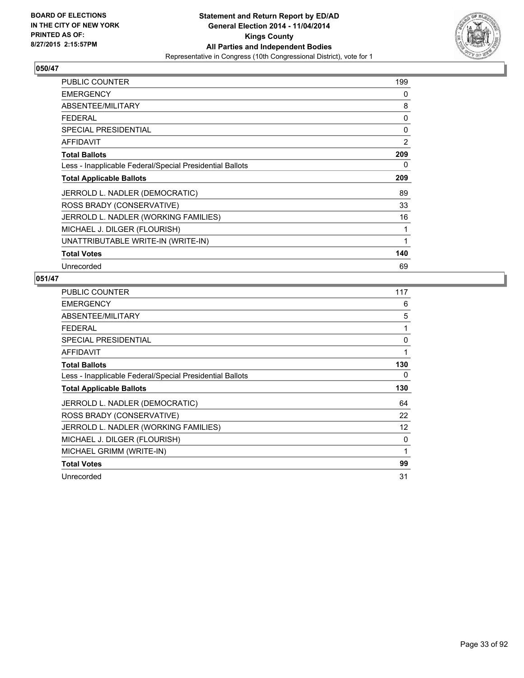

| <b>PUBLIC COUNTER</b>                                    | 199            |
|----------------------------------------------------------|----------------|
| <b>EMERGENCY</b>                                         | 0              |
| ABSENTEE/MILITARY                                        | 8              |
| <b>FEDERAL</b>                                           | 0              |
| <b>SPECIAL PRESIDENTIAL</b>                              | 0              |
| <b>AFFIDAVIT</b>                                         | $\overline{2}$ |
| <b>Total Ballots</b>                                     | 209            |
| Less - Inapplicable Federal/Special Presidential Ballots | 0              |
| <b>Total Applicable Ballots</b>                          | 209            |
| JERROLD L. NADLER (DEMOCRATIC)                           | 89             |
| ROSS BRADY (CONSERVATIVE)                                | 33             |
| JERROLD L. NADLER (WORKING FAMILIES)                     | 16             |
| MICHAEL J. DILGER (FLOURISH)                             | 1              |
| UNATTRIBUTABLE WRITE-IN (WRITE-IN)                       | 1              |
|                                                          |                |
| <b>Total Votes</b>                                       | 140            |

| PUBLIC COUNTER                                           | 117 |
|----------------------------------------------------------|-----|
| <b>EMERGENCY</b>                                         | 6   |
| ABSENTEE/MILITARY                                        | 5   |
| <b>FEDERAL</b>                                           | 1   |
| <b>SPECIAL PRESIDENTIAL</b>                              | 0   |
| <b>AFFIDAVIT</b>                                         | 1   |
| <b>Total Ballots</b>                                     | 130 |
| Less - Inapplicable Federal/Special Presidential Ballots | 0   |
| <b>Total Applicable Ballots</b>                          | 130 |
| JERROLD L. NADLER (DEMOCRATIC)                           | 64  |
| ROSS BRADY (CONSERVATIVE)                                | 22  |
| JERROLD L. NADLER (WORKING FAMILIES)                     | 12  |
| MICHAEL J. DILGER (FLOURISH)                             | 0   |
| MICHAEL GRIMM (WRITE-IN)                                 | 1   |
| <b>Total Votes</b>                                       | 99  |
| Unrecorded                                               | 31  |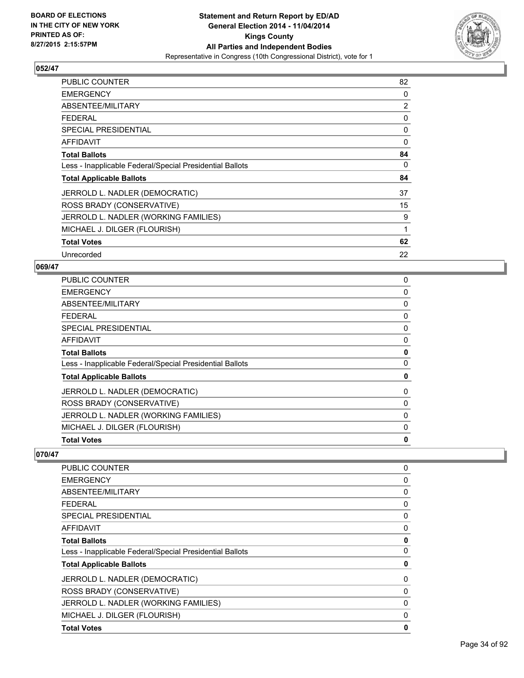

| <b>PUBLIC COUNTER</b>                                    | 82 |
|----------------------------------------------------------|----|
| <b>EMERGENCY</b>                                         | 0  |
| ABSENTEE/MILITARY                                        | 2  |
| <b>FEDERAL</b>                                           | 0  |
| <b>SPECIAL PRESIDENTIAL</b>                              | 0  |
| <b>AFFIDAVIT</b>                                         | 0  |
| <b>Total Ballots</b>                                     | 84 |
| Less - Inapplicable Federal/Special Presidential Ballots | 0  |
| <b>Total Applicable Ballots</b>                          | 84 |
| JERROLD L. NADLER (DEMOCRATIC)                           | 37 |
| ROSS BRADY (CONSERVATIVE)                                | 15 |
| JERROLD L. NADLER (WORKING FAMILIES)                     | 9  |
| MICHAEL J. DILGER (FLOURISH)                             | 1  |
| <b>Total Votes</b>                                       | 62 |
| Unrecorded                                               | 22 |

## **069/47**

| <b>PUBLIC COUNTER</b>                                    | 0 |
|----------------------------------------------------------|---|
| <b>EMERGENCY</b>                                         | 0 |
| ABSENTEE/MILITARY                                        | 0 |
| <b>FEDERAL</b>                                           | 0 |
| SPECIAL PRESIDENTIAL                                     | 0 |
| AFFIDAVIT                                                | 0 |
| <b>Total Ballots</b>                                     | 0 |
| Less - Inapplicable Federal/Special Presidential Ballots | 0 |
| <b>Total Applicable Ballots</b>                          | 0 |
| JERROLD L. NADLER (DEMOCRATIC)                           | 0 |
| ROSS BRADY (CONSERVATIVE)                                | 0 |
| JERROLD L. NADLER (WORKING FAMILIES)                     | 0 |
| MICHAEL J. DILGER (FLOURISH)                             | 0 |
| <b>Total Votes</b>                                       | 0 |

| 0           |
|-------------|
| 0           |
| 0           |
| 0           |
| 0           |
| 0           |
| $\mathbf 0$ |
| 0           |
| 0           |
| 0           |
| 0           |
| 0           |
| 0           |
| 0           |
|             |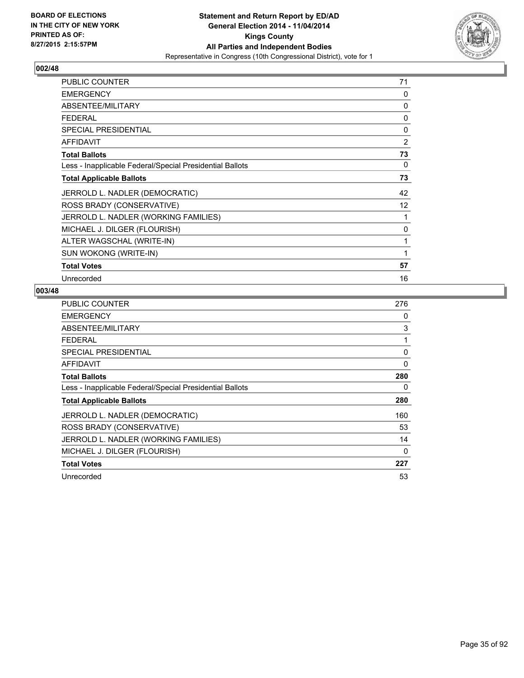

| PUBLIC COUNTER                                           | 71              |
|----------------------------------------------------------|-----------------|
| <b>EMERGENCY</b>                                         | 0               |
| ABSENTEE/MILITARY                                        | 0               |
| <b>FEDERAL</b>                                           | 0               |
| SPECIAL PRESIDENTIAL                                     | 0               |
| AFFIDAVIT                                                | $\overline{2}$  |
| <b>Total Ballots</b>                                     | 73              |
| Less - Inapplicable Federal/Special Presidential Ballots | 0               |
| <b>Total Applicable Ballots</b>                          | 73              |
| JERROLD L. NADLER (DEMOCRATIC)                           | 42              |
| ROSS BRADY (CONSERVATIVE)                                | 12 <sup>°</sup> |
| JERROLD L. NADLER (WORKING FAMILIES)                     | 1               |
| MICHAEL J. DILGER (FLOURISH)                             | 0               |
| ALTER WAGSCHAL (WRITE-IN)                                | 1               |
| SUN WOKONG (WRITE-IN)                                    | 1               |
| <b>Total Votes</b>                                       | 57              |
| Unrecorded                                               | 16              |

| <b>PUBLIC COUNTER</b>                                    | 276 |
|----------------------------------------------------------|-----|
| <b>EMERGENCY</b>                                         | 0   |
| ABSENTEE/MILITARY                                        | 3   |
| <b>FEDERAL</b>                                           | 1   |
| <b>SPECIAL PRESIDENTIAL</b>                              | 0   |
| AFFIDAVIT                                                | 0   |
| <b>Total Ballots</b>                                     | 280 |
| Less - Inapplicable Federal/Special Presidential Ballots | 0   |
| <b>Total Applicable Ballots</b>                          | 280 |
| JERROLD L. NADLER (DEMOCRATIC)                           | 160 |
| ROSS BRADY (CONSERVATIVE)                                | 53  |
| JERROLD L. NADLER (WORKING FAMILIES)                     | 14  |
| MICHAEL J. DILGER (FLOURISH)                             | 0   |
| <b>Total Votes</b>                                       | 227 |
| Unrecorded                                               | 53  |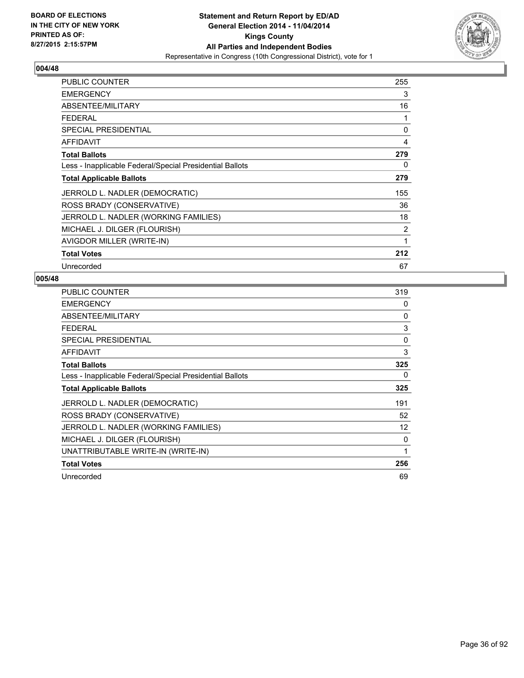

| <b>PUBLIC COUNTER</b>                                    | 255 |
|----------------------------------------------------------|-----|
| <b>EMERGENCY</b>                                         | 3   |
| ABSENTEE/MILITARY                                        | 16  |
| <b>FEDERAL</b>                                           | 1   |
| <b>SPECIAL PRESIDENTIAL</b>                              | 0   |
| AFFIDAVIT                                                | 4   |
| <b>Total Ballots</b>                                     | 279 |
| Less - Inapplicable Federal/Special Presidential Ballots | 0   |
| <b>Total Applicable Ballots</b>                          | 279 |
| JERROLD L. NADLER (DEMOCRATIC)                           | 155 |
| ROSS BRADY (CONSERVATIVE)                                | 36  |
| JERROLD L. NADLER (WORKING FAMILIES)                     | 18  |
| MICHAEL J. DILGER (FLOURISH)                             | 2   |
| AVIGDOR MILLER (WRITE-IN)                                | 1   |
| <b>Total Votes</b>                                       | 212 |
| Unrecorded                                               | 67  |

| PUBLIC COUNTER                                           | 319 |
|----------------------------------------------------------|-----|
| <b>EMERGENCY</b>                                         | 0   |
| ABSENTEE/MILITARY                                        | 0   |
| <b>FEDERAL</b>                                           | 3   |
| <b>SPECIAL PRESIDENTIAL</b>                              | 0   |
| <b>AFFIDAVIT</b>                                         | 3   |
| <b>Total Ballots</b>                                     | 325 |
| Less - Inapplicable Federal/Special Presidential Ballots | 0   |
| <b>Total Applicable Ballots</b>                          | 325 |
| JERROLD L. NADLER (DEMOCRATIC)                           | 191 |
| ROSS BRADY (CONSERVATIVE)                                | 52  |
| JERROLD L. NADLER (WORKING FAMILIES)                     | 12  |
| MICHAEL J. DILGER (FLOURISH)                             | 0   |
| UNATTRIBUTABLE WRITE-IN (WRITE-IN)                       | 1   |
| <b>Total Votes</b>                                       | 256 |
| Unrecorded                                               | 69  |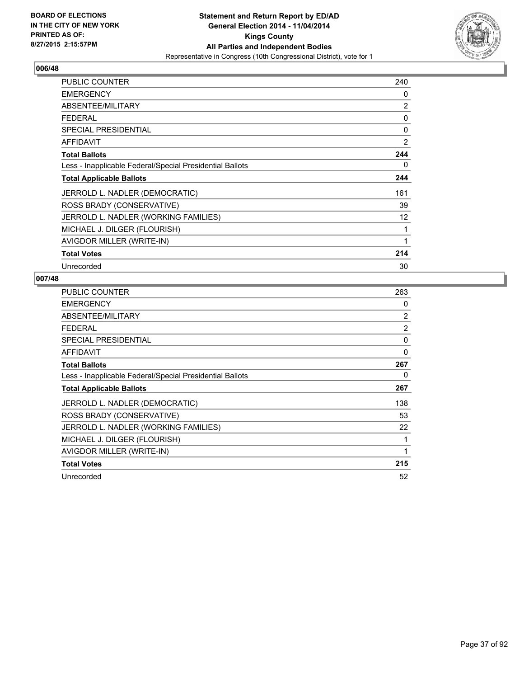

| <b>PUBLIC COUNTER</b>                                    | 240            |
|----------------------------------------------------------|----------------|
| <b>EMERGENCY</b>                                         | 0              |
| ABSENTEE/MILITARY                                        | $\overline{2}$ |
| <b>FEDERAL</b>                                           | 0              |
| <b>SPECIAL PRESIDENTIAL</b>                              | 0              |
| <b>AFFIDAVIT</b>                                         | $\overline{2}$ |
| <b>Total Ballots</b>                                     | 244            |
| Less - Inapplicable Federal/Special Presidential Ballots | 0              |
| <b>Total Applicable Ballots</b>                          | 244            |
| JERROLD L. NADLER (DEMOCRATIC)                           | 161            |
| ROSS BRADY (CONSERVATIVE)                                | 39             |
| JERROLD L. NADLER (WORKING FAMILIES)                     | 12             |
| MICHAEL J. DILGER (FLOURISH)                             | 1              |
| AVIGDOR MILLER (WRITE-IN)                                | 1              |
| <b>Total Votes</b>                                       | 214            |
| Unrecorded                                               | 30             |

| PUBLIC COUNTER                                           | 263            |
|----------------------------------------------------------|----------------|
| <b>EMERGENCY</b>                                         | 0              |
| ABSENTEE/MILITARY                                        | $\overline{2}$ |
| <b>FEDERAL</b>                                           | $\overline{2}$ |
| <b>SPECIAL PRESIDENTIAL</b>                              | 0              |
| <b>AFFIDAVIT</b>                                         | 0              |
| <b>Total Ballots</b>                                     | 267            |
| Less - Inapplicable Federal/Special Presidential Ballots | 0              |
| <b>Total Applicable Ballots</b>                          | 267            |
| JERROLD L. NADLER (DEMOCRATIC)                           | 138            |
| ROSS BRADY (CONSERVATIVE)                                | 53             |
| JERROLD L. NADLER (WORKING FAMILIES)                     | 22             |
| MICHAEL J. DILGER (FLOURISH)                             | 1              |
| AVIGDOR MILLER (WRITE-IN)                                | 1              |
| <b>Total Votes</b>                                       | 215            |
| Unrecorded                                               | 52             |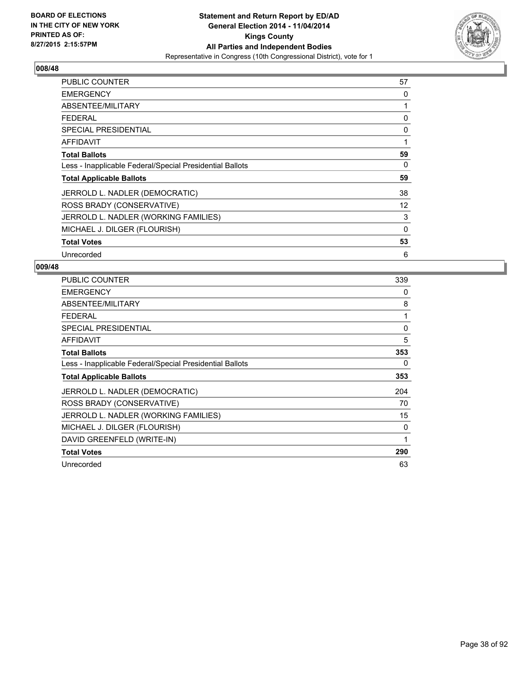

| <b>PUBLIC COUNTER</b>                                    | 57       |
|----------------------------------------------------------|----------|
| <b>EMERGENCY</b>                                         | 0        |
| ABSENTEE/MILITARY                                        | 1        |
| <b>FEDERAL</b>                                           | 0        |
| <b>SPECIAL PRESIDENTIAL</b>                              | 0        |
| <b>AFFIDAVIT</b>                                         | 1        |
| <b>Total Ballots</b>                                     | 59       |
| Less - Inapplicable Federal/Special Presidential Ballots | 0        |
| <b>Total Applicable Ballots</b>                          | 59       |
| JERROLD L. NADLER (DEMOCRATIC)                           | 38       |
| ROSS BRADY (CONSERVATIVE)                                | 12       |
| JERROLD L. NADLER (WORKING FAMILIES)                     | 3        |
| MICHAEL J. DILGER (FLOURISH)                             | $\Omega$ |
| <b>Total Votes</b>                                       | 53       |
| Unrecorded                                               | 6        |

| <b>PUBLIC COUNTER</b>                                    | 339 |
|----------------------------------------------------------|-----|
| <b>EMERGENCY</b>                                         | 0   |
| ABSENTEE/MILITARY                                        | 8   |
| <b>FEDERAL</b>                                           | 1   |
| <b>SPECIAL PRESIDENTIAL</b>                              | 0   |
| AFFIDAVIT                                                | 5   |
| <b>Total Ballots</b>                                     | 353 |
| Less - Inapplicable Federal/Special Presidential Ballots | 0   |
| <b>Total Applicable Ballots</b>                          | 353 |
| JERROLD L. NADLER (DEMOCRATIC)                           | 204 |
| ROSS BRADY (CONSERVATIVE)                                | 70  |
| JERROLD L. NADLER (WORKING FAMILIES)                     | 15  |
| MICHAEL J. DILGER (FLOURISH)                             | 0   |
| DAVID GREENFELD (WRITE-IN)                               | 1   |
| <b>Total Votes</b>                                       | 290 |
| Unrecorded                                               | 63  |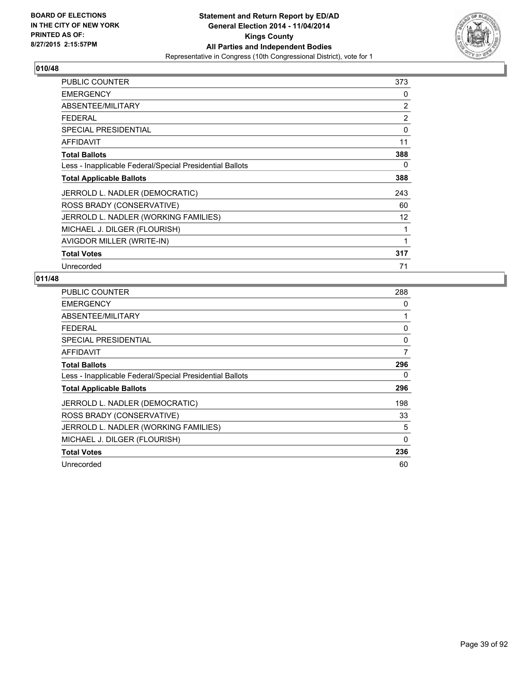

| PUBLIC COUNTER                                           | 373             |
|----------------------------------------------------------|-----------------|
| <b>EMERGENCY</b>                                         | 0               |
| ABSENTEE/MILITARY                                        | 2               |
| <b>FEDERAL</b>                                           | 2               |
| <b>SPECIAL PRESIDENTIAL</b>                              | 0               |
| AFFIDAVIT                                                | 11              |
| <b>Total Ballots</b>                                     | 388             |
| Less - Inapplicable Federal/Special Presidential Ballots | 0               |
| <b>Total Applicable Ballots</b>                          | 388             |
| JERROLD L. NADLER (DEMOCRATIC)                           | 243             |
| ROSS BRADY (CONSERVATIVE)                                | 60              |
| JERROLD L. NADLER (WORKING FAMILIES)                     | 12 <sup>°</sup> |
| MICHAEL J. DILGER (FLOURISH)                             | 1               |
| AVIGDOR MILLER (WRITE-IN)                                | 1               |
| <b>Total Votes</b>                                       | 317             |
| Unrecorded                                               | 71              |

| PUBLIC COUNTER                                           | 288      |
|----------------------------------------------------------|----------|
| <b>EMERGENCY</b>                                         | 0        |
| ABSENTEE/MILITARY                                        | 1        |
| <b>FEDERAL</b>                                           | 0        |
| <b>SPECIAL PRESIDENTIAL</b>                              | 0        |
| <b>AFFIDAVIT</b>                                         | 7        |
| <b>Total Ballots</b>                                     | 296      |
| Less - Inapplicable Federal/Special Presidential Ballots | 0        |
| <b>Total Applicable Ballots</b>                          | 296      |
| JERROLD L. NADLER (DEMOCRATIC)                           | 198      |
| ROSS BRADY (CONSERVATIVE)                                | 33       |
| JERROLD L. NADLER (WORKING FAMILIES)                     | 5        |
| MICHAEL J. DILGER (FLOURISH)                             | $\Omega$ |
| <b>Total Votes</b>                                       | 236      |
| Unrecorded                                               | 60       |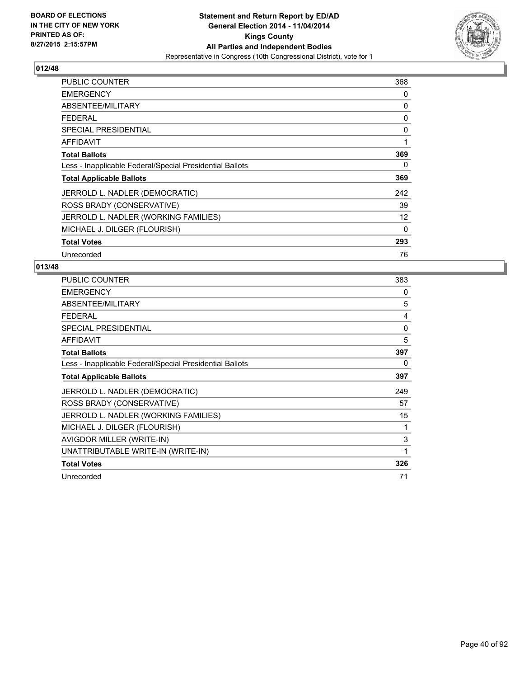

| <b>PUBLIC COUNTER</b>                                    | 368 |
|----------------------------------------------------------|-----|
| <b>EMERGENCY</b>                                         | 0   |
| ABSENTEE/MILITARY                                        | 0   |
| <b>FEDERAL</b>                                           | 0   |
| <b>SPECIAL PRESIDENTIAL</b>                              | 0   |
| <b>AFFIDAVIT</b>                                         | 1   |
| <b>Total Ballots</b>                                     | 369 |
| Less - Inapplicable Federal/Special Presidential Ballots | 0   |
| <b>Total Applicable Ballots</b>                          | 369 |
| JERROLD L. NADLER (DEMOCRATIC)                           | 242 |
| ROSS BRADY (CONSERVATIVE)                                | 39  |
| JERROLD L. NADLER (WORKING FAMILIES)                     | 12  |
| MICHAEL J. DILGER (FLOURISH)                             | 0   |
| <b>Total Votes</b>                                       | 293 |
| Unrecorded                                               | 76  |

| PUBLIC COUNTER                                           | 383 |
|----------------------------------------------------------|-----|
| <b>EMERGENCY</b>                                         | 0   |
| ABSENTEE/MILITARY                                        | 5   |
| <b>FEDERAL</b>                                           | 4   |
| <b>SPECIAL PRESIDENTIAL</b>                              | 0   |
| <b>AFFIDAVIT</b>                                         | 5   |
| <b>Total Ballots</b>                                     | 397 |
| Less - Inapplicable Federal/Special Presidential Ballots | 0   |
| <b>Total Applicable Ballots</b>                          | 397 |
| JERROLD L. NADLER (DEMOCRATIC)                           | 249 |
| ROSS BRADY (CONSERVATIVE)                                | 57  |
| JERROLD L. NADLER (WORKING FAMILIES)                     | 15  |
| MICHAEL J. DILGER (FLOURISH)                             | 1   |
| AVIGDOR MILLER (WRITE-IN)                                | 3   |
| UNATTRIBUTABLE WRITE-IN (WRITE-IN)                       | 1   |
| <b>Total Votes</b>                                       | 326 |
| Unrecorded                                               | 71  |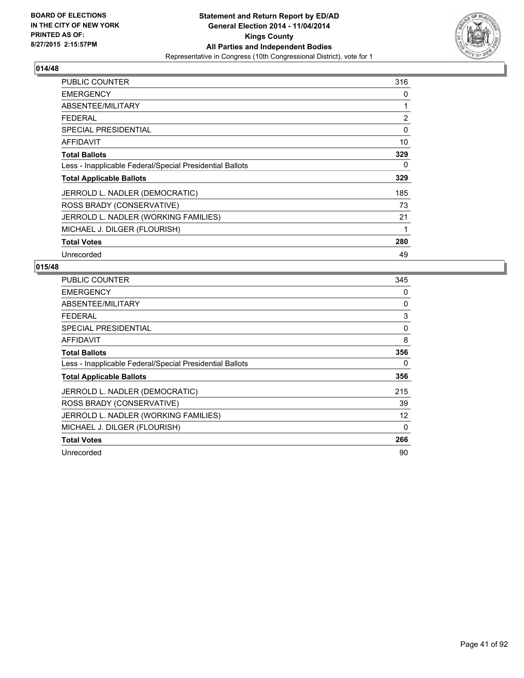

| <b>PUBLIC COUNTER</b>                                    | 316 |
|----------------------------------------------------------|-----|
| <b>EMERGENCY</b>                                         | 0   |
| ABSENTEE/MILITARY                                        | 1   |
| <b>FEDERAL</b>                                           | 2   |
| <b>SPECIAL PRESIDENTIAL</b>                              | 0   |
| <b>AFFIDAVIT</b>                                         | 10  |
| <b>Total Ballots</b>                                     | 329 |
| Less - Inapplicable Federal/Special Presidential Ballots | 0   |
| <b>Total Applicable Ballots</b>                          | 329 |
| JERROLD L. NADLER (DEMOCRATIC)                           | 185 |
| ROSS BRADY (CONSERVATIVE)                                | 73  |
| JERROLD L. NADLER (WORKING FAMILIES)                     | 21  |
| MICHAEL J. DILGER (FLOURISH)                             | 1   |
| <b>Total Votes</b>                                       | 280 |
| Unrecorded                                               | 49  |

| <b>PUBLIC COUNTER</b>                                    | 345 |
|----------------------------------------------------------|-----|
| <b>EMERGENCY</b>                                         | 0   |
| ABSENTEE/MILITARY                                        | 0   |
| <b>FEDERAL</b>                                           | 3   |
| SPECIAL PRESIDENTIAL                                     | 0   |
| AFFIDAVIT                                                | 8   |
| <b>Total Ballots</b>                                     | 356 |
| Less - Inapplicable Federal/Special Presidential Ballots | 0   |
| <b>Total Applicable Ballots</b>                          | 356 |
| JERROLD L. NADLER (DEMOCRATIC)                           | 215 |
| ROSS BRADY (CONSERVATIVE)                                | 39  |
| JERROLD L. NADLER (WORKING FAMILIES)                     | 12  |
| MICHAEL J. DILGER (FLOURISH)                             | 0   |
| <b>Total Votes</b>                                       | 266 |
| Unrecorded                                               | 90  |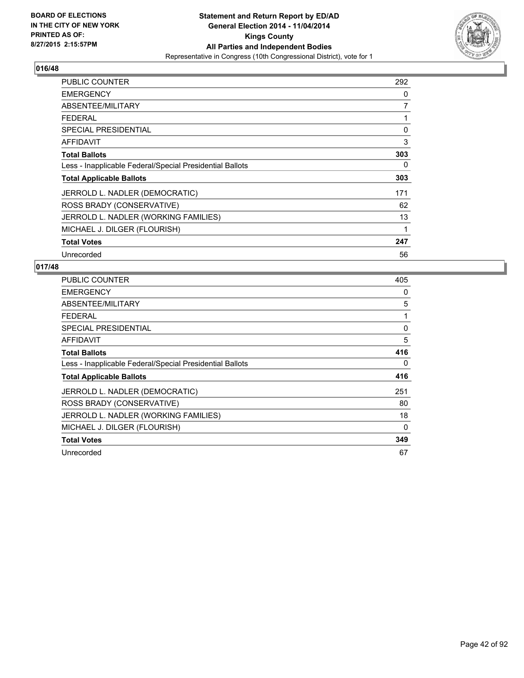

| <b>PUBLIC COUNTER</b>                                    | 292 |
|----------------------------------------------------------|-----|
| <b>EMERGENCY</b>                                         | 0   |
| ABSENTEE/MILITARY                                        | 7   |
| <b>FEDERAL</b>                                           | 1   |
| <b>SPECIAL PRESIDENTIAL</b>                              | 0   |
| <b>AFFIDAVIT</b>                                         | 3   |
| <b>Total Ballots</b>                                     | 303 |
| Less - Inapplicable Federal/Special Presidential Ballots | 0   |
| <b>Total Applicable Ballots</b>                          | 303 |
| JERROLD L. NADLER (DEMOCRATIC)                           | 171 |
| ROSS BRADY (CONSERVATIVE)                                | 62  |
| JERROLD L. NADLER (WORKING FAMILIES)                     | 13  |
| MICHAEL J. DILGER (FLOURISH)                             | 1   |
| <b>Total Votes</b>                                       | 247 |
| Unrecorded                                               | 56  |

| PUBLIC COUNTER                                           | 405 |
|----------------------------------------------------------|-----|
| <b>EMERGENCY</b>                                         | 0   |
| ABSENTEE/MILITARY                                        | 5   |
| <b>FEDERAL</b>                                           | 1   |
| SPECIAL PRESIDENTIAL                                     | 0   |
| <b>AFFIDAVIT</b>                                         | 5   |
| <b>Total Ballots</b>                                     | 416 |
| Less - Inapplicable Federal/Special Presidential Ballots | 0   |
| <b>Total Applicable Ballots</b>                          | 416 |
| JERROLD L. NADLER (DEMOCRATIC)                           | 251 |
| ROSS BRADY (CONSERVATIVE)                                | 80  |
| JERROLD L. NADLER (WORKING FAMILIES)                     | 18  |
| MICHAEL J. DILGER (FLOURISH)                             | 0   |
| <b>Total Votes</b>                                       | 349 |
| Unrecorded                                               | 67  |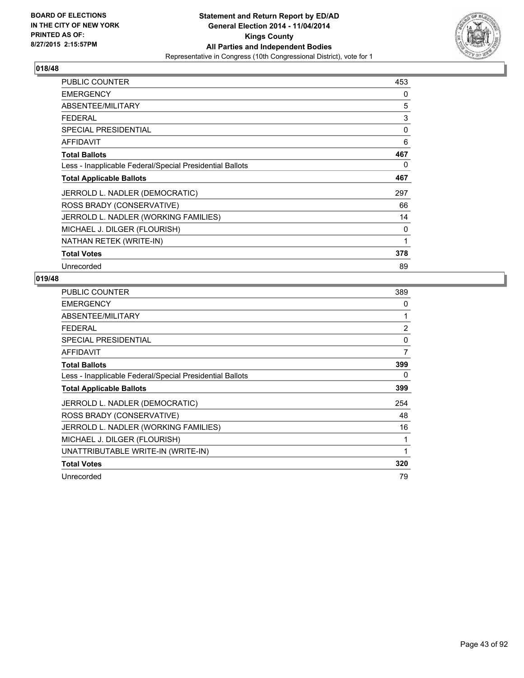

| <b>PUBLIC COUNTER</b>                                    | 453 |
|----------------------------------------------------------|-----|
| <b>EMERGENCY</b>                                         | 0   |
| ABSENTEE/MILITARY                                        | 5   |
| <b>FEDERAL</b>                                           | 3   |
| <b>SPECIAL PRESIDENTIAL</b>                              | 0   |
| <b>AFFIDAVIT</b>                                         | 6   |
| <b>Total Ballots</b>                                     | 467 |
| Less - Inapplicable Federal/Special Presidential Ballots | 0   |
| <b>Total Applicable Ballots</b>                          | 467 |
| JERROLD L. NADLER (DEMOCRATIC)                           | 297 |
| ROSS BRADY (CONSERVATIVE)                                | 66  |
| JERROLD L. NADLER (WORKING FAMILIES)                     | 14  |
| MICHAEL J. DILGER (FLOURISH)                             | 0   |
| NATHAN RETEK (WRITE-IN)                                  | 1   |
| <b>Total Votes</b>                                       | 378 |
| Unrecorded                                               | 89  |

| PUBLIC COUNTER                                           | 389 |
|----------------------------------------------------------|-----|
| <b>EMERGENCY</b>                                         | 0   |
| ABSENTEE/MILITARY                                        |     |
| <b>FEDERAL</b>                                           | 2   |
| <b>SPECIAL PRESIDENTIAL</b>                              | 0   |
| <b>AFFIDAVIT</b>                                         | 7   |
| <b>Total Ballots</b>                                     | 399 |
| Less - Inapplicable Federal/Special Presidential Ballots | 0   |
| <b>Total Applicable Ballots</b>                          | 399 |
| JERROLD L. NADLER (DEMOCRATIC)                           | 254 |
| ROSS BRADY (CONSERVATIVE)                                | 48  |
| JERROLD L. NADLER (WORKING FAMILIES)                     | 16  |
| MICHAEL J. DILGER (FLOURISH)                             | 1   |
| UNATTRIBUTABLE WRITE-IN (WRITE-IN)                       | 1   |
| <b>Total Votes</b>                                       | 320 |
| Unrecorded                                               | 79  |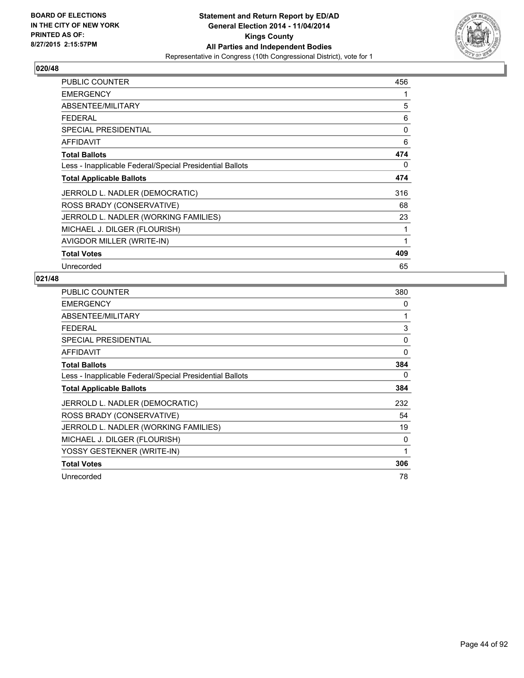

| PUBLIC COUNTER                                           | 456 |
|----------------------------------------------------------|-----|
| <b>EMERGENCY</b>                                         | 1   |
| ABSENTEE/MILITARY                                        | 5   |
| <b>FEDERAL</b>                                           | 6   |
| <b>SPECIAL PRESIDENTIAL</b>                              | 0   |
| <b>AFFIDAVIT</b>                                         | 6   |
| <b>Total Ballots</b>                                     | 474 |
| Less - Inapplicable Federal/Special Presidential Ballots | 0   |
| <b>Total Applicable Ballots</b>                          | 474 |
| JERROLD L. NADLER (DEMOCRATIC)                           | 316 |
| ROSS BRADY (CONSERVATIVE)                                | 68  |
| JERROLD L. NADLER (WORKING FAMILIES)                     | 23  |
| MICHAEL J. DILGER (FLOURISH)                             | 1   |
| AVIGDOR MILLER (WRITE-IN)                                | 1   |
| <b>Total Votes</b>                                       | 409 |
| Unrecorded                                               | 65  |

| PUBLIC COUNTER                                           | 380 |
|----------------------------------------------------------|-----|
| <b>EMERGENCY</b>                                         | 0   |
| ABSENTEE/MILITARY                                        |     |
| <b>FEDERAL</b>                                           | 3   |
| <b>SPECIAL PRESIDENTIAL</b>                              | 0   |
| <b>AFFIDAVIT</b>                                         | 0   |
| <b>Total Ballots</b>                                     | 384 |
| Less - Inapplicable Federal/Special Presidential Ballots | 0   |
| <b>Total Applicable Ballots</b>                          | 384 |
| JERROLD L. NADLER (DEMOCRATIC)                           | 232 |
| ROSS BRADY (CONSERVATIVE)                                | 54  |
| JERROLD L. NADLER (WORKING FAMILIES)                     | 19  |
| MICHAEL J. DILGER (FLOURISH)                             | 0   |
| YOSSY GESTEKNER (WRITE-IN)                               | 1   |
| <b>Total Votes</b>                                       | 306 |
| Unrecorded                                               | 78  |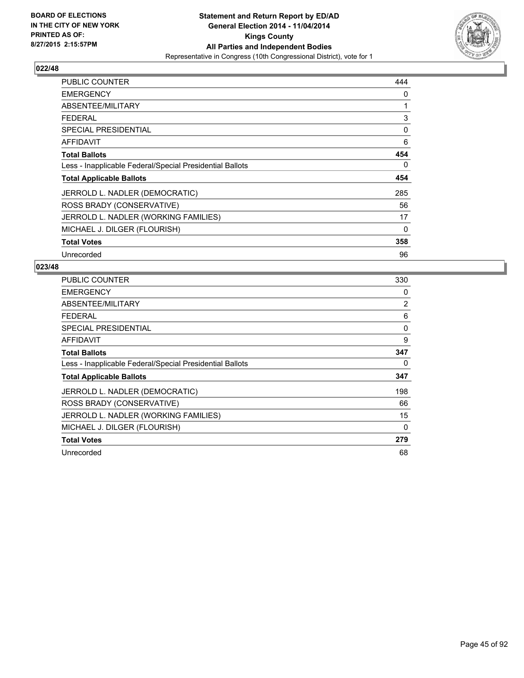

| <b>PUBLIC COUNTER</b>                                    | 444 |
|----------------------------------------------------------|-----|
| <b>EMERGENCY</b>                                         | 0   |
| ABSENTEE/MILITARY                                        | 1   |
| <b>FEDERAL</b>                                           | 3   |
| <b>SPECIAL PRESIDENTIAL</b>                              | 0   |
| AFFIDAVIT                                                | 6   |
| <b>Total Ballots</b>                                     | 454 |
| Less - Inapplicable Federal/Special Presidential Ballots | 0   |
| <b>Total Applicable Ballots</b>                          | 454 |
| JERROLD L. NADLER (DEMOCRATIC)                           | 285 |
| ROSS BRADY (CONSERVATIVE)                                | 56  |
| JERROLD L. NADLER (WORKING FAMILIES)                     | 17  |
| MICHAEL J. DILGER (FLOURISH)                             | 0   |
| <b>Total Votes</b>                                       | 358 |
| Unrecorded                                               | 96  |

| <b>PUBLIC COUNTER</b>                                    | 330 |
|----------------------------------------------------------|-----|
| <b>EMERGENCY</b>                                         | 0   |
| ABSENTEE/MILITARY                                        | 2   |
| <b>FEDERAL</b>                                           | 6   |
| <b>SPECIAL PRESIDENTIAL</b>                              | 0   |
| <b>AFFIDAVIT</b>                                         | 9   |
| <b>Total Ballots</b>                                     | 347 |
| Less - Inapplicable Federal/Special Presidential Ballots | 0   |
| <b>Total Applicable Ballots</b>                          | 347 |
| JERROLD L. NADLER (DEMOCRATIC)                           | 198 |
| ROSS BRADY (CONSERVATIVE)                                | 66  |
| JERROLD L. NADLER (WORKING FAMILIES)                     | 15  |
| MICHAEL J. DILGER (FLOURISH)                             | 0   |
| <b>Total Votes</b>                                       | 279 |
| Unrecorded                                               | 68  |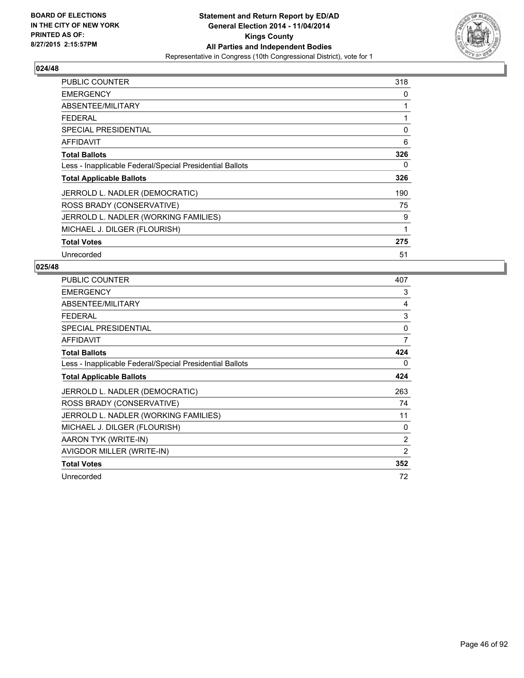

| <b>PUBLIC COUNTER</b>                                    | 318 |
|----------------------------------------------------------|-----|
| <b>EMERGENCY</b>                                         | 0   |
| ABSENTEE/MILITARY                                        | 1   |
| <b>FEDERAL</b>                                           | 1   |
| <b>SPECIAL PRESIDENTIAL</b>                              | 0   |
| AFFIDAVIT                                                | 6   |
| <b>Total Ballots</b>                                     | 326 |
| Less - Inapplicable Federal/Special Presidential Ballots | 0   |
| <b>Total Applicable Ballots</b>                          | 326 |
| JERROLD L. NADLER (DEMOCRATIC)                           | 190 |
| ROSS BRADY (CONSERVATIVE)                                | 75  |
| JERROLD L. NADLER (WORKING FAMILIES)                     | 9   |
| MICHAEL J. DILGER (FLOURISH)                             | 1   |
| <b>Total Votes</b>                                       | 275 |
| Unrecorded                                               | 51  |

| <b>PUBLIC COUNTER</b>                                    | 407          |
|----------------------------------------------------------|--------------|
| <b>EMERGENCY</b>                                         | 3            |
| ABSENTEE/MILITARY                                        | 4            |
| <b>FEDERAL</b>                                           | 3            |
| <b>SPECIAL PRESIDENTIAL</b>                              | $\mathbf{0}$ |
| <b>AFFIDAVIT</b>                                         | 7            |
| <b>Total Ballots</b>                                     | 424          |
| Less - Inapplicable Federal/Special Presidential Ballots | 0            |
| <b>Total Applicable Ballots</b>                          | 424          |
| JERROLD L. NADLER (DEMOCRATIC)                           | 263          |
| ROSS BRADY (CONSERVATIVE)                                | 74           |
| JERROLD L. NADLER (WORKING FAMILIES)                     | 11           |
| MICHAEL J. DILGER (FLOURISH)                             | 0            |
| AARON TYK (WRITE-IN)                                     | 2            |
| AVIGDOR MILLER (WRITE-IN)                                | 2            |
| <b>Total Votes</b>                                       | 352          |
| Unrecorded                                               | 72           |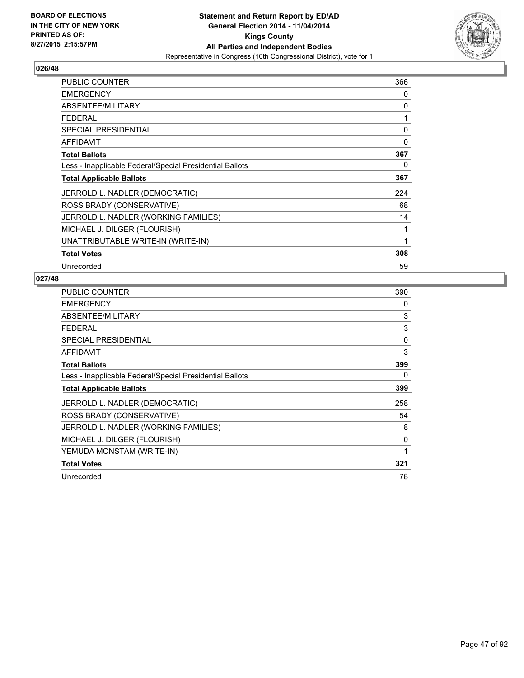

| <b>PUBLIC COUNTER</b>                                    | 366 |
|----------------------------------------------------------|-----|
| <b>EMERGENCY</b>                                         | 0   |
| ABSENTEE/MILITARY                                        | 0   |
| <b>FEDERAL</b>                                           | 1   |
| <b>SPECIAL PRESIDENTIAL</b>                              | 0   |
| AFFIDAVIT                                                | 0   |
| <b>Total Ballots</b>                                     | 367 |
| Less - Inapplicable Federal/Special Presidential Ballots | 0   |
| <b>Total Applicable Ballots</b>                          | 367 |
| JERROLD L. NADLER (DEMOCRATIC)                           | 224 |
| ROSS BRADY (CONSERVATIVE)                                | 68  |
| JERROLD L. NADLER (WORKING FAMILIES)                     | 14  |
| MICHAEL J. DILGER (FLOURISH)                             | 1   |
| UNATTRIBUTABLE WRITE-IN (WRITE-IN)                       | 1   |
| <b>Total Votes</b>                                       | 308 |
| Unrecorded                                               | 59  |

| <b>PUBLIC COUNTER</b>                                    | 390 |
|----------------------------------------------------------|-----|
| <b>EMERGENCY</b>                                         | 0   |
| ABSENTEE/MILITARY                                        | 3   |
| <b>FEDERAL</b>                                           | 3   |
| <b>SPECIAL PRESIDENTIAL</b>                              | 0   |
| <b>AFFIDAVIT</b>                                         | 3   |
| <b>Total Ballots</b>                                     | 399 |
| Less - Inapplicable Federal/Special Presidential Ballots | 0   |
| <b>Total Applicable Ballots</b>                          | 399 |
| JERROLD L. NADLER (DEMOCRATIC)                           | 258 |
| ROSS BRADY (CONSERVATIVE)                                | 54  |
| JERROLD L. NADLER (WORKING FAMILIES)                     | 8   |
| MICHAEL J. DILGER (FLOURISH)                             | 0   |
| YEMUDA MONSTAM (WRITE-IN)                                | 1   |
| <b>Total Votes</b>                                       | 321 |
| Unrecorded                                               | 78  |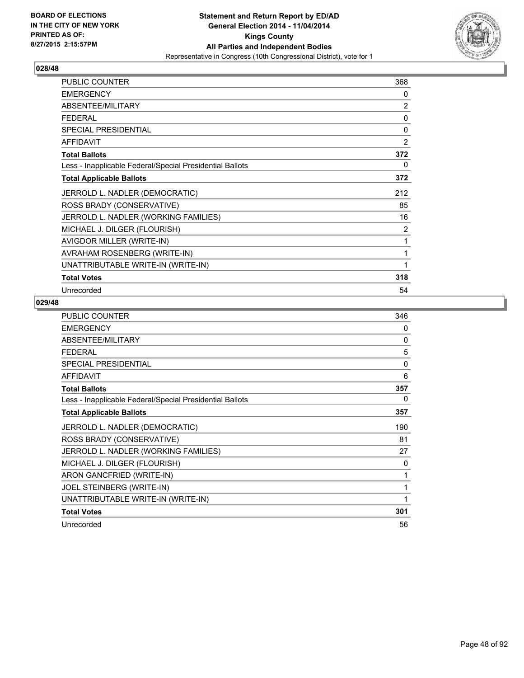

| PUBLIC COUNTER                                           | 368          |
|----------------------------------------------------------|--------------|
| <b>EMERGENCY</b>                                         | 0            |
| ABSENTEE/MILITARY                                        | 2            |
| <b>FEDERAL</b>                                           | $\Omega$     |
| <b>SPECIAL PRESIDENTIAL</b>                              | $\mathbf{0}$ |
| <b>AFFIDAVIT</b>                                         | 2            |
| <b>Total Ballots</b>                                     | 372          |
| Less - Inapplicable Federal/Special Presidential Ballots | 0            |
| <b>Total Applicable Ballots</b>                          | 372          |
| JERROLD L. NADLER (DEMOCRATIC)                           | 212          |
| ROSS BRADY (CONSERVATIVE)                                | 85           |
| JERROLD L. NADLER (WORKING FAMILIES)                     | 16           |
| MICHAEL J. DILGER (FLOURISH)                             | 2            |
| AVIGDOR MILLER (WRITE-IN)                                | 1            |
| AVRAHAM ROSENBERG (WRITE-IN)                             | 1            |
| UNATTRIBUTABLE WRITE-IN (WRITE-IN)                       | 1            |
| <b>Total Votes</b>                                       | 318          |
| Unrecorded                                               | 54           |

| PUBLIC COUNTER                                           | 346 |
|----------------------------------------------------------|-----|
| <b>EMERGENCY</b>                                         | 0   |
| ABSENTEE/MILITARY                                        | 0   |
| <b>FEDERAL</b>                                           | 5   |
| <b>SPECIAL PRESIDENTIAL</b>                              | 0   |
| <b>AFFIDAVIT</b>                                         | 6   |
| <b>Total Ballots</b>                                     | 357 |
| Less - Inapplicable Federal/Special Presidential Ballots | 0   |
| <b>Total Applicable Ballots</b>                          | 357 |
| JERROLD L. NADLER (DEMOCRATIC)                           | 190 |
| ROSS BRADY (CONSERVATIVE)                                | 81  |
| JERROLD L. NADLER (WORKING FAMILIES)                     | 27  |
| MICHAEL J. DILGER (FLOURISH)                             | 0   |
| ARON GANCFRIED (WRITE-IN)                                | 1   |
| JOEL STEINBERG (WRITE-IN)                                | 1   |
| UNATTRIBUTABLE WRITE-IN (WRITE-IN)                       | 1   |
| <b>Total Votes</b>                                       | 301 |
| Unrecorded                                               | 56  |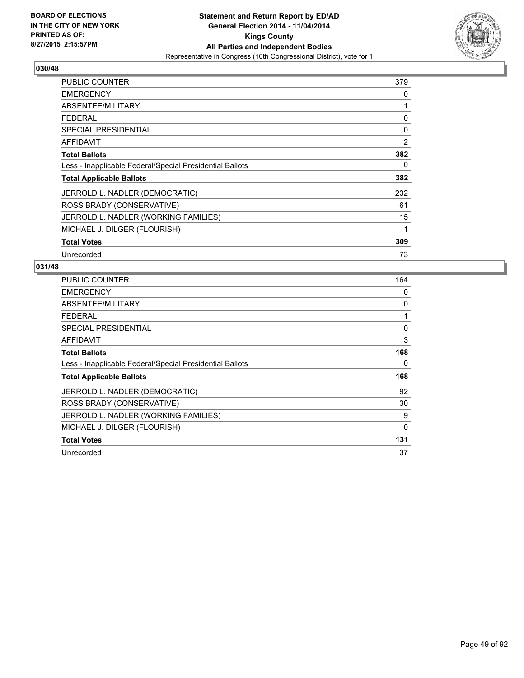

| PUBLIC COUNTER                                           | 379            |
|----------------------------------------------------------|----------------|
| <b>EMERGENCY</b>                                         | 0              |
| ABSENTEE/MILITARY                                        | 1              |
| <b>FEDERAL</b>                                           | 0              |
| <b>SPECIAL PRESIDENTIAL</b>                              | 0              |
| <b>AFFIDAVIT</b>                                         | $\overline{2}$ |
| <b>Total Ballots</b>                                     | 382            |
| Less - Inapplicable Federal/Special Presidential Ballots | 0              |
| <b>Total Applicable Ballots</b>                          | 382            |
| JERROLD L. NADLER (DEMOCRATIC)                           | 232            |
| ROSS BRADY (CONSERVATIVE)                                | 61             |
| JERROLD L. NADLER (WORKING FAMILIES)                     | 15             |
| MICHAEL J. DILGER (FLOURISH)                             | 1              |
| <b>Total Votes</b>                                       | 309            |
| Unrecorded                                               | 73             |

| PUBLIC COUNTER                                           | 164      |
|----------------------------------------------------------|----------|
| <b>EMERGENCY</b>                                         | 0        |
| ABSENTEE/MILITARY                                        | 0        |
| <b>FEDERAL</b>                                           | 1        |
| <b>SPECIAL PRESIDENTIAL</b>                              | 0        |
| AFFIDAVIT                                                | 3        |
| <b>Total Ballots</b>                                     | 168      |
| Less - Inapplicable Federal/Special Presidential Ballots | 0        |
| <b>Total Applicable Ballots</b>                          | 168      |
| JERROLD L. NADLER (DEMOCRATIC)                           | 92       |
| ROSS BRADY (CONSERVATIVE)                                | 30       |
| JERROLD L. NADLER (WORKING FAMILIES)                     | 9        |
| MICHAEL J. DILGER (FLOURISH)                             | $\Omega$ |
| <b>Total Votes</b>                                       | 131      |
| Unrecorded                                               | 37       |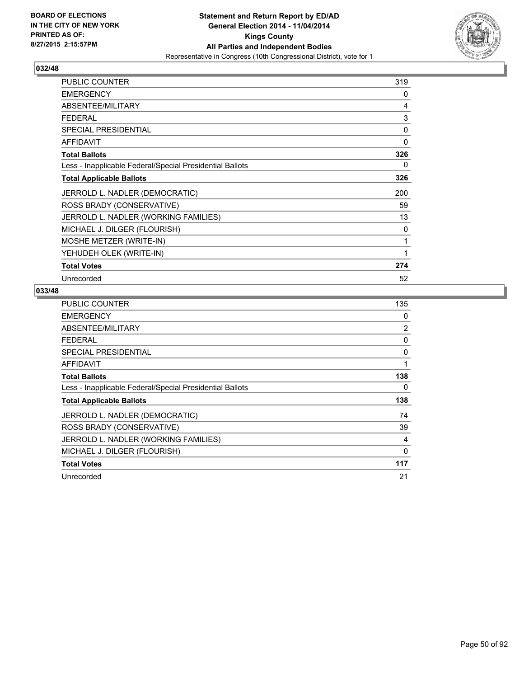

| <b>PUBLIC COUNTER</b>                                    | 319 |
|----------------------------------------------------------|-----|
| <b>EMERGENCY</b>                                         | 0   |
| ABSENTEE/MILITARY                                        | 4   |
| <b>FEDERAL</b>                                           | 3   |
| <b>SPECIAL PRESIDENTIAL</b>                              | 0   |
| <b>AFFIDAVIT</b>                                         | 0   |
| <b>Total Ballots</b>                                     | 326 |
| Less - Inapplicable Federal/Special Presidential Ballots | 0   |
| <b>Total Applicable Ballots</b>                          | 326 |
| JERROLD L. NADLER (DEMOCRATIC)                           | 200 |
| ROSS BRADY (CONSERVATIVE)                                | 59  |
| JERROLD L. NADLER (WORKING FAMILIES)                     | 13  |
| MICHAEL J. DILGER (FLOURISH)                             | 0   |
| MOSHE METZER (WRITE-IN)                                  | 1   |
| YEHUDEH OLEK (WRITE-IN)                                  | 1   |
| <b>Total Votes</b>                                       | 274 |
| Unrecorded                                               | 52  |

| <b>PUBLIC COUNTER</b>                                    | 135 |
|----------------------------------------------------------|-----|
| <b>EMERGENCY</b>                                         | 0   |
| ABSENTEE/MILITARY                                        | 2   |
| <b>FEDERAL</b>                                           | 0   |
| <b>SPECIAL PRESIDENTIAL</b>                              | 0   |
| AFFIDAVIT                                                | 1   |
| <b>Total Ballots</b>                                     | 138 |
| Less - Inapplicable Federal/Special Presidential Ballots | 0   |
| <b>Total Applicable Ballots</b>                          | 138 |
| JERROLD L. NADLER (DEMOCRATIC)                           | 74  |
| ROSS BRADY (CONSERVATIVE)                                | 39  |
| JERROLD L. NADLER (WORKING FAMILIES)                     | 4   |
| MICHAEL J. DILGER (FLOURISH)                             | 0   |
| <b>Total Votes</b>                                       | 117 |
| Unrecorded                                               | 21  |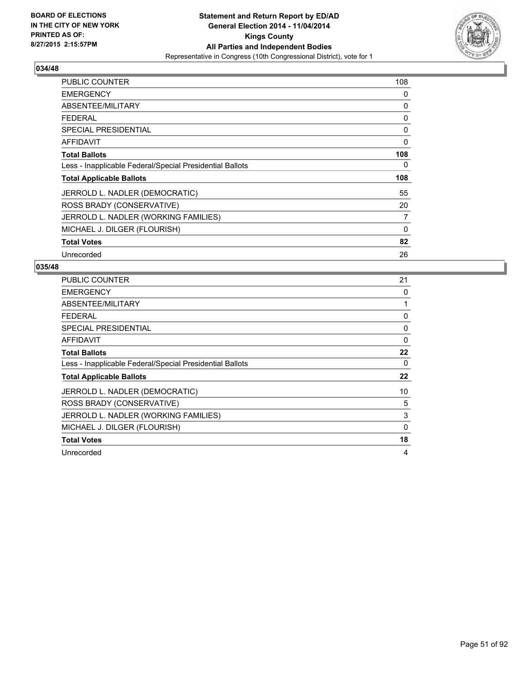

| <b>PUBLIC COUNTER</b>                                    | 108 |
|----------------------------------------------------------|-----|
| <b>EMERGENCY</b>                                         | 0   |
| ABSENTEE/MILITARY                                        | 0   |
| <b>FEDERAL</b>                                           | 0   |
| <b>SPECIAL PRESIDENTIAL</b>                              | 0   |
| AFFIDAVIT                                                | 0   |
| <b>Total Ballots</b>                                     | 108 |
| Less - Inapplicable Federal/Special Presidential Ballots | 0   |
| <b>Total Applicable Ballots</b>                          | 108 |
| JERROLD L. NADLER (DEMOCRATIC)                           | 55  |
| ROSS BRADY (CONSERVATIVE)                                | 20  |
| JERROLD L. NADLER (WORKING FAMILIES)                     | 7   |
| MICHAEL J. DILGER (FLOURISH)                             | 0   |
| <b>Total Votes</b>                                       | 82  |
| Unrecorded                                               | 26  |

| <b>PUBLIC COUNTER</b>                                    | 21 |
|----------------------------------------------------------|----|
| <b>EMERGENCY</b>                                         | 0  |
| ABSENTEE/MILITARY                                        |    |
| <b>FEDERAL</b>                                           | 0  |
| <b>SPECIAL PRESIDENTIAL</b>                              | 0  |
| <b>AFFIDAVIT</b>                                         | 0  |
| <b>Total Ballots</b>                                     | 22 |
| Less - Inapplicable Federal/Special Presidential Ballots | 0  |
| <b>Total Applicable Ballots</b>                          | 22 |
| JERROLD L. NADLER (DEMOCRATIC)                           | 10 |
| ROSS BRADY (CONSERVATIVE)                                | 5  |
| JERROLD L. NADLER (WORKING FAMILIES)                     | 3  |
| MICHAEL J. DILGER (FLOURISH)                             | 0  |
| <b>Total Votes</b>                                       | 18 |
| Unrecorded                                               | 4  |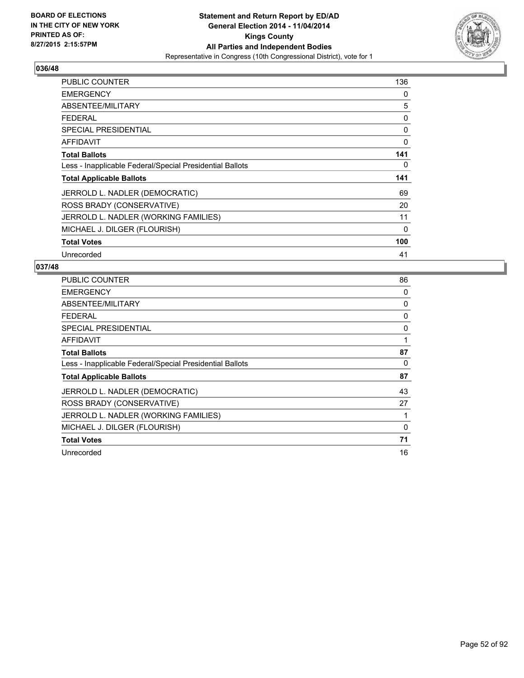

| <b>PUBLIC COUNTER</b>                                    | 136 |
|----------------------------------------------------------|-----|
| <b>EMERGENCY</b>                                         | 0   |
| ABSENTEE/MILITARY                                        | 5   |
| <b>FEDERAL</b>                                           | 0   |
| <b>SPECIAL PRESIDENTIAL</b>                              | 0   |
| <b>AFFIDAVIT</b>                                         | 0   |
| <b>Total Ballots</b>                                     | 141 |
| Less - Inapplicable Federal/Special Presidential Ballots | 0   |
| <b>Total Applicable Ballots</b>                          | 141 |
| JERROLD L. NADLER (DEMOCRATIC)                           | 69  |
| ROSS BRADY (CONSERVATIVE)                                | 20  |
| JERROLD L. NADLER (WORKING FAMILIES)                     | 11  |
| MICHAEL J. DILGER (FLOURISH)                             | 0   |
| <b>Total Votes</b>                                       | 100 |
| Unrecorded                                               | 41  |

| <b>PUBLIC COUNTER</b>                                    | 86 |
|----------------------------------------------------------|----|
| <b>EMERGENCY</b>                                         | 0  |
| ABSENTEE/MILITARY                                        | 0  |
| <b>FEDERAL</b>                                           | 0  |
| <b>SPECIAL PRESIDENTIAL</b>                              | 0  |
| <b>AFFIDAVIT</b>                                         | 1  |
| <b>Total Ballots</b>                                     | 87 |
| Less - Inapplicable Federal/Special Presidential Ballots | 0  |
| <b>Total Applicable Ballots</b>                          | 87 |
| JERROLD L. NADLER (DEMOCRATIC)                           | 43 |
| ROSS BRADY (CONSERVATIVE)                                | 27 |
| JERROLD L. NADLER (WORKING FAMILIES)                     |    |
| MICHAEL J. DILGER (FLOURISH)                             | 0  |
| <b>Total Votes</b>                                       | 71 |
| Unrecorded                                               | 16 |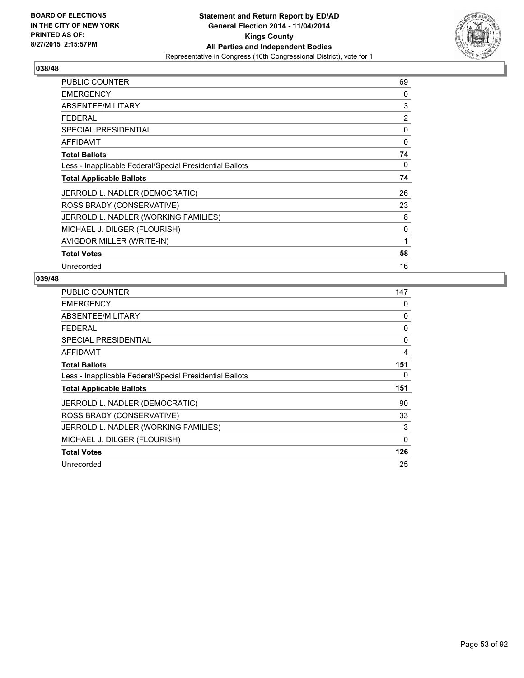

| PUBLIC COUNTER                                           | 69             |
|----------------------------------------------------------|----------------|
| <b>EMERGENCY</b>                                         | 0              |
| ABSENTEE/MILITARY                                        | 3              |
| <b>FEDERAL</b>                                           | $\overline{2}$ |
| <b>SPECIAL PRESIDENTIAL</b>                              | 0              |
| <b>AFFIDAVIT</b>                                         | 0              |
| <b>Total Ballots</b>                                     | 74             |
| Less - Inapplicable Federal/Special Presidential Ballots | 0              |
| <b>Total Applicable Ballots</b>                          | 74             |
| JERROLD L. NADLER (DEMOCRATIC)                           | 26             |
| ROSS BRADY (CONSERVATIVE)                                | 23             |
| JERROLD L. NADLER (WORKING FAMILIES)                     | 8              |
| MICHAEL J. DILGER (FLOURISH)                             | 0              |
| AVIGDOR MILLER (WRITE-IN)                                | 1              |
| <b>Total Votes</b>                                       | 58             |
| Unrecorded                                               | 16             |

| <b>PUBLIC COUNTER</b>                                    | 147      |
|----------------------------------------------------------|----------|
| <b>EMERGENCY</b>                                         | 0        |
| ABSENTEE/MILITARY                                        | 0        |
| <b>FEDERAL</b>                                           | 0        |
| <b>SPECIAL PRESIDENTIAL</b>                              | 0        |
| <b>AFFIDAVIT</b>                                         | 4        |
| <b>Total Ballots</b>                                     | 151      |
| Less - Inapplicable Federal/Special Presidential Ballots | 0        |
| <b>Total Applicable Ballots</b>                          | 151      |
| JERROLD L. NADLER (DEMOCRATIC)                           | 90       |
| ROSS BRADY (CONSERVATIVE)                                | 33       |
| JERROLD L. NADLER (WORKING FAMILIES)                     | 3        |
| MICHAEL J. DILGER (FLOURISH)                             | $\Omega$ |
| <b>Total Votes</b>                                       | 126      |
| Unrecorded                                               | 25       |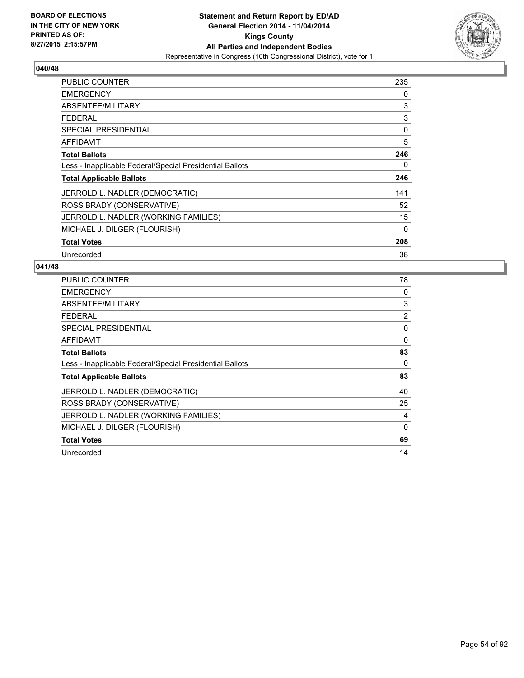

| <b>PUBLIC COUNTER</b>                                    | 235      |
|----------------------------------------------------------|----------|
| <b>EMERGENCY</b>                                         | 0        |
| ABSENTEE/MILITARY                                        | 3        |
| <b>FEDERAL</b>                                           | 3        |
| <b>SPECIAL PRESIDENTIAL</b>                              | 0        |
| AFFIDAVIT                                                | 5        |
| <b>Total Ballots</b>                                     | 246      |
| Less - Inapplicable Federal/Special Presidential Ballots | 0        |
| <b>Total Applicable Ballots</b>                          | 246      |
| JERROLD L. NADLER (DEMOCRATIC)                           | 141      |
| ROSS BRADY (CONSERVATIVE)                                | 52       |
| JERROLD L. NADLER (WORKING FAMILIES)                     | 15       |
| MICHAEL J. DILGER (FLOURISH)                             | $\Omega$ |
| <b>Total Votes</b>                                       | 208      |
| Unrecorded                                               | 38       |

| <b>PUBLIC COUNTER</b>                                    | 78 |
|----------------------------------------------------------|----|
| <b>EMERGENCY</b>                                         | 0  |
| ABSENTEE/MILITARY                                        | 3  |
| <b>FEDERAL</b>                                           | 2  |
| <b>SPECIAL PRESIDENTIAL</b>                              | 0  |
| <b>AFFIDAVIT</b>                                         | 0  |
| <b>Total Ballots</b>                                     | 83 |
| Less - Inapplicable Federal/Special Presidential Ballots | 0  |
| <b>Total Applicable Ballots</b>                          | 83 |
| JERROLD L. NADLER (DEMOCRATIC)                           | 40 |
| ROSS BRADY (CONSERVATIVE)                                | 25 |
| JERROLD L. NADLER (WORKING FAMILIES)                     | 4  |
| MICHAEL J. DILGER (FLOURISH)                             | 0  |
| <b>Total Votes</b>                                       | 69 |
| Unrecorded                                               | 14 |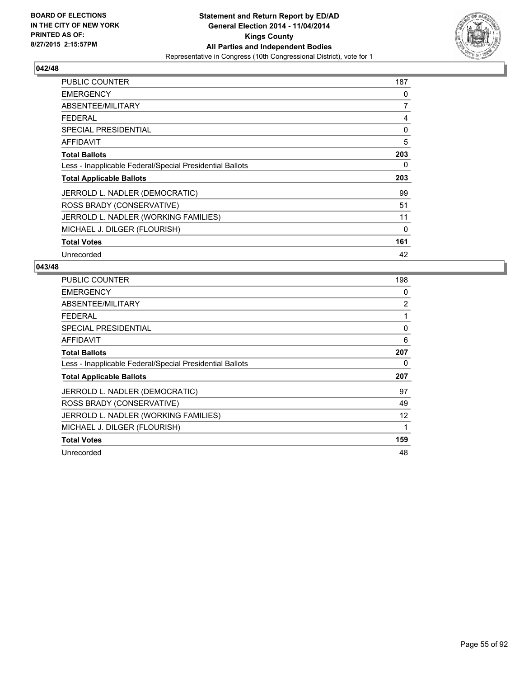

| <b>PUBLIC COUNTER</b>                                    | 187 |
|----------------------------------------------------------|-----|
| <b>EMERGENCY</b>                                         | 0   |
| ABSENTEE/MILITARY                                        | 7   |
| <b>FEDERAL</b>                                           | 4   |
| <b>SPECIAL PRESIDENTIAL</b>                              | 0   |
| AFFIDAVIT                                                | 5   |
| <b>Total Ballots</b>                                     | 203 |
| Less - Inapplicable Federal/Special Presidential Ballots | 0   |
| <b>Total Applicable Ballots</b>                          | 203 |
| JERROLD L. NADLER (DEMOCRATIC)                           | 99  |
| ROSS BRADY (CONSERVATIVE)                                | 51  |
| JERROLD L. NADLER (WORKING FAMILIES)                     | 11  |
| MICHAEL J. DILGER (FLOURISH)                             | 0   |
| <b>Total Votes</b>                                       | 161 |
| Unrecorded                                               | 42  |

| <b>PUBLIC COUNTER</b>                                    | 198            |
|----------------------------------------------------------|----------------|
| <b>EMERGENCY</b>                                         | 0              |
| ABSENTEE/MILITARY                                        | $\overline{2}$ |
| <b>FEDERAL</b>                                           | 1              |
| SPECIAL PRESIDENTIAL                                     | 0              |
| <b>AFFIDAVIT</b>                                         | 6              |
| <b>Total Ballots</b>                                     | 207            |
| Less - Inapplicable Federal/Special Presidential Ballots | 0              |
| <b>Total Applicable Ballots</b>                          | 207            |
| JERROLD L. NADLER (DEMOCRATIC)                           | 97             |
| ROSS BRADY (CONSERVATIVE)                                | 49             |
| JERROLD L. NADLER (WORKING FAMILIES)                     | 12             |
| MICHAEL J. DILGER (FLOURISH)                             | 1              |
| <b>Total Votes</b>                                       | 159            |
| Unrecorded                                               | 48             |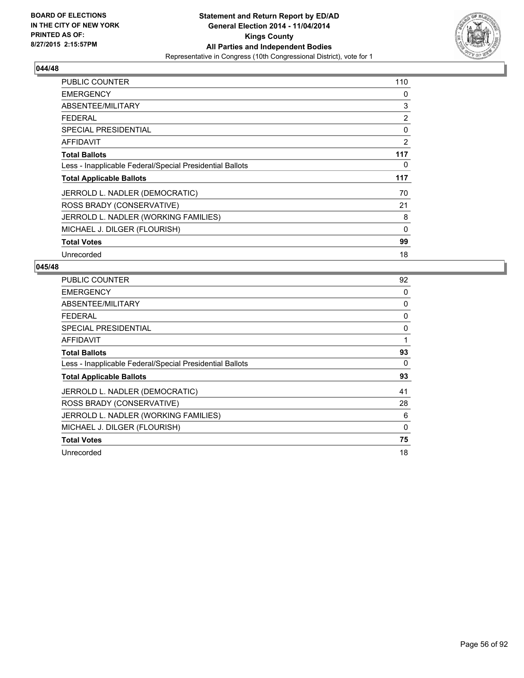

| <b>PUBLIC COUNTER</b>                                    | 110         |
|----------------------------------------------------------|-------------|
| <b>EMERGENCY</b>                                         | 0           |
| ABSENTEE/MILITARY                                        | 3           |
| <b>FEDERAL</b>                                           | 2           |
| <b>SPECIAL PRESIDENTIAL</b>                              | 0           |
| AFFIDAVIT                                                | 2           |
| <b>Total Ballots</b>                                     | 117         |
| Less - Inapplicable Federal/Special Presidential Ballots | 0           |
| <b>Total Applicable Ballots</b>                          | 117         |
| JERROLD L. NADLER (DEMOCRATIC)                           | 70          |
| ROSS BRADY (CONSERVATIVE)                                | 21          |
| JERROLD L. NADLER (WORKING FAMILIES)                     | 8           |
| MICHAEL J. DILGER (FLOURISH)                             | $\mathbf 0$ |
| <b>Total Votes</b>                                       | 99          |
| Unrecorded                                               | 18          |

| <b>PUBLIC COUNTER</b>                                    | 92 |
|----------------------------------------------------------|----|
| <b>EMERGENCY</b>                                         | 0  |
| ABSENTEE/MILITARY                                        | 0  |
| <b>FEDERAL</b>                                           | 0  |
| SPECIAL PRESIDENTIAL                                     | 0  |
| <b>AFFIDAVIT</b>                                         | 1  |
| <b>Total Ballots</b>                                     | 93 |
| Less - Inapplicable Federal/Special Presidential Ballots | 0  |
| <b>Total Applicable Ballots</b>                          | 93 |
| JERROLD L. NADLER (DEMOCRATIC)                           | 41 |
| ROSS BRADY (CONSERVATIVE)                                | 28 |
| JERROLD L. NADLER (WORKING FAMILIES)                     | 6  |
| MICHAEL J. DILGER (FLOURISH)                             | 0  |
| <b>Total Votes</b>                                       | 75 |
| Unrecorded                                               | 18 |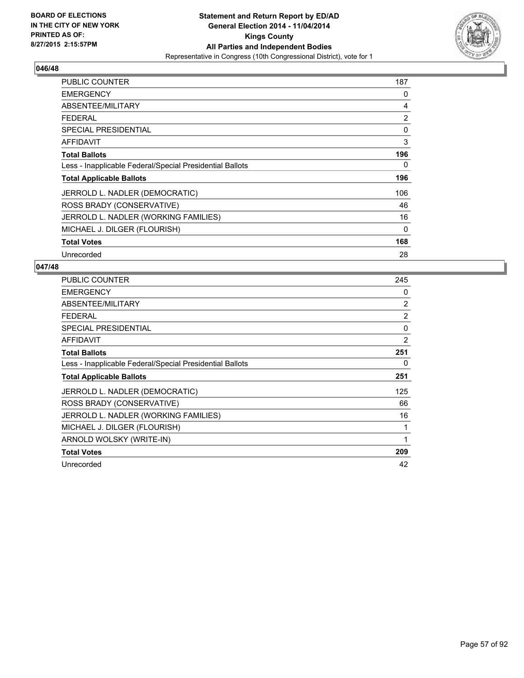

| <b>PUBLIC COUNTER</b>                                    | 187 |
|----------------------------------------------------------|-----|
| <b>EMERGENCY</b>                                         | 0   |
| ABSENTEE/MILITARY                                        | 4   |
| <b>FEDERAL</b>                                           | 2   |
| <b>SPECIAL PRESIDENTIAL</b>                              | 0   |
| AFFIDAVIT                                                | 3   |
| <b>Total Ballots</b>                                     | 196 |
| Less - Inapplicable Federal/Special Presidential Ballots | 0   |
| <b>Total Applicable Ballots</b>                          | 196 |
| JERROLD L. NADLER (DEMOCRATIC)                           | 106 |
| ROSS BRADY (CONSERVATIVE)                                | 46  |
| JERROLD L. NADLER (WORKING FAMILIES)                     | 16  |
| MICHAEL J. DILGER (FLOURISH)                             | 0   |
| <b>Total Votes</b>                                       | 168 |
| Unrecorded                                               | 28  |

| <b>PUBLIC COUNTER</b>                                    | 245            |
|----------------------------------------------------------|----------------|
| <b>EMERGENCY</b>                                         | 0              |
| ABSENTEE/MILITARY                                        | 2              |
| <b>FEDERAL</b>                                           | $\overline{2}$ |
| <b>SPECIAL PRESIDENTIAL</b>                              | 0              |
| <b>AFFIDAVIT</b>                                         | 2              |
| <b>Total Ballots</b>                                     | 251            |
| Less - Inapplicable Federal/Special Presidential Ballots | 0              |
| <b>Total Applicable Ballots</b>                          | 251            |
| JERROLD L. NADLER (DEMOCRATIC)                           | 125            |
| ROSS BRADY (CONSERVATIVE)                                | 66             |
| JERROLD L. NADLER (WORKING FAMILIES)                     | 16             |
| MICHAEL J. DILGER (FLOURISH)                             | 1              |
| ARNOLD WOLSKY (WRITE-IN)                                 | 1              |
| <b>Total Votes</b>                                       | 209            |
| Unrecorded                                               | 42             |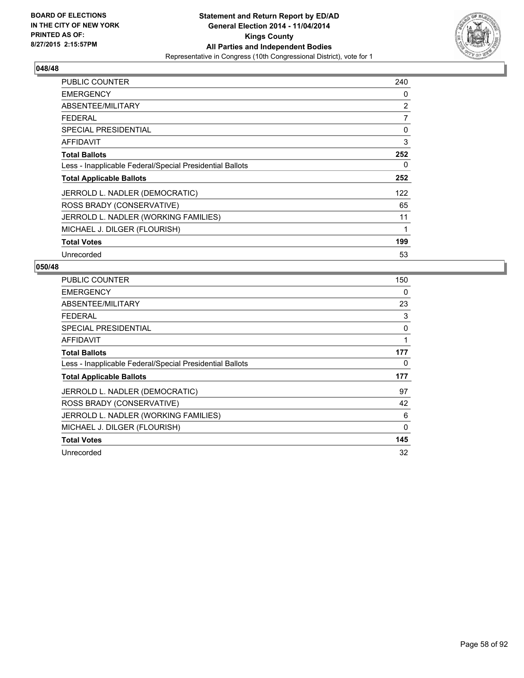

| <b>PUBLIC COUNTER</b>                                    | 240 |
|----------------------------------------------------------|-----|
| <b>EMERGENCY</b>                                         | 0   |
| ABSENTEE/MILITARY                                        | 2   |
| <b>FEDERAL</b>                                           | 7   |
| <b>SPECIAL PRESIDENTIAL</b>                              | 0   |
| AFFIDAVIT                                                | 3   |
| <b>Total Ballots</b>                                     | 252 |
| Less - Inapplicable Federal/Special Presidential Ballots | 0   |
| <b>Total Applicable Ballots</b>                          | 252 |
| JERROLD L. NADLER (DEMOCRATIC)                           | 122 |
| ROSS BRADY (CONSERVATIVE)                                | 65  |
| JERROLD L. NADLER (WORKING FAMILIES)                     | 11  |
| MICHAEL J. DILGER (FLOURISH)                             | 1   |
| <b>Total Votes</b>                                       | 199 |
| Unrecorded                                               | 53  |

| PUBLIC COUNTER                                           | 150      |
|----------------------------------------------------------|----------|
| <b>EMERGENCY</b>                                         | 0        |
| ABSENTEE/MILITARY                                        | 23       |
| <b>FEDERAL</b>                                           | 3        |
| <b>SPECIAL PRESIDENTIAL</b>                              | 0        |
| AFFIDAVIT                                                | 1        |
| <b>Total Ballots</b>                                     | 177      |
| Less - Inapplicable Federal/Special Presidential Ballots | 0        |
| <b>Total Applicable Ballots</b>                          | 177      |
| JERROLD L. NADLER (DEMOCRATIC)                           | 97       |
| ROSS BRADY (CONSERVATIVE)                                | 42       |
| JERROLD L. NADLER (WORKING FAMILIES)                     | 6        |
| MICHAEL J. DILGER (FLOURISH)                             | $\Omega$ |
| <b>Total Votes</b>                                       | 145      |
| Unrecorded                                               | 32       |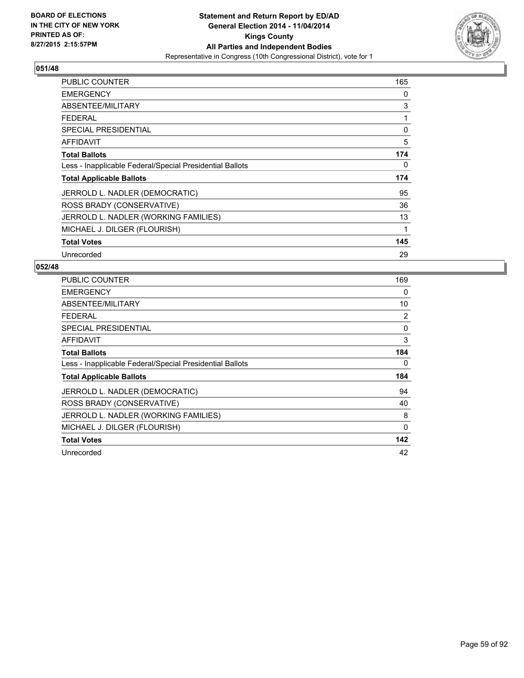

| <b>PUBLIC COUNTER</b>                                    | 165 |
|----------------------------------------------------------|-----|
| <b>EMERGENCY</b>                                         | 0   |
| ABSENTEE/MILITARY                                        | 3   |
| <b>FEDERAL</b>                                           | 1   |
| <b>SPECIAL PRESIDENTIAL</b>                              | 0   |
| AFFIDAVIT                                                | 5   |
| <b>Total Ballots</b>                                     | 174 |
| Less - Inapplicable Federal/Special Presidential Ballots | 0   |
| <b>Total Applicable Ballots</b>                          | 174 |
| JERROLD L. NADLER (DEMOCRATIC)                           | 95  |
| ROSS BRADY (CONSERVATIVE)                                | 36  |
| JERROLD L. NADLER (WORKING FAMILIES)                     | 13  |
| MICHAEL J. DILGER (FLOURISH)                             | 1   |
| <b>Total Votes</b>                                       | 145 |
| Unrecorded                                               | 29  |

| <b>PUBLIC COUNTER</b>                                    | 169      |
|----------------------------------------------------------|----------|
| <b>EMERGENCY</b>                                         | 0        |
| ABSENTEE/MILITARY                                        | 10       |
| <b>FEDERAL</b>                                           | 2        |
| SPECIAL PRESIDENTIAL                                     | 0        |
| AFFIDAVIT                                                | 3        |
| <b>Total Ballots</b>                                     | 184      |
| Less - Inapplicable Federal/Special Presidential Ballots | 0        |
| <b>Total Applicable Ballots</b>                          | 184      |
| JERROLD L. NADLER (DEMOCRATIC)                           | 94       |
| ROSS BRADY (CONSERVATIVE)                                | 40       |
| JERROLD L. NADLER (WORKING FAMILIES)                     | 8        |
| MICHAEL J. DILGER (FLOURISH)                             | $\Omega$ |
| <b>Total Votes</b>                                       | 142      |
| Unrecorded                                               | 42       |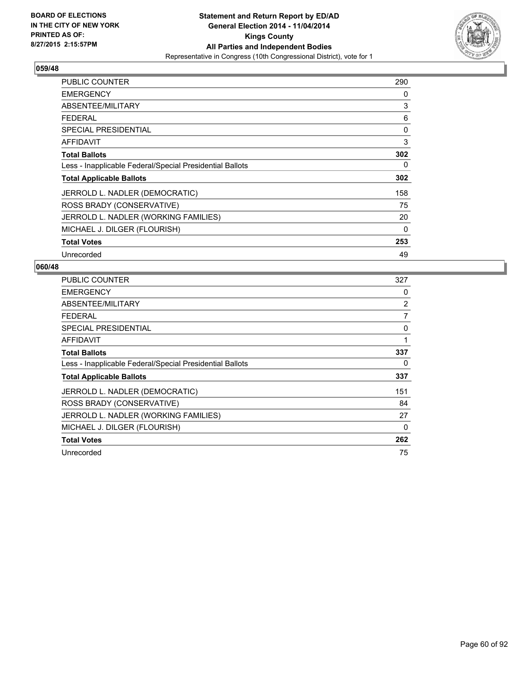

| <b>PUBLIC COUNTER</b>                                    | 290 |
|----------------------------------------------------------|-----|
| <b>EMERGENCY</b>                                         | 0   |
| ABSENTEE/MILITARY                                        | 3   |
| <b>FEDERAL</b>                                           | 6   |
| <b>SPECIAL PRESIDENTIAL</b>                              | 0   |
| AFFIDAVIT                                                | 3   |
| <b>Total Ballots</b>                                     | 302 |
| Less - Inapplicable Federal/Special Presidential Ballots | 0   |
| <b>Total Applicable Ballots</b>                          | 302 |
| JERROLD L. NADLER (DEMOCRATIC)                           | 158 |
| ROSS BRADY (CONSERVATIVE)                                | 75  |
| JERROLD L. NADLER (WORKING FAMILIES)                     | 20  |
| MICHAEL J. DILGER (FLOURISH)                             | 0   |
| <b>Total Votes</b>                                       | 253 |
| Unrecorded                                               | 49  |

| PUBLIC COUNTER                                           | 327 |
|----------------------------------------------------------|-----|
| <b>EMERGENCY</b>                                         | 0   |
| ABSENTEE/MILITARY                                        | 2   |
| <b>FEDERAL</b>                                           | 7   |
| SPECIAL PRESIDENTIAL                                     | 0   |
| AFFIDAVIT                                                | 1   |
| <b>Total Ballots</b>                                     | 337 |
| Less - Inapplicable Federal/Special Presidential Ballots | 0   |
| <b>Total Applicable Ballots</b>                          | 337 |
| JERROLD L. NADLER (DEMOCRATIC)                           | 151 |
| ROSS BRADY (CONSERVATIVE)                                | 84  |
| JERROLD L. NADLER (WORKING FAMILIES)                     | 27  |
| MICHAEL J. DILGER (FLOURISH)                             | 0   |
| <b>Total Votes</b>                                       | 262 |
| Unrecorded                                               | 75  |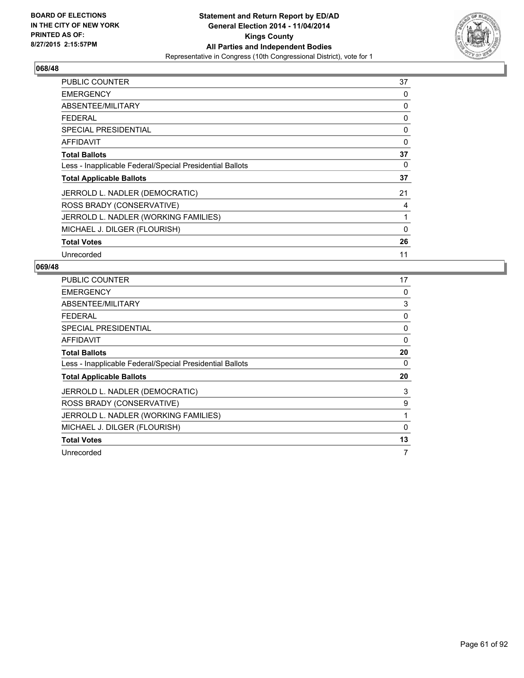

| <b>PUBLIC COUNTER</b>                                    | 37 |
|----------------------------------------------------------|----|
| <b>EMERGENCY</b>                                         | 0  |
| ABSENTEE/MILITARY                                        | 0  |
| <b>FEDERAL</b>                                           | 0  |
| <b>SPECIAL PRESIDENTIAL</b>                              | 0  |
| <b>AFFIDAVIT</b>                                         | 0  |
| <b>Total Ballots</b>                                     | 37 |
| Less - Inapplicable Federal/Special Presidential Ballots | 0  |
| <b>Total Applicable Ballots</b>                          | 37 |
| JERROLD L. NADLER (DEMOCRATIC)                           | 21 |
| ROSS BRADY (CONSERVATIVE)                                | 4  |
| JERROLD L. NADLER (WORKING FAMILIES)                     | 1  |
| MICHAEL J. DILGER (FLOURISH)                             | 0  |
| <b>Total Votes</b>                                       | 26 |
| Unrecorded                                               | 11 |

| <b>PUBLIC COUNTER</b>                                    | 17 |
|----------------------------------------------------------|----|
| <b>EMERGENCY</b>                                         | 0  |
| ABSENTEE/MILITARY                                        | 3  |
| <b>FEDERAL</b>                                           | 0  |
| <b>SPECIAL PRESIDENTIAL</b>                              | 0  |
| AFFIDAVIT                                                | 0  |
| <b>Total Ballots</b>                                     | 20 |
| Less - Inapplicable Federal/Special Presidential Ballots | 0  |
| <b>Total Applicable Ballots</b>                          | 20 |
| JERROLD L. NADLER (DEMOCRATIC)                           | 3  |
| ROSS BRADY (CONSERVATIVE)                                | 9  |
| JERROLD L. NADLER (WORKING FAMILIES)                     | 1  |
| MICHAEL J. DILGER (FLOURISH)                             | 0  |
| <b>Total Votes</b>                                       | 13 |
| Unrecorded                                               | 7  |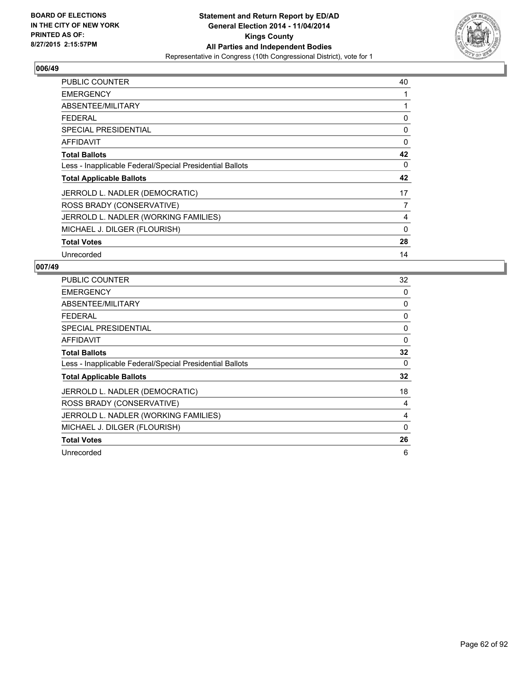

| <b>PUBLIC COUNTER</b>                                    | 40 |
|----------------------------------------------------------|----|
| <b>EMERGENCY</b>                                         | 1  |
| ABSENTEE/MILITARY                                        |    |
| <b>FEDERAL</b>                                           | 0  |
| <b>SPECIAL PRESIDENTIAL</b>                              | 0  |
| <b>AFFIDAVIT</b>                                         | 0  |
| <b>Total Ballots</b>                                     | 42 |
| Less - Inapplicable Federal/Special Presidential Ballots | 0  |
| <b>Total Applicable Ballots</b>                          | 42 |
| JERROLD L. NADLER (DEMOCRATIC)                           | 17 |
| ROSS BRADY (CONSERVATIVE)                                | 7  |
| JERROLD L. NADLER (WORKING FAMILIES)                     | 4  |
| MICHAEL J. DILGER (FLOURISH)                             | 0  |
| <b>Total Votes</b>                                       | 28 |
| Unrecorded                                               | 14 |

| <b>PUBLIC COUNTER</b>                                    | 32 |
|----------------------------------------------------------|----|
| <b>EMERGENCY</b>                                         | 0  |
| ABSENTEE/MILITARY                                        | 0  |
| <b>FEDERAL</b>                                           | 0  |
| <b>SPECIAL PRESIDENTIAL</b>                              | 0  |
| <b>AFFIDAVIT</b>                                         | 0  |
| <b>Total Ballots</b>                                     | 32 |
| Less - Inapplicable Federal/Special Presidential Ballots | 0  |
| <b>Total Applicable Ballots</b>                          | 32 |
| JERROLD L. NADLER (DEMOCRATIC)                           | 18 |
| ROSS BRADY (CONSERVATIVE)                                | 4  |
| JERROLD L. NADLER (WORKING FAMILIES)                     | 4  |
| MICHAEL J. DILGER (FLOURISH)                             | 0  |
| <b>Total Votes</b>                                       | 26 |
| Unrecorded                                               | 6  |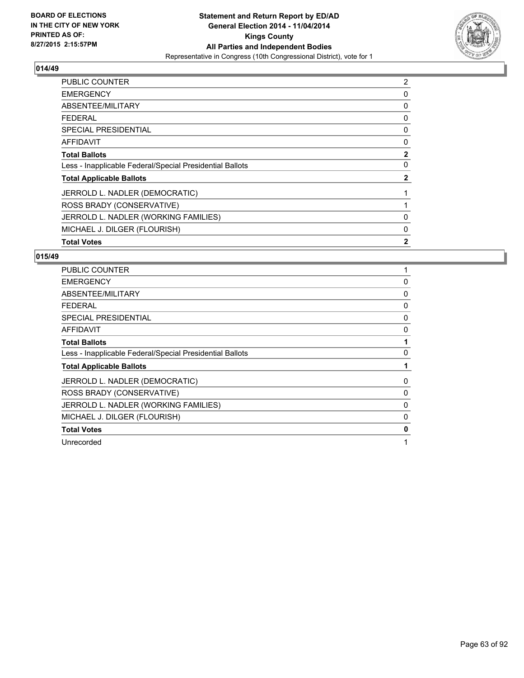

| <b>PUBLIC COUNTER</b>                                    | 2            |
|----------------------------------------------------------|--------------|
| <b>EMERGENCY</b>                                         | 0            |
| ABSENTEE/MILITARY                                        | 0            |
| <b>FEDERAL</b>                                           | 0            |
| SPECIAL PRESIDENTIAL                                     | 0            |
| <b>AFFIDAVIT</b>                                         | 0            |
| <b>Total Ballots</b>                                     | $\mathbf{2}$ |
| Less - Inapplicable Federal/Special Presidential Ballots | 0            |
| <b>Total Applicable Ballots</b>                          | $\mathbf{2}$ |
| JERROLD L. NADLER (DEMOCRATIC)                           |              |
| ROSS BRADY (CONSERVATIVE)                                |              |
| JERROLD L. NADLER (WORKING FAMILIES)                     | 0            |
| MICHAEL J. DILGER (FLOURISH)                             | 0            |
| <b>Total Votes</b>                                       | $\mathbf{2}$ |

| <b>PUBLIC COUNTER</b>                                    |   |
|----------------------------------------------------------|---|
| <b>EMERGENCY</b>                                         | 0 |
| ABSENTEE/MILITARY                                        | 0 |
| <b>FEDERAL</b>                                           | 0 |
| <b>SPECIAL PRESIDENTIAL</b>                              | 0 |
| AFFIDAVIT                                                | 0 |
| <b>Total Ballots</b>                                     |   |
| Less - Inapplicable Federal/Special Presidential Ballots | 0 |
| <b>Total Applicable Ballots</b>                          |   |
| JERROLD L. NADLER (DEMOCRATIC)                           | 0 |
| ROSS BRADY (CONSERVATIVE)                                | 0 |
| JERROLD L. NADLER (WORKING FAMILIES)                     | 0 |
| MICHAEL J. DILGER (FLOURISH)                             | 0 |
| <b>Total Votes</b>                                       | 0 |
| Unrecorded                                               |   |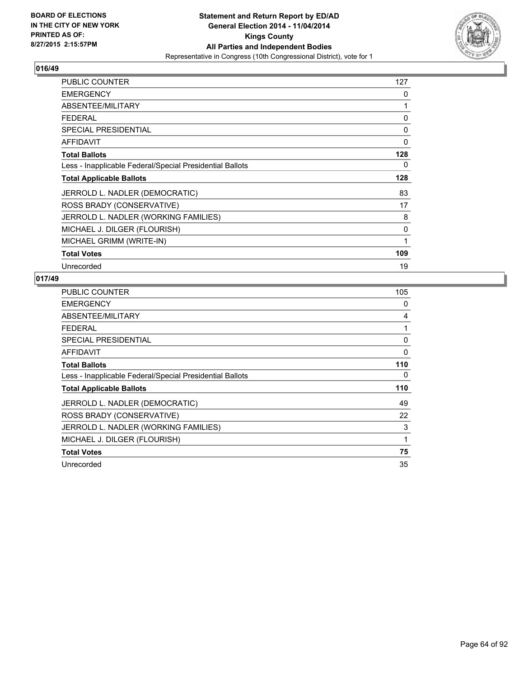

| <b>PUBLIC COUNTER</b>                                    | 127 |
|----------------------------------------------------------|-----|
| <b>EMERGENCY</b>                                         | 0   |
| ABSENTEE/MILITARY                                        | 1   |
| <b>FEDERAL</b>                                           | 0   |
| <b>SPECIAL PRESIDENTIAL</b>                              | 0   |
| <b>AFFIDAVIT</b>                                         | 0   |
| <b>Total Ballots</b>                                     | 128 |
| Less - Inapplicable Federal/Special Presidential Ballots | 0   |
| <b>Total Applicable Ballots</b>                          | 128 |
| JERROLD L. NADLER (DEMOCRATIC)                           | 83  |
| ROSS BRADY (CONSERVATIVE)                                | 17  |
| JERROLD L. NADLER (WORKING FAMILIES)                     | 8   |
| MICHAEL J. DILGER (FLOURISH)                             | 0   |
| MICHAEL GRIMM (WRITE-IN)                                 | 1   |
| <b>Total Votes</b>                                       | 109 |
| Unrecorded                                               | 19  |

| <b>PUBLIC COUNTER</b>                                    | 105          |
|----------------------------------------------------------|--------------|
| <b>EMERGENCY</b>                                         | 0            |
| ABSENTEE/MILITARY                                        | 4            |
| <b>FEDERAL</b>                                           | 1            |
| <b>SPECIAL PRESIDENTIAL</b>                              | 0            |
| <b>AFFIDAVIT</b>                                         | 0            |
| <b>Total Ballots</b>                                     | 110          |
| Less - Inapplicable Federal/Special Presidential Ballots | 0            |
| <b>Total Applicable Ballots</b>                          | 110          |
| JERROLD L. NADLER (DEMOCRATIC)                           | 49           |
| ROSS BRADY (CONSERVATIVE)                                | 22           |
| JERROLD L. NADLER (WORKING FAMILIES)                     | 3            |
| MICHAEL J. DILGER (FLOURISH)                             | $\mathbf{1}$ |
| <b>Total Votes</b>                                       | 75           |
| Unrecorded                                               | 35           |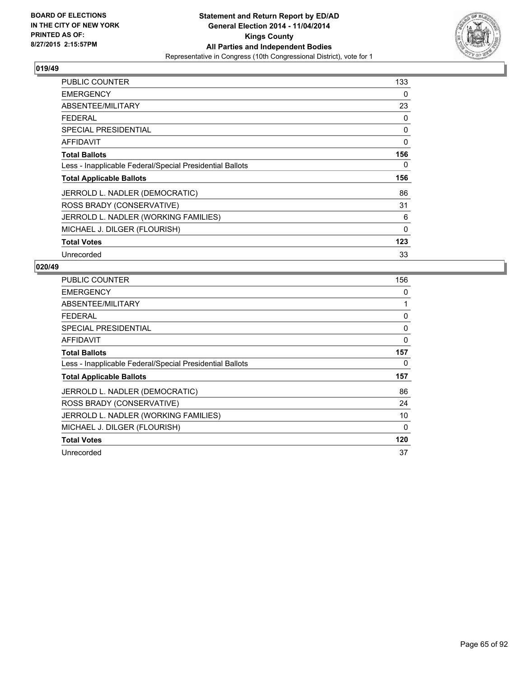

| PUBLIC COUNTER                                           | 133      |
|----------------------------------------------------------|----------|
| <b>EMERGENCY</b>                                         | 0        |
| ABSENTEE/MILITARY                                        | 23       |
| <b>FEDERAL</b>                                           | 0        |
| <b>SPECIAL PRESIDENTIAL</b>                              | 0        |
| AFFIDAVIT                                                | 0        |
| <b>Total Ballots</b>                                     | 156      |
| Less - Inapplicable Federal/Special Presidential Ballots | 0        |
| <b>Total Applicable Ballots</b>                          | 156      |
| JERROLD L. NADLER (DEMOCRATIC)                           | 86       |
| ROSS BRADY (CONSERVATIVE)                                | 31       |
| JERROLD L. NADLER (WORKING FAMILIES)                     | 6        |
| MICHAEL J. DILGER (FLOURISH)                             | $\Omega$ |
| <b>Total Votes</b>                                       | 123      |
| Unrecorded                                               | 33       |

| <b>PUBLIC COUNTER</b>                                    | 156 |
|----------------------------------------------------------|-----|
| <b>EMERGENCY</b>                                         | 0   |
| ABSENTEE/MILITARY                                        | 1   |
| <b>FEDERAL</b>                                           | 0   |
| SPECIAL PRESIDENTIAL                                     | 0   |
| AFFIDAVIT                                                | 0   |
| <b>Total Ballots</b>                                     | 157 |
| Less - Inapplicable Federal/Special Presidential Ballots | 0   |
| <b>Total Applicable Ballots</b>                          | 157 |
| JERROLD L. NADLER (DEMOCRATIC)                           | 86  |
| ROSS BRADY (CONSERVATIVE)                                | 24  |
| JERROLD L. NADLER (WORKING FAMILIES)                     | 10  |
| MICHAEL J. DILGER (FLOURISH)                             | 0   |
| <b>Total Votes</b>                                       | 120 |
| Unrecorded                                               | 37  |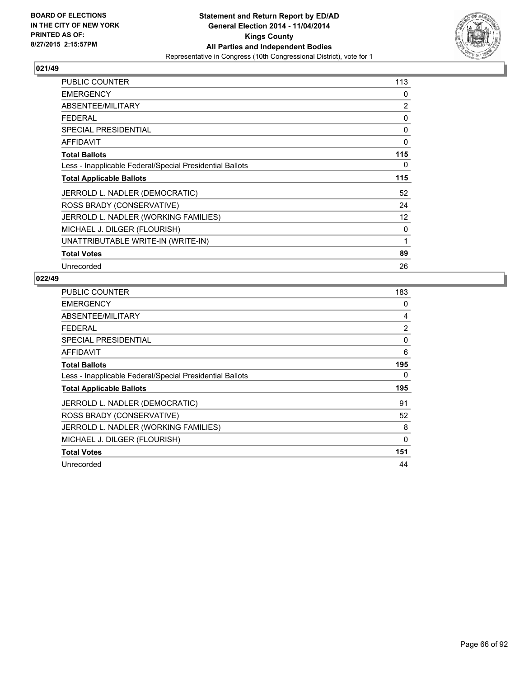

| PUBLIC COUNTER                                           | 113 |
|----------------------------------------------------------|-----|
| <b>EMERGENCY</b>                                         | 0   |
| ABSENTEE/MILITARY                                        | 2   |
| <b>FEDERAL</b>                                           | 0   |
| <b>SPECIAL PRESIDENTIAL</b>                              | 0   |
| AFFIDAVIT                                                | 0   |
| <b>Total Ballots</b>                                     | 115 |
| Less - Inapplicable Federal/Special Presidential Ballots | 0   |
| <b>Total Applicable Ballots</b>                          | 115 |
| JERROLD L. NADLER (DEMOCRATIC)                           | 52  |
| ROSS BRADY (CONSERVATIVE)                                | 24  |
| JERROLD L. NADLER (WORKING FAMILIES)                     | 12  |
| MICHAEL J. DILGER (FLOURISH)                             | 0   |
| UNATTRIBUTABLE WRITE-IN (WRITE-IN)                       | 1   |
| <b>Total Votes</b>                                       | 89  |
| Unrecorded                                               | 26  |

| <b>PUBLIC COUNTER</b>                                    | 183      |
|----------------------------------------------------------|----------|
| <b>EMERGENCY</b>                                         | 0        |
| ABSENTEE/MILITARY                                        | 4        |
| <b>FEDERAL</b>                                           | 2        |
| <b>SPECIAL PRESIDENTIAL</b>                              | 0        |
| <b>AFFIDAVIT</b>                                         | 6        |
| <b>Total Ballots</b>                                     | 195      |
| Less - Inapplicable Federal/Special Presidential Ballots | 0        |
| <b>Total Applicable Ballots</b>                          | 195      |
| JERROLD L. NADLER (DEMOCRATIC)                           | 91       |
| ROSS BRADY (CONSERVATIVE)                                | 52       |
| JERROLD L. NADLER (WORKING FAMILIES)                     | 8        |
| MICHAEL J. DILGER (FLOURISH)                             | $\Omega$ |
| <b>Total Votes</b>                                       | 151      |
| Unrecorded                                               | 44       |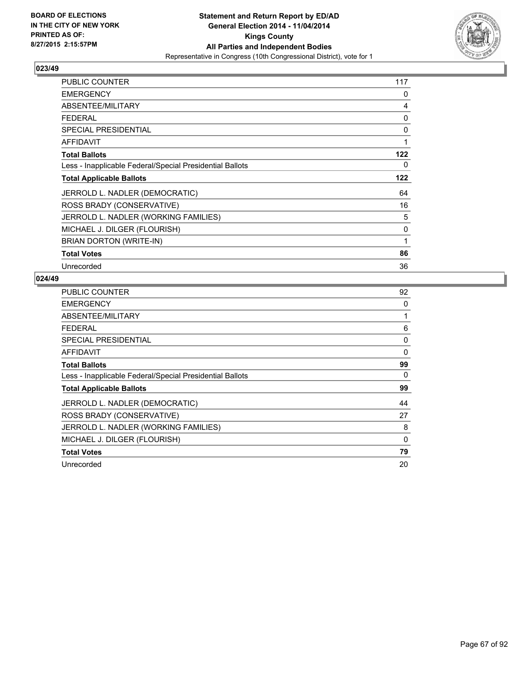

| <b>PUBLIC COUNTER</b>                                    | 117 |
|----------------------------------------------------------|-----|
| <b>EMERGENCY</b>                                         | 0   |
| ABSENTEE/MILITARY                                        | 4   |
| <b>FEDERAL</b>                                           | 0   |
| <b>SPECIAL PRESIDENTIAL</b>                              | 0   |
| <b>AFFIDAVIT</b>                                         | 1   |
| <b>Total Ballots</b>                                     | 122 |
| Less - Inapplicable Federal/Special Presidential Ballots | 0   |
| <b>Total Applicable Ballots</b>                          | 122 |
| JERROLD L. NADLER (DEMOCRATIC)                           | 64  |
| ROSS BRADY (CONSERVATIVE)                                | 16  |
| JERROLD L. NADLER (WORKING FAMILIES)                     | 5   |
| MICHAEL J. DILGER (FLOURISH)                             | 0   |
| BRIAN DORTON (WRITE-IN)                                  | 1   |
| <b>Total Votes</b>                                       | 86  |
| Unrecorded                                               | 36  |

| PUBLIC COUNTER                                           | 92 |
|----------------------------------------------------------|----|
| <b>EMERGENCY</b>                                         | 0  |
| ABSENTEE/MILITARY                                        | 1  |
| <b>FEDERAL</b>                                           | 6  |
| <b>SPECIAL PRESIDENTIAL</b>                              | 0  |
| <b>AFFIDAVIT</b>                                         | 0  |
| <b>Total Ballots</b>                                     | 99 |
| Less - Inapplicable Federal/Special Presidential Ballots | 0  |
| <b>Total Applicable Ballots</b>                          | 99 |
| JERROLD L. NADLER (DEMOCRATIC)                           | 44 |
| ROSS BRADY (CONSERVATIVE)                                | 27 |
| JERROLD L. NADLER (WORKING FAMILIES)                     | 8  |
| MICHAEL J. DILGER (FLOURISH)                             | 0  |
| <b>Total Votes</b>                                       | 79 |
| Unrecorded                                               | 20 |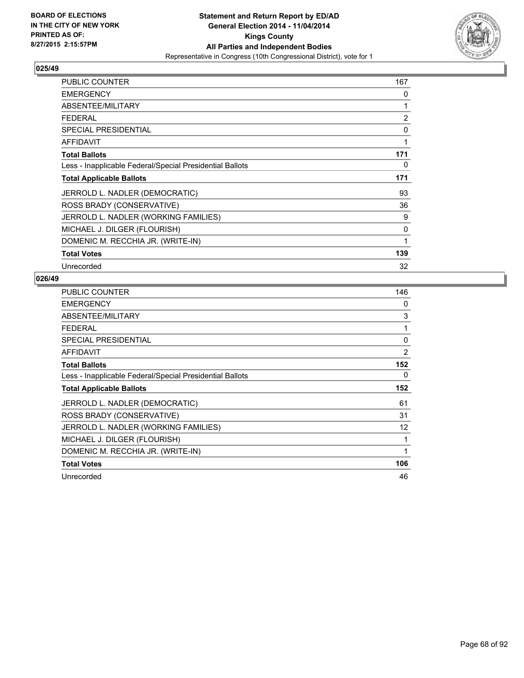

| PUBLIC COUNTER                                           | 167 |
|----------------------------------------------------------|-----|
| <b>EMERGENCY</b>                                         | 0   |
| ABSENTEE/MILITARY                                        | 1   |
| <b>FEDERAL</b>                                           | 2   |
| <b>SPECIAL PRESIDENTIAL</b>                              | 0   |
| <b>AFFIDAVIT</b>                                         | 1   |
| <b>Total Ballots</b>                                     | 171 |
| Less - Inapplicable Federal/Special Presidential Ballots | 0   |
| <b>Total Applicable Ballots</b>                          | 171 |
| JERROLD L. NADLER (DEMOCRATIC)                           | 93  |
| ROSS BRADY (CONSERVATIVE)                                | 36  |
| JERROLD L. NADLER (WORKING FAMILIES)                     | 9   |
| MICHAEL J. DILGER (FLOURISH)                             | 0   |
| DOMENIC M. RECCHIA JR. (WRITE-IN)                        | 1   |
| <b>Total Votes</b>                                       | 139 |
| Unrecorded                                               | 32  |

| PUBLIC COUNTER                                           | 146 |
|----------------------------------------------------------|-----|
| <b>EMERGENCY</b>                                         | 0   |
| ABSENTEE/MILITARY                                        | 3   |
| <b>FEDERAL</b>                                           | 1   |
| <b>SPECIAL PRESIDENTIAL</b>                              | 0   |
| <b>AFFIDAVIT</b>                                         | 2   |
| <b>Total Ballots</b>                                     | 152 |
| Less - Inapplicable Federal/Special Presidential Ballots | 0   |
| <b>Total Applicable Ballots</b>                          | 152 |
| JERROLD L. NADLER (DEMOCRATIC)                           | 61  |
| ROSS BRADY (CONSERVATIVE)                                | 31  |
| JERROLD L. NADLER (WORKING FAMILIES)                     | 12  |
| MICHAEL J. DILGER (FLOURISH)                             | 1   |
| DOMENIC M. RECCHIA JR. (WRITE-IN)                        | 1   |
| <b>Total Votes</b>                                       | 106 |
| Unrecorded                                               | 46  |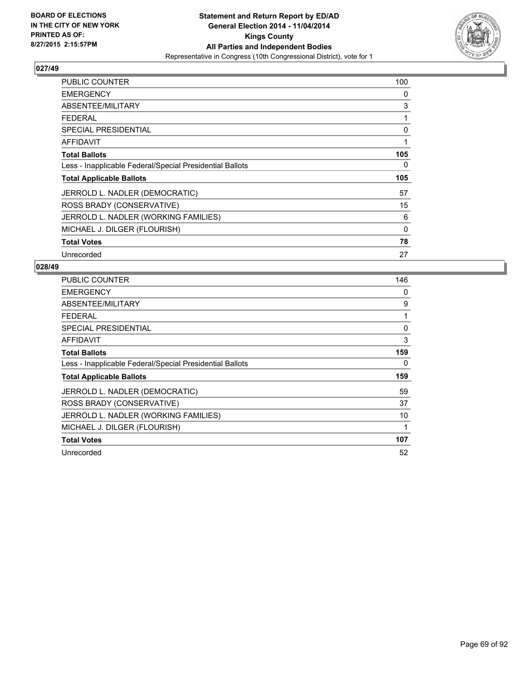

| <b>PUBLIC COUNTER</b>                                    | 100 |
|----------------------------------------------------------|-----|
| <b>EMERGENCY</b>                                         | 0   |
| ABSENTEE/MILITARY                                        | 3   |
| <b>FEDERAL</b>                                           | 1   |
| <b>SPECIAL PRESIDENTIAL</b>                              | 0   |
| AFFIDAVIT                                                | 1   |
| <b>Total Ballots</b>                                     | 105 |
| Less - Inapplicable Federal/Special Presidential Ballots | 0   |
| <b>Total Applicable Ballots</b>                          | 105 |
| JERROLD L. NADLER (DEMOCRATIC)                           | 57  |
| ROSS BRADY (CONSERVATIVE)                                | 15  |
| JERROLD L. NADLER (WORKING FAMILIES)                     | 6   |
| MICHAEL J. DILGER (FLOURISH)                             | 0   |
| <b>Total Votes</b>                                       | 78  |
| Unrecorded                                               | 27  |

| <b>PUBLIC COUNTER</b>                                    | 146 |
|----------------------------------------------------------|-----|
| <b>EMERGENCY</b>                                         | 0   |
| ABSENTEE/MILITARY                                        | 9   |
| <b>FEDERAL</b>                                           | 1   |
| <b>SPECIAL PRESIDENTIAL</b>                              | 0   |
| <b>AFFIDAVIT</b>                                         | 3   |
| <b>Total Ballots</b>                                     | 159 |
| Less - Inapplicable Federal/Special Presidential Ballots | 0   |
| <b>Total Applicable Ballots</b>                          | 159 |
| JERROLD L. NADLER (DEMOCRATIC)                           | 59  |
| ROSS BRADY (CONSERVATIVE)                                | 37  |
| JERROLD L. NADLER (WORKING FAMILIES)                     | 10  |
| MICHAEL J. DILGER (FLOURISH)                             | 1   |
| <b>Total Votes</b>                                       | 107 |
| Unrecorded                                               | 52  |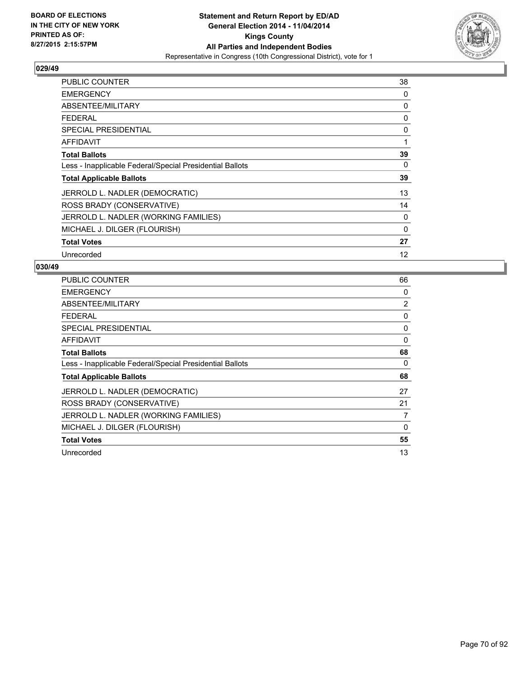

| <b>PUBLIC COUNTER</b>                                    | 38 |
|----------------------------------------------------------|----|
| <b>EMERGENCY</b>                                         | 0  |
| ABSENTEE/MILITARY                                        | 0  |
| <b>FEDERAL</b>                                           | 0  |
| <b>SPECIAL PRESIDENTIAL</b>                              | 0  |
| <b>AFFIDAVIT</b>                                         | 1  |
| <b>Total Ballots</b>                                     | 39 |
| Less - Inapplicable Federal/Special Presidential Ballots | 0  |
| <b>Total Applicable Ballots</b>                          | 39 |
| JERROLD L. NADLER (DEMOCRATIC)                           | 13 |
| ROSS BRADY (CONSERVATIVE)                                | 14 |
| JERROLD L. NADLER (WORKING FAMILIES)                     | 0  |
| MICHAEL J. DILGER (FLOURISH)                             | 0  |
| <b>Total Votes</b>                                       | 27 |
| Unrecorded                                               | 12 |

| PUBLIC COUNTER                                           | 66          |
|----------------------------------------------------------|-------------|
| <b>EMERGENCY</b>                                         | 0           |
| ABSENTEE/MILITARY                                        | 2           |
| <b>FEDERAL</b>                                           | 0           |
| <b>SPECIAL PRESIDENTIAL</b>                              | 0           |
| AFFIDAVIT                                                | 0           |
| <b>Total Ballots</b>                                     | 68          |
| Less - Inapplicable Federal/Special Presidential Ballots | 0           |
| <b>Total Applicable Ballots</b>                          | 68          |
| JERROLD L. NADLER (DEMOCRATIC)                           | 27          |
| ROSS BRADY (CONSERVATIVE)                                | 21          |
| JERROLD L. NADLER (WORKING FAMILIES)                     | 7           |
| MICHAEL J. DILGER (FLOURISH)                             | $\mathbf 0$ |
| <b>Total Votes</b>                                       | 55          |
| Unrecorded                                               | 13          |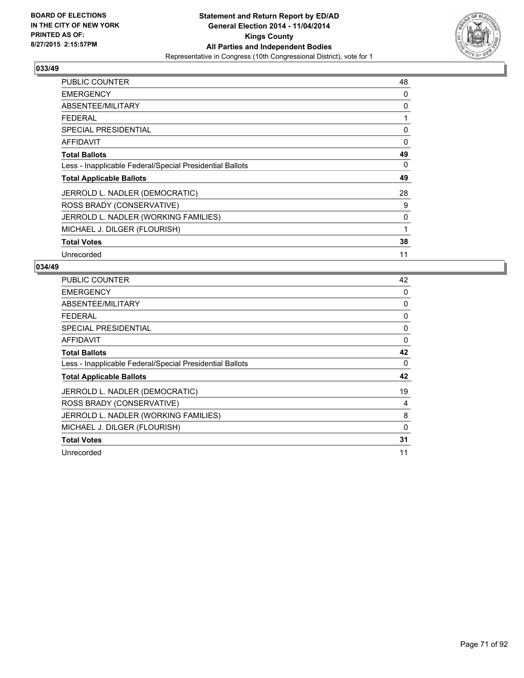

| <b>PUBLIC COUNTER</b>                                    | 48 |
|----------------------------------------------------------|----|
| <b>EMERGENCY</b>                                         | 0  |
| ABSENTEE/MILITARY                                        | 0  |
| FEDERAL                                                  | 1  |
| <b>SPECIAL PRESIDENTIAL</b>                              | 0  |
| <b>AFFIDAVIT</b>                                         | 0  |
| <b>Total Ballots</b>                                     | 49 |
| Less - Inapplicable Federal/Special Presidential Ballots | 0  |
| <b>Total Applicable Ballots</b>                          | 49 |
| JERROLD L. NADLER (DEMOCRATIC)                           | 28 |
| ROSS BRADY (CONSERVATIVE)                                | 9  |
| JERROLD L. NADLER (WORKING FAMILIES)                     | 0  |
| MICHAEL J. DILGER (FLOURISH)                             | 1  |
| <b>Total Votes</b>                                       | 38 |
| Unrecorded                                               | 11 |

| <b>PUBLIC COUNTER</b>                                    | 42 |
|----------------------------------------------------------|----|
| <b>EMERGENCY</b>                                         | 0  |
| ABSENTEE/MILITARY                                        | 0  |
| <b>FEDERAL</b>                                           | 0  |
| SPECIAL PRESIDENTIAL                                     | 0  |
| <b>AFFIDAVIT</b>                                         | 0  |
| <b>Total Ballots</b>                                     | 42 |
| Less - Inapplicable Federal/Special Presidential Ballots | 0  |
| <b>Total Applicable Ballots</b>                          | 42 |
| JERROLD L. NADLER (DEMOCRATIC)                           | 19 |
| ROSS BRADY (CONSERVATIVE)                                | 4  |
| JERROLD L. NADLER (WORKING FAMILIES)                     | 8  |
| MICHAEL J. DILGER (FLOURISH)                             | 0  |
| <b>Total Votes</b>                                       | 31 |
| Unrecorded                                               | 11 |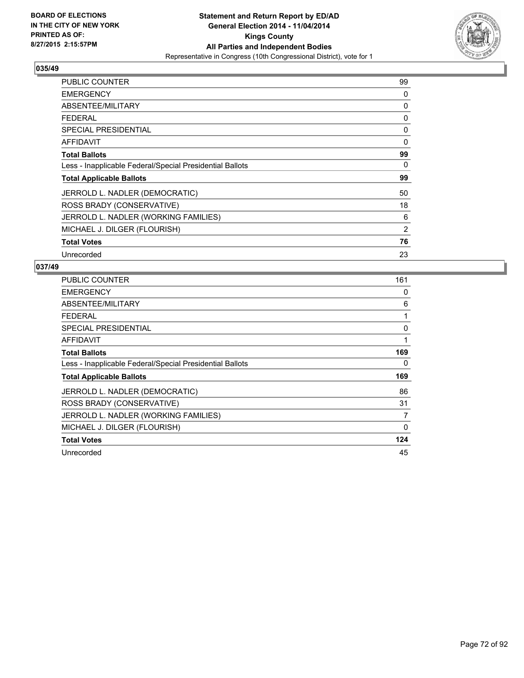

| <b>PUBLIC COUNTER</b>                                    | 99       |
|----------------------------------------------------------|----------|
| <b>EMERGENCY</b>                                         | 0        |
| ABSENTEE/MILITARY                                        | 0        |
| <b>FEDERAL</b>                                           | 0        |
| <b>SPECIAL PRESIDENTIAL</b>                              | 0        |
| AFFIDAVIT                                                | $\Omega$ |
| <b>Total Ballots</b>                                     | 99       |
| Less - Inapplicable Federal/Special Presidential Ballots | 0        |
| <b>Total Applicable Ballots</b>                          | 99       |
| JERROLD L. NADLER (DEMOCRATIC)                           | 50       |
| ROSS BRADY (CONSERVATIVE)                                | 18       |
| JERROLD L. NADLER (WORKING FAMILIES)                     | 6        |
| MICHAEL J. DILGER (FLOURISH)                             | 2        |
| <b>Total Votes</b>                                       | 76       |
| Unrecorded                                               | 23       |

| <b>PUBLIC COUNTER</b>                                    | 161      |
|----------------------------------------------------------|----------|
| <b>EMERGENCY</b>                                         | 0        |
| ABSENTEE/MILITARY                                        | 6        |
| <b>FEDERAL</b>                                           | 1        |
| <b>SPECIAL PRESIDENTIAL</b>                              | 0        |
| <b>AFFIDAVIT</b>                                         | 1        |
| <b>Total Ballots</b>                                     | 169      |
| Less - Inapplicable Federal/Special Presidential Ballots | 0        |
| <b>Total Applicable Ballots</b>                          | 169      |
| JERROLD L. NADLER (DEMOCRATIC)                           | 86       |
| ROSS BRADY (CONSERVATIVE)                                | 31       |
| JERROLD L. NADLER (WORKING FAMILIES)                     | 7        |
| MICHAEL J. DILGER (FLOURISH)                             | $\Omega$ |
| <b>Total Votes</b>                                       | 124      |
| Unrecorded                                               | 45       |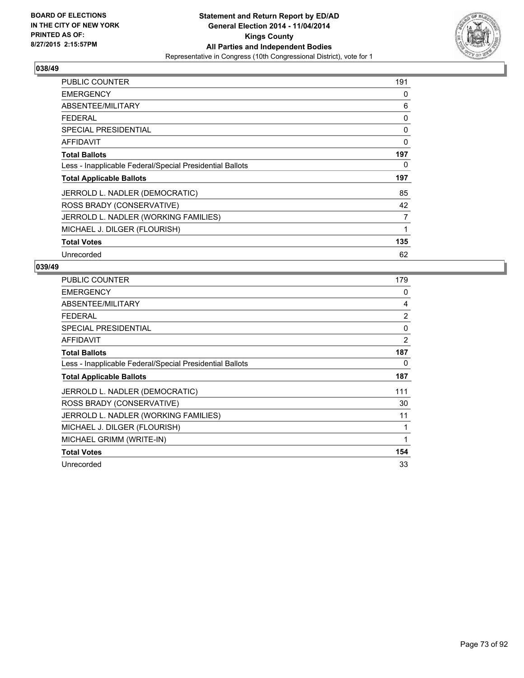

| <b>PUBLIC COUNTER</b>                                    | 191 |
|----------------------------------------------------------|-----|
| <b>EMERGENCY</b>                                         | 0   |
| ABSENTEE/MILITARY                                        | 6   |
| <b>FEDERAL</b>                                           | 0   |
| <b>SPECIAL PRESIDENTIAL</b>                              | 0   |
| <b>AFFIDAVIT</b>                                         | 0   |
| <b>Total Ballots</b>                                     | 197 |
| Less - Inapplicable Federal/Special Presidential Ballots | 0   |
| <b>Total Applicable Ballots</b>                          | 197 |
| JERROLD L. NADLER (DEMOCRATIC)                           | 85  |
| ROSS BRADY (CONSERVATIVE)                                | 42  |
| JERROLD L. NADLER (WORKING FAMILIES)                     | 7   |
| MICHAEL J. DILGER (FLOURISH)                             | 1   |
| <b>Total Votes</b>                                       | 135 |
| Unrecorded                                               | 62  |

| <b>PUBLIC COUNTER</b>                                    | 179            |
|----------------------------------------------------------|----------------|
| <b>EMERGENCY</b>                                         | 0              |
| ABSENTEE/MILITARY                                        | 4              |
| <b>FEDERAL</b>                                           | $\overline{2}$ |
| <b>SPECIAL PRESIDENTIAL</b>                              | 0              |
| <b>AFFIDAVIT</b>                                         | 2              |
| <b>Total Ballots</b>                                     | 187            |
| Less - Inapplicable Federal/Special Presidential Ballots | 0              |
| <b>Total Applicable Ballots</b>                          | 187            |
| JERROLD L. NADLER (DEMOCRATIC)                           | 111            |
| ROSS BRADY (CONSERVATIVE)                                | 30             |
| JERROLD L. NADLER (WORKING FAMILIES)                     | 11             |
| MICHAEL J. DILGER (FLOURISH)                             | 1              |
| MICHAEL GRIMM (WRITE-IN)                                 | 1              |
| <b>Total Votes</b>                                       | 154            |
| Unrecorded                                               |                |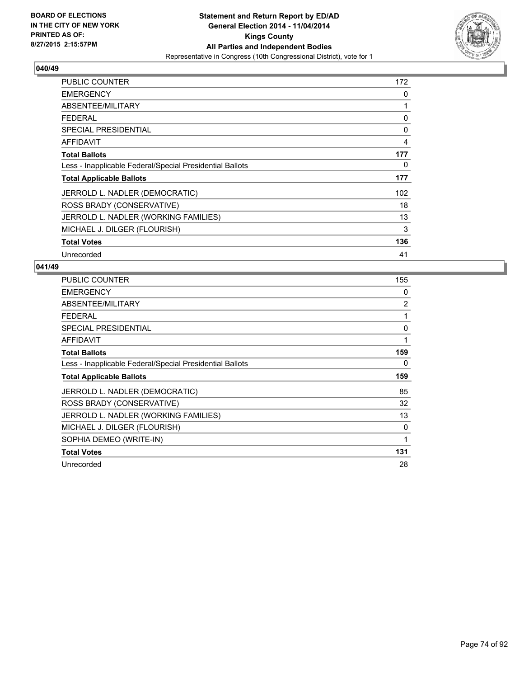

| PUBLIC COUNTER                                           | 172 |
|----------------------------------------------------------|-----|
| <b>EMERGENCY</b>                                         | 0   |
| ABSENTEE/MILITARY                                        | 1   |
| <b>FEDERAL</b>                                           | 0   |
| <b>SPECIAL PRESIDENTIAL</b>                              | 0   |
| <b>AFFIDAVIT</b>                                         | 4   |
| <b>Total Ballots</b>                                     | 177 |
| Less - Inapplicable Federal/Special Presidential Ballots | 0   |
| <b>Total Applicable Ballots</b>                          | 177 |
| JERROLD L. NADLER (DEMOCRATIC)                           | 102 |
| ROSS BRADY (CONSERVATIVE)                                | 18  |
| JERROLD L. NADLER (WORKING FAMILIES)                     | 13  |
| MICHAEL J. DILGER (FLOURISH)                             | 3   |
| <b>Total Votes</b>                                       | 136 |
| Unrecorded                                               | 41  |

| <b>PUBLIC COUNTER</b>                                    | 155 |
|----------------------------------------------------------|-----|
| <b>EMERGENCY</b>                                         | 0   |
| ABSENTEE/MILITARY                                        | 2   |
| <b>FEDERAL</b>                                           | 1   |
| <b>SPECIAL PRESIDENTIAL</b>                              | 0   |
| <b>AFFIDAVIT</b>                                         | 1   |
| <b>Total Ballots</b>                                     | 159 |
| Less - Inapplicable Federal/Special Presidential Ballots | 0   |
| <b>Total Applicable Ballots</b>                          | 159 |
| JERROLD L. NADLER (DEMOCRATIC)                           | 85  |
| ROSS BRADY (CONSERVATIVE)                                | 32  |
| JERROLD L. NADLER (WORKING FAMILIES)                     | 13  |
| MICHAEL J. DILGER (FLOURISH)                             | 0   |
| SOPHIA DEMEO (WRITE-IN)                                  | 1   |
| <b>Total Votes</b>                                       | 131 |
|                                                          |     |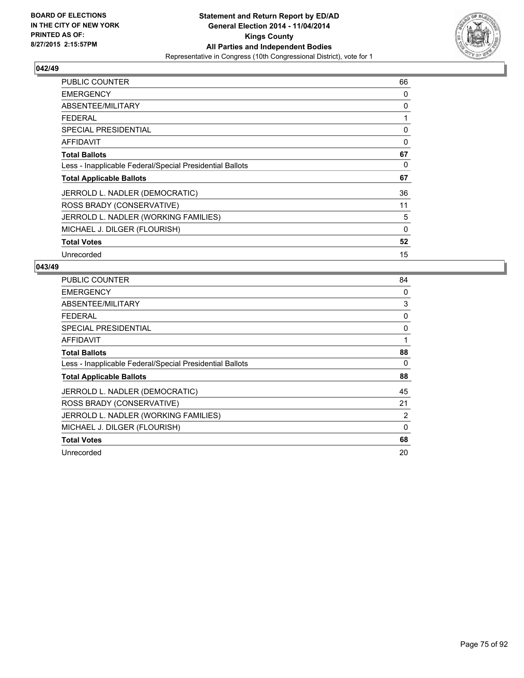

| <b>PUBLIC COUNTER</b>                                    | 66 |
|----------------------------------------------------------|----|
| <b>EMERGENCY</b>                                         | 0  |
| ABSENTEE/MILITARY                                        | 0  |
| <b>FEDERAL</b>                                           | 1  |
| SPECIAL PRESIDENTIAL                                     | 0  |
| <b>AFFIDAVIT</b>                                         | 0  |
| <b>Total Ballots</b>                                     | 67 |
| Less - Inapplicable Federal/Special Presidential Ballots | 0  |
| <b>Total Applicable Ballots</b>                          | 67 |
| JERROLD L. NADLER (DEMOCRATIC)                           | 36 |
| ROSS BRADY (CONSERVATIVE)                                | 11 |
| JERROLD L. NADLER (WORKING FAMILIES)                     | 5  |
| MICHAEL J. DILGER (FLOURISH)                             | 0  |
| <b>Total Votes</b>                                       | 52 |
| Unrecorded                                               | 15 |

| <b>PUBLIC COUNTER</b>                                    | 84 |
|----------------------------------------------------------|----|
| <b>EMERGENCY</b>                                         | 0  |
| ABSENTEE/MILITARY                                        | 3  |
| <b>FEDERAL</b>                                           | 0  |
| <b>SPECIAL PRESIDENTIAL</b>                              | 0  |
| AFFIDAVIT                                                | 1  |
| <b>Total Ballots</b>                                     | 88 |
| Less - Inapplicable Federal/Special Presidential Ballots | 0  |
| <b>Total Applicable Ballots</b>                          | 88 |
| JERROLD L. NADLER (DEMOCRATIC)                           | 45 |
| ROSS BRADY (CONSERVATIVE)                                | 21 |
| JERROLD L. NADLER (WORKING FAMILIES)                     | 2  |
| MICHAEL J. DILGER (FLOURISH)                             | 0  |
| <b>Total Votes</b>                                       | 68 |
| Unrecorded                                               | 20 |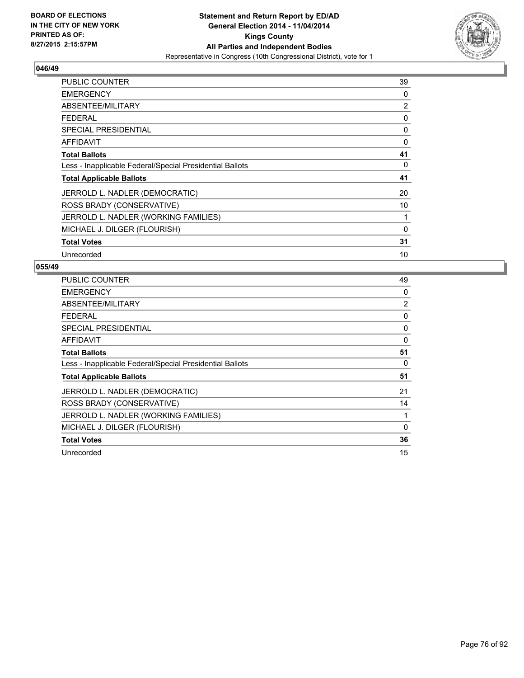

| <b>PUBLIC COUNTER</b>                                    | 39 |
|----------------------------------------------------------|----|
| <b>EMERGENCY</b>                                         | 0  |
| ABSENTEE/MILITARY                                        | 2  |
| FEDERAL                                                  | 0  |
| <b>SPECIAL PRESIDENTIAL</b>                              | 0  |
| <b>AFFIDAVIT</b>                                         | 0  |
| <b>Total Ballots</b>                                     | 41 |
| Less - Inapplicable Federal/Special Presidential Ballots | 0  |
| <b>Total Applicable Ballots</b>                          | 41 |
| JERROLD L. NADLER (DEMOCRATIC)                           | 20 |
| ROSS BRADY (CONSERVATIVE)                                | 10 |
| JERROLD L. NADLER (WORKING FAMILIES)                     | 1  |
| MICHAEL J. DILGER (FLOURISH)                             | 0  |
| <b>Total Votes</b>                                       | 31 |
| Unrecorded                                               | 10 |

| <b>PUBLIC COUNTER</b>                                    | 49 |
|----------------------------------------------------------|----|
| <b>EMERGENCY</b>                                         | 0  |
| ABSENTEE/MILITARY                                        | 2  |
| <b>FEDERAL</b>                                           | 0  |
| <b>SPECIAL PRESIDENTIAL</b>                              | 0  |
| <b>AFFIDAVIT</b>                                         | 0  |
| <b>Total Ballots</b>                                     | 51 |
| Less - Inapplicable Federal/Special Presidential Ballots | 0  |
| <b>Total Applicable Ballots</b>                          | 51 |
| JERROLD L. NADLER (DEMOCRATIC)                           | 21 |
| ROSS BRADY (CONSERVATIVE)                                | 14 |
| JERROLD L. NADLER (WORKING FAMILIES)                     | 1  |
| MICHAEL J. DILGER (FLOURISH)                             | 0  |
| <b>Total Votes</b>                                       | 36 |
| Unrecorded                                               | 15 |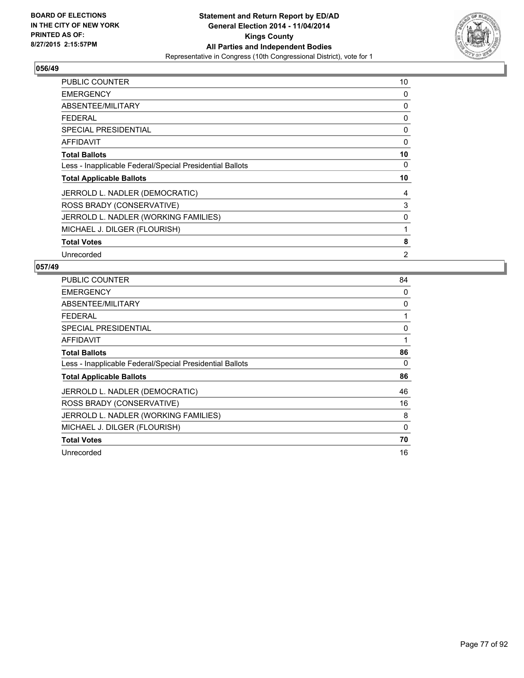

| <b>PUBLIC COUNTER</b>                                    | 10 |
|----------------------------------------------------------|----|
| <b>EMERGENCY</b>                                         | 0  |
| ABSENTEE/MILITARY                                        | 0  |
| <b>FEDERAL</b>                                           | 0  |
| <b>SPECIAL PRESIDENTIAL</b>                              | 0  |
| <b>AFFIDAVIT</b>                                         | 0  |
| <b>Total Ballots</b>                                     | 10 |
| Less - Inapplicable Federal/Special Presidential Ballots | 0  |
| <b>Total Applicable Ballots</b>                          | 10 |
| JERROLD L. NADLER (DEMOCRATIC)                           | 4  |
| ROSS BRADY (CONSERVATIVE)                                | 3  |
| JERROLD L. NADLER (WORKING FAMILIES)                     | 0  |
| MICHAEL J. DILGER (FLOURISH)                             | 1  |
| <b>Total Votes</b>                                       | 8  |
| Unrecorded                                               | 2  |

| PUBLIC COUNTER                                           | 84 |
|----------------------------------------------------------|----|
| <b>EMERGENCY</b>                                         | 0  |
| ABSENTEE/MILITARY                                        | 0  |
| <b>FEDERAL</b>                                           |    |
| <b>SPECIAL PRESIDENTIAL</b>                              | 0  |
| <b>AFFIDAVIT</b>                                         | 1  |
| <b>Total Ballots</b>                                     | 86 |
| Less - Inapplicable Federal/Special Presidential Ballots | 0  |
| <b>Total Applicable Ballots</b>                          | 86 |
| JERROLD L. NADLER (DEMOCRATIC)                           | 46 |
| ROSS BRADY (CONSERVATIVE)                                | 16 |
| JERROLD L. NADLER (WORKING FAMILIES)                     | 8  |
| MICHAEL J. DILGER (FLOURISH)                             | 0  |
| <b>Total Votes</b>                                       | 70 |
| Unrecorded                                               | 16 |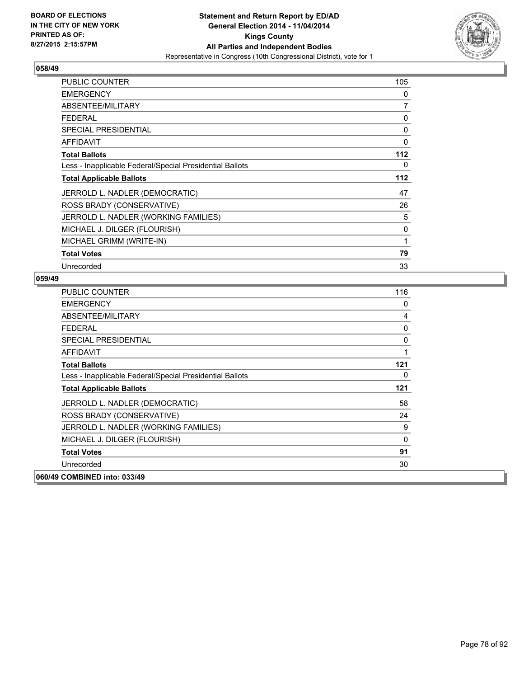

| PUBLIC COUNTER                                           | 105            |
|----------------------------------------------------------|----------------|
| <b>EMERGENCY</b>                                         | 0              |
| ABSENTEE/MILITARY                                        | $\overline{7}$ |
| <b>FEDERAL</b>                                           | 0              |
| <b>SPECIAL PRESIDENTIAL</b>                              | 0              |
| <b>AFFIDAVIT</b>                                         | $\mathbf 0$    |
| <b>Total Ballots</b>                                     | 112            |
| Less - Inapplicable Federal/Special Presidential Ballots | 0              |
| <b>Total Applicable Ballots</b>                          | 112            |
| JERROLD L. NADLER (DEMOCRATIC)                           | 47             |
| ROSS BRADY (CONSERVATIVE)                                | 26             |
| JERROLD L. NADLER (WORKING FAMILIES)                     | 5              |
| MICHAEL J. DILGER (FLOURISH)                             | 0              |
| MICHAEL GRIMM (WRITE-IN)                                 | 1              |
| <b>Total Votes</b>                                       | 79             |
| Unrecorded                                               | 33             |

| <b>PUBLIC COUNTER</b>                                    | 116 |
|----------------------------------------------------------|-----|
| <b>EMERGENCY</b>                                         | 0   |
| ABSENTEE/MILITARY                                        | 4   |
| <b>FFDFRAL</b>                                           | 0   |
| <b>SPECIAL PRESIDENTIAL</b>                              | 0   |
| AFFIDAVIT                                                | 1   |
| <b>Total Ballots</b>                                     | 121 |
| Less - Inapplicable Federal/Special Presidential Ballots | 0   |
| <b>Total Applicable Ballots</b>                          | 121 |
| JERROLD L. NADLER (DEMOCRATIC)                           | 58  |
| ROSS BRADY (CONSERVATIVE)                                | 24  |
| JERROLD L. NADLER (WORKING FAMILIES)                     | 9   |
| MICHAEL J. DILGER (FLOURISH)                             | 0   |
| <b>Total Votes</b>                                       | 91  |
| Unrecorded                                               | 30  |
| 060/49 COMBINED into: 033/49                             |     |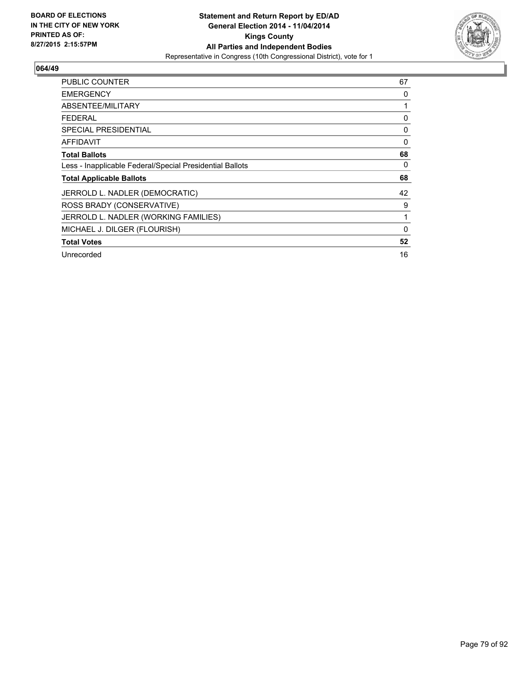

| PUBLIC COUNTER                                           | 67 |
|----------------------------------------------------------|----|
| <b>EMERGENCY</b>                                         | 0  |
| ABSENTEE/MILITARY                                        |    |
| <b>FEDERAL</b>                                           | 0  |
| <b>SPECIAL PRESIDENTIAL</b>                              | 0  |
| AFFIDAVIT                                                | 0  |
| <b>Total Ballots</b>                                     | 68 |
| Less - Inapplicable Federal/Special Presidential Ballots | 0  |
| <b>Total Applicable Ballots</b>                          | 68 |
| JERROLD L. NADLER (DEMOCRATIC)                           | 42 |
| ROSS BRADY (CONSERVATIVE)                                | 9  |
| JERROLD L. NADLER (WORKING FAMILIES)                     | 1  |
| MICHAEL J. DILGER (FLOURISH)                             | 0  |
| <b>Total Votes</b>                                       | 52 |
| Unrecorded                                               | 16 |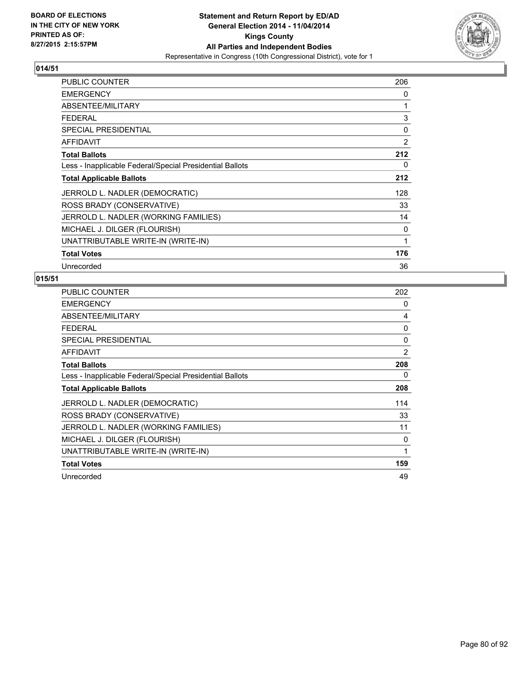

| <b>PUBLIC COUNTER</b>                                    | 206            |
|----------------------------------------------------------|----------------|
| <b>EMERGENCY</b>                                         | 0              |
| ABSENTEE/MILITARY                                        | 1              |
| <b>FEDERAL</b>                                           | 3              |
| <b>SPECIAL PRESIDENTIAL</b>                              | 0              |
| <b>AFFIDAVIT</b>                                         | $\overline{2}$ |
| <b>Total Ballots</b>                                     | 212            |
| Less - Inapplicable Federal/Special Presidential Ballots | 0              |
| <b>Total Applicable Ballots</b>                          | 212            |
| JERROLD L. NADLER (DEMOCRATIC)                           | 128            |
| ROSS BRADY (CONSERVATIVE)                                | 33             |
| JERROLD L. NADLER (WORKING FAMILIES)                     | 14             |
| MICHAEL J. DILGER (FLOURISH)                             | 0              |
| UNATTRIBUTABLE WRITE-IN (WRITE-IN)                       | 1              |
| <b>Total Votes</b>                                       | 176            |
| Unrecorded                                               | 36             |

| <b>PUBLIC COUNTER</b>                                    | 202          |
|----------------------------------------------------------|--------------|
| <b>EMERGENCY</b>                                         | 0            |
| ABSENTEE/MILITARY                                        | 4            |
| <b>FEDERAL</b>                                           | 0            |
| <b>SPECIAL PRESIDENTIAL</b>                              | 0            |
| <b>AFFIDAVIT</b>                                         | 2            |
| <b>Total Ballots</b>                                     | 208          |
| Less - Inapplicable Federal/Special Presidential Ballots | 0            |
| <b>Total Applicable Ballots</b>                          | 208          |
| JERROLD L. NADLER (DEMOCRATIC)                           | 114          |
| ROSS BRADY (CONSERVATIVE)                                | 33           |
| JERROLD L. NADLER (WORKING FAMILIES)                     | 11           |
| MICHAEL J. DILGER (FLOURISH)                             | 0            |
| UNATTRIBUTABLE WRITE-IN (WRITE-IN)                       | $\mathbf{1}$ |
| <b>Total Votes</b>                                       | 159          |
| Unrecorded                                               | 49           |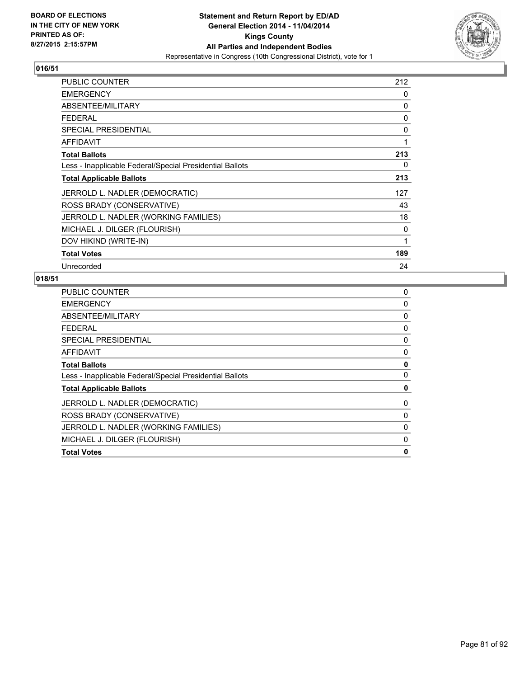

| <b>PUBLIC COUNTER</b>                                    | 212 |
|----------------------------------------------------------|-----|
| <b>EMERGENCY</b>                                         | 0   |
| ABSENTEE/MILITARY                                        | 0   |
| <b>FEDERAL</b>                                           | 0   |
| <b>SPECIAL PRESIDENTIAL</b>                              | 0   |
| <b>AFFIDAVIT</b>                                         | 1   |
| <b>Total Ballots</b>                                     | 213 |
| Less - Inapplicable Federal/Special Presidential Ballots | 0   |
| <b>Total Applicable Ballots</b>                          | 213 |
| JERROLD L. NADLER (DEMOCRATIC)                           | 127 |
| ROSS BRADY (CONSERVATIVE)                                | 43  |
| JERROLD L. NADLER (WORKING FAMILIES)                     | 18  |
| MICHAEL J. DILGER (FLOURISH)                             | 0   |
| DOV HIKIND (WRITE-IN)                                    | 1   |
| <b>Total Votes</b>                                       | 189 |
| Unrecorded                                               | 24  |

| 0 |
|---|
| 0 |
| 0 |
| 0 |
| 0 |
| 0 |
| 0 |
| 0 |
| 0 |
| 0 |
| 0 |
| 0 |
| 0 |
| 0 |
|   |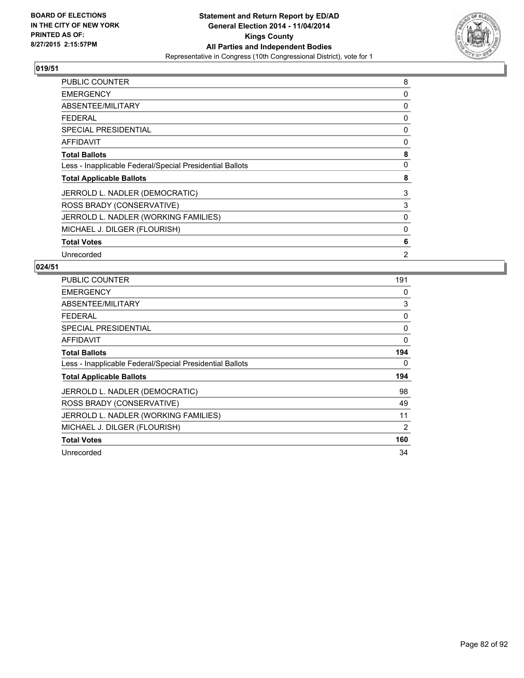

| PUBLIC COUNTER                                           | 8 |
|----------------------------------------------------------|---|
| <b>EMERGENCY</b>                                         | 0 |
| ABSENTEE/MILITARY                                        | 0 |
| <b>FEDERAL</b>                                           | 0 |
| <b>SPECIAL PRESIDENTIAL</b>                              | 0 |
| <b>AFFIDAVIT</b>                                         | 0 |
| <b>Total Ballots</b>                                     | 8 |
| Less - Inapplicable Federal/Special Presidential Ballots | 0 |
| <b>Total Applicable Ballots</b>                          | 8 |
| JERROLD L. NADLER (DEMOCRATIC)                           | 3 |
| ROSS BRADY (CONSERVATIVE)                                | 3 |
| JERROLD L. NADLER (WORKING FAMILIES)                     | 0 |
| MICHAEL J. DILGER (FLOURISH)                             | 0 |
| <b>Total Votes</b>                                       | 6 |
| Unrecorded                                               | 2 |

| <b>PUBLIC COUNTER</b>                                    | 191 |
|----------------------------------------------------------|-----|
| <b>EMERGENCY</b>                                         | 0   |
| ABSENTEE/MILITARY                                        | 3   |
| <b>FEDERAL</b>                                           | 0   |
| SPECIAL PRESIDENTIAL                                     | 0   |
| AFFIDAVIT                                                | 0   |
| <b>Total Ballots</b>                                     | 194 |
| Less - Inapplicable Federal/Special Presidential Ballots | 0   |
| <b>Total Applicable Ballots</b>                          | 194 |
| JERROLD L. NADLER (DEMOCRATIC)                           | 98  |
| ROSS BRADY (CONSERVATIVE)                                | 49  |
| JERROLD L. NADLER (WORKING FAMILIES)                     | 11  |
| MICHAEL J. DILGER (FLOURISH)                             | 2   |
| <b>Total Votes</b>                                       | 160 |
| Unrecorded                                               | 34  |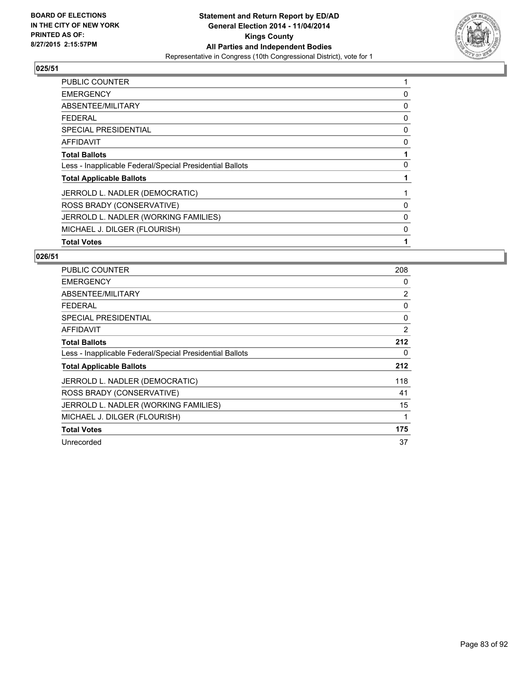

| <b>PUBLIC COUNTER</b>                                    | 1 |
|----------------------------------------------------------|---|
| <b>EMERGENCY</b>                                         | 0 |
| ABSENTEE/MILITARY                                        | 0 |
| FEDERAL                                                  | 0 |
| <b>SPECIAL PRESIDENTIAL</b>                              | 0 |
| <b>AFFIDAVIT</b>                                         | 0 |
| <b>Total Ballots</b>                                     | 1 |
| Less - Inapplicable Federal/Special Presidential Ballots | 0 |
| <b>Total Applicable Ballots</b>                          | 1 |
| JERROLD L. NADLER (DEMOCRATIC)                           |   |
| ROSS BRADY (CONSERVATIVE)                                | 0 |
| JERROLD L. NADLER (WORKING FAMILIES)                     | 0 |
| MICHAEL J. DILGER (FLOURISH)                             | 0 |
| <b>Total Votes</b>                                       | 1 |

| <b>PUBLIC COUNTER</b>                                    | 208 |
|----------------------------------------------------------|-----|
| <b>EMERGENCY</b>                                         | 0   |
| ABSENTEE/MILITARY                                        | 2   |
| <b>FEDERAL</b>                                           | 0   |
| SPECIAL PRESIDENTIAL                                     | 0   |
| <b>AFFIDAVIT</b>                                         | 2   |
| <b>Total Ballots</b>                                     | 212 |
| Less - Inapplicable Federal/Special Presidential Ballots | 0   |
| <b>Total Applicable Ballots</b>                          | 212 |
| JERROLD L. NADLER (DEMOCRATIC)                           | 118 |
| ROSS BRADY (CONSERVATIVE)                                | 41  |
| JERROLD L. NADLER (WORKING FAMILIES)                     | 15  |
| MICHAEL J. DILGER (FLOURISH)                             | 1   |
| <b>Total Votes</b>                                       | 175 |
| Unrecorded                                               | 37  |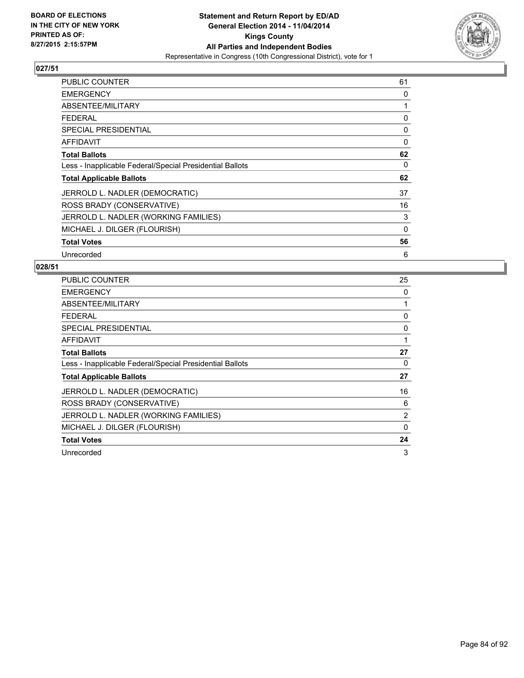

| <b>PUBLIC COUNTER</b>                                    | 61          |
|----------------------------------------------------------|-------------|
| <b>EMERGENCY</b>                                         | 0           |
| ABSENTEE/MILITARY                                        | 1           |
| <b>FEDERAL</b>                                           | 0           |
| <b>SPECIAL PRESIDENTIAL</b>                              | 0           |
| AFFIDAVIT                                                | 0           |
| <b>Total Ballots</b>                                     | 62          |
| Less - Inapplicable Federal/Special Presidential Ballots | 0           |
| <b>Total Applicable Ballots</b>                          | 62          |
| JERROLD L. NADLER (DEMOCRATIC)                           | 37          |
| ROSS BRADY (CONSERVATIVE)                                | 16          |
| JERROLD L. NADLER (WORKING FAMILIES)                     | 3           |
| MICHAEL J. DILGER (FLOURISH)                             | $\mathbf 0$ |
| <b>Total Votes</b>                                       | 56          |
| Unrecorded                                               | 6           |

| <b>PUBLIC COUNTER</b>                                    | 25       |
|----------------------------------------------------------|----------|
| <b>EMERGENCY</b>                                         | 0        |
| ABSENTEE/MILITARY                                        |          |
| <b>FEDERAL</b>                                           | 0        |
| <b>SPECIAL PRESIDENTIAL</b>                              | 0        |
| AFFIDAVIT                                                | 1        |
| <b>Total Ballots</b>                                     | 27       |
| Less - Inapplicable Federal/Special Presidential Ballots | 0        |
| <b>Total Applicable Ballots</b>                          | 27       |
| JERROLD L. NADLER (DEMOCRATIC)                           | 16       |
| ROSS BRADY (CONSERVATIVE)                                | 6        |
| JERROLD L. NADLER (WORKING FAMILIES)                     | 2        |
| MICHAEL J. DILGER (FLOURISH)                             | $\Omega$ |
| <b>Total Votes</b>                                       | 24       |
| Unrecorded                                               | 3        |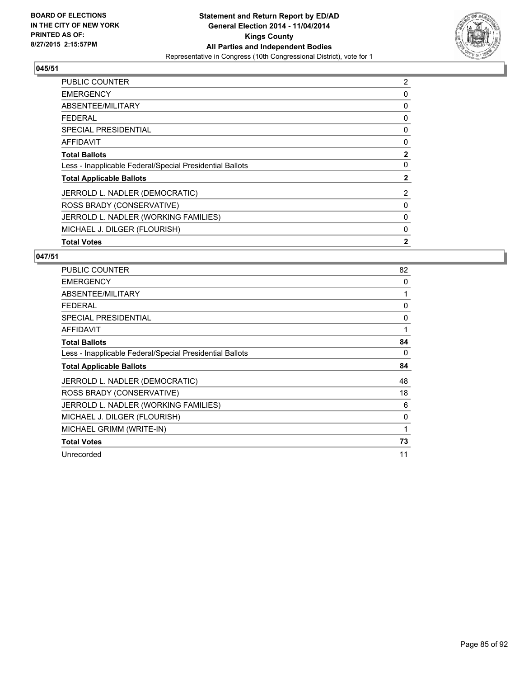

| PUBLIC COUNTER                                           | 2            |
|----------------------------------------------------------|--------------|
| <b>EMERGENCY</b>                                         | 0            |
| ABSENTEE/MILITARY                                        | 0            |
| <b>FEDERAL</b>                                           | 0            |
| SPECIAL PRESIDENTIAL                                     | 0            |
| <b>AFFIDAVIT</b>                                         | 0            |
| <b>Total Ballots</b>                                     | $\mathbf{2}$ |
| Less - Inapplicable Federal/Special Presidential Ballots | 0            |
| <b>Total Applicable Ballots</b>                          | 2            |
| JERROLD L. NADLER (DEMOCRATIC)                           | 2            |
| ROSS BRADY (CONSERVATIVE)                                | 0            |
| JERROLD L. NADLER (WORKING FAMILIES)                     | 0            |
| MICHAEL J. DILGER (FLOURISH)                             | 0            |
| <b>Total Votes</b>                                       | $\mathbf{2}$ |

| <b>PUBLIC COUNTER</b>                                    | 82 |
|----------------------------------------------------------|----|
| <b>EMERGENCY</b>                                         | 0  |
| ABSENTEE/MILITARY                                        |    |
| <b>FEDERAL</b>                                           | 0  |
| <b>SPECIAL PRESIDENTIAL</b>                              | 0  |
| AFFIDAVIT                                                | 1  |
| <b>Total Ballots</b>                                     | 84 |
| Less - Inapplicable Federal/Special Presidential Ballots | 0  |
| <b>Total Applicable Ballots</b>                          | 84 |
| JERROLD L. NADLER (DEMOCRATIC)                           | 48 |
| ROSS BRADY (CONSERVATIVE)                                | 18 |
| JERROLD L. NADLER (WORKING FAMILIES)                     | 6  |
| MICHAEL J. DILGER (FLOURISH)                             | 0  |
| MICHAEL GRIMM (WRITE-IN)                                 | 1  |
| <b>Total Votes</b>                                       | 73 |
| Unrecorded                                               | 11 |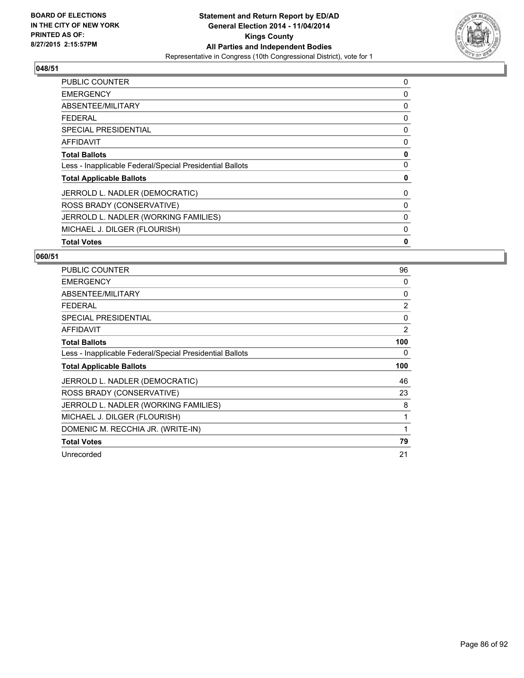

| <b>PUBLIC COUNTER</b>                                    | 0 |
|----------------------------------------------------------|---|
| <b>EMERGENCY</b>                                         | 0 |
| ABSENTEE/MILITARY                                        | 0 |
| <b>FEDERAL</b>                                           | 0 |
| <b>SPECIAL PRESIDENTIAL</b>                              | 0 |
| <b>AFFIDAVIT</b>                                         | 0 |
| <b>Total Ballots</b>                                     | 0 |
| Less - Inapplicable Federal/Special Presidential Ballots | 0 |
| <b>Total Applicable Ballots</b>                          | 0 |
| JERROLD L. NADLER (DEMOCRATIC)                           | 0 |
| ROSS BRADY (CONSERVATIVE)                                | 0 |
| JERROLD L. NADLER (WORKING FAMILIES)                     | 0 |
| MICHAEL J. DILGER (FLOURISH)                             | 0 |
| <b>Total Votes</b>                                       | 0 |

| <b>PUBLIC COUNTER</b>                                    | 96             |
|----------------------------------------------------------|----------------|
| <b>EMERGENCY</b>                                         | 0              |
| ABSENTEE/MILITARY                                        | 0              |
| <b>FEDERAL</b>                                           | $\overline{2}$ |
| <b>SPECIAL PRESIDENTIAL</b>                              | 0              |
| <b>AFFIDAVIT</b>                                         | $\overline{2}$ |
| <b>Total Ballots</b>                                     | 100            |
| Less - Inapplicable Federal/Special Presidential Ballots | 0              |
|                                                          |                |
| <b>Total Applicable Ballots</b>                          | 100            |
| JERROLD L. NADLER (DEMOCRATIC)                           | 46             |
| ROSS BRADY (CONSERVATIVE)                                | 23             |
| JERROLD L. NADLER (WORKING FAMILIES)                     | 8              |
| MICHAEL J. DILGER (FLOURISH)                             | 1              |
| DOMENIC M. RECCHIA JR. (WRITE-IN)                        | 1              |
| <b>Total Votes</b>                                       | 79             |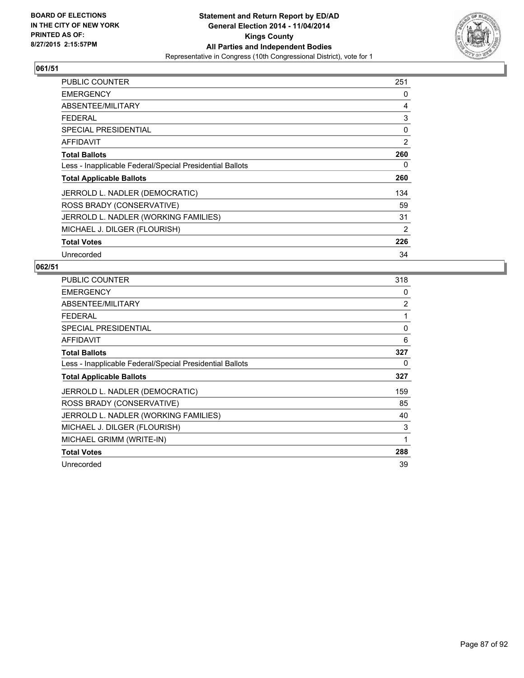

| <b>PUBLIC COUNTER</b>                                    | 251 |
|----------------------------------------------------------|-----|
| <b>EMERGENCY</b>                                         | 0   |
| ABSENTEE/MILITARY                                        | 4   |
| <b>FEDERAL</b>                                           | 3   |
| <b>SPECIAL PRESIDENTIAL</b>                              | 0   |
| <b>AFFIDAVIT</b>                                         | 2   |
| <b>Total Ballots</b>                                     | 260 |
| Less - Inapplicable Federal/Special Presidential Ballots | 0   |
| <b>Total Applicable Ballots</b>                          | 260 |
| JERROLD L. NADLER (DEMOCRATIC)                           | 134 |
| ROSS BRADY (CONSERVATIVE)                                | 59  |
| JERROLD L. NADLER (WORKING FAMILIES)                     | 31  |
| MICHAEL J. DILGER (FLOURISH)                             | 2   |
| <b>Total Votes</b>                                       | 226 |
| Unrecorded                                               | 34  |

| <b>PUBLIC COUNTER</b>                                    | 318 |
|----------------------------------------------------------|-----|
| <b>EMERGENCY</b>                                         | 0   |
| ABSENTEE/MILITARY                                        | 2   |
| <b>FEDERAL</b>                                           | 1   |
| <b>SPECIAL PRESIDENTIAL</b>                              | 0   |
| <b>AFFIDAVIT</b>                                         | 6   |
| <b>Total Ballots</b>                                     | 327 |
| Less - Inapplicable Federal/Special Presidential Ballots | 0   |
| <b>Total Applicable Ballots</b>                          | 327 |
| JERROLD L. NADLER (DEMOCRATIC)                           | 159 |
| ROSS BRADY (CONSERVATIVE)                                | 85  |
| JERROLD L. NADLER (WORKING FAMILIES)                     | 40  |
| MICHAEL J. DILGER (FLOURISH)                             | 3   |
| MICHAEL GRIMM (WRITE-IN)                                 | 1   |
| <b>Total Votes</b>                                       | 288 |
| Unrecorded                                               | 39  |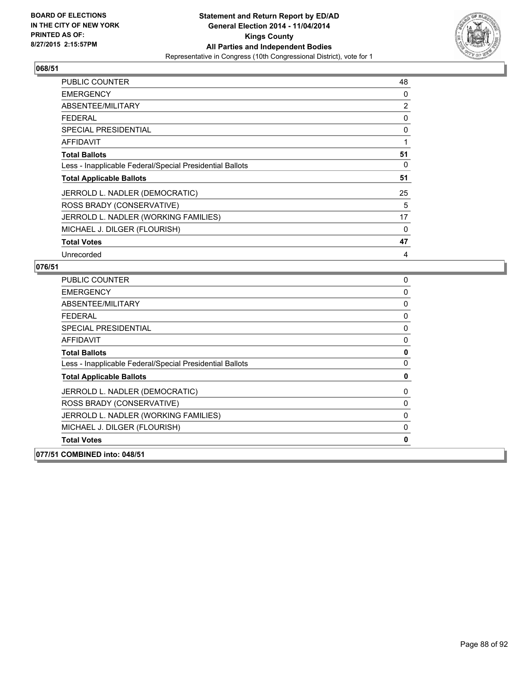

| PUBLIC COUNTER                                           | 48 |
|----------------------------------------------------------|----|
| <b>EMERGENCY</b>                                         | 0  |
| ABSENTEE/MILITARY                                        | 2  |
| <b>FEDERAL</b>                                           | 0  |
| <b>SPECIAL PRESIDENTIAL</b>                              | 0  |
| AFFIDAVIT                                                | 1  |
| <b>Total Ballots</b>                                     | 51 |
| Less - Inapplicable Federal/Special Presidential Ballots | 0  |
| <b>Total Applicable Ballots</b>                          | 51 |
| JERROLD L. NADLER (DEMOCRATIC)                           | 25 |
| ROSS BRADY (CONSERVATIVE)                                | 5  |
| JERROLD L. NADLER (WORKING FAMILIES)                     | 17 |
| MICHAEL J. DILGER (FLOURISH)                             | 0  |
| <b>Total Votes</b>                                       | 47 |
| Unrecorded                                               | 4  |

| 077/51 COMBINED into: 048/51                             |             |
|----------------------------------------------------------|-------------|
| <b>Total Votes</b>                                       | 0           |
| MICHAEL J. DILGER (FLOURISH)                             | $\Omega$    |
| JERROLD L. NADLER (WORKING FAMILIES)                     | 0           |
| ROSS BRADY (CONSERVATIVE)                                | 0           |
| JERROLD L. NADLER (DEMOCRATIC)                           | 0           |
| <b>Total Applicable Ballots</b>                          | 0           |
| Less - Inapplicable Federal/Special Presidential Ballots | 0           |
| <b>Total Ballots</b>                                     | $\mathbf 0$ |
| <b>AFFIDAVIT</b>                                         | 0           |
| SPECIAL PRESIDENTIAL                                     | 0           |
| <b>FEDERAL</b>                                           | 0           |
| ABSENTEE/MILITARY                                        | 0           |
| <b>EMERGENCY</b>                                         | 0           |
| <b>PUBLIC COUNTER</b>                                    | 0           |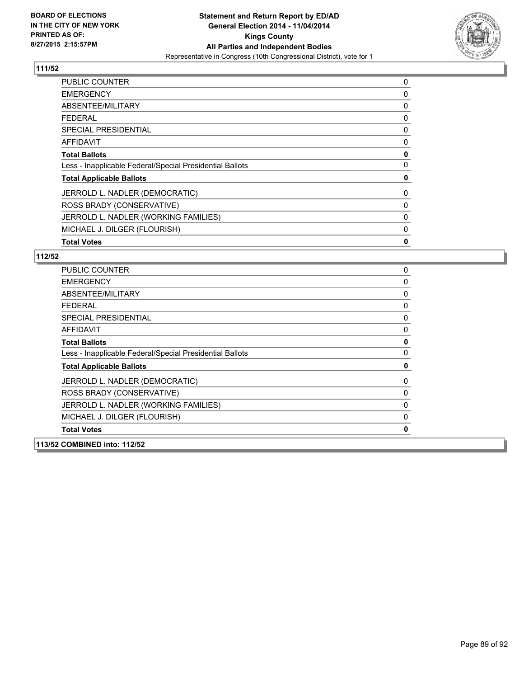

| <b>PUBLIC COUNTER</b>                                    | 0 |
|----------------------------------------------------------|---|
| <b>EMERGENCY</b>                                         | 0 |
| ABSENTEE/MILITARY                                        | 0 |
| <b>FEDERAL</b>                                           | 0 |
| <b>SPECIAL PRESIDENTIAL</b>                              | 0 |
| <b>AFFIDAVIT</b>                                         | 0 |
| <b>Total Ballots</b>                                     | 0 |
| Less - Inapplicable Federal/Special Presidential Ballots | 0 |
| <b>Total Applicable Ballots</b>                          | 0 |
| JERROLD L. NADLER (DEMOCRATIC)                           | 0 |
| ROSS BRADY (CONSERVATIVE)                                | 0 |
| JERROLD L. NADLER (WORKING FAMILIES)                     | 0 |
| MICHAEL J. DILGER (FLOURISH)                             | 0 |
| <b>Total Votes</b>                                       | 0 |

| <b>PUBLIC COUNTER</b>                                    | 0           |
|----------------------------------------------------------|-------------|
| <b>EMERGENCY</b>                                         | 0           |
| ABSENTEE/MILITARY                                        | 0           |
| <b>FEDERAL</b>                                           | 0           |
| <b>SPECIAL PRESIDENTIAL</b>                              | 0           |
| <b>AFFIDAVIT</b>                                         | 0           |
| <b>Total Ballots</b>                                     | 0           |
| Less - Inapplicable Federal/Special Presidential Ballots | $\mathbf 0$ |
| <b>Total Applicable Ballots</b>                          | 0           |
| JERROLD L. NADLER (DEMOCRATIC)                           | 0           |
| ROSS BRADY (CONSERVATIVE)                                | 0           |
| JERROLD L. NADLER (WORKING FAMILIES)                     | 0           |
| MICHAEL J. DILGER (FLOURISH)                             | 0           |
| <b>Total Votes</b>                                       | 0           |
| 113/52 COMBINED into: 112/52                             |             |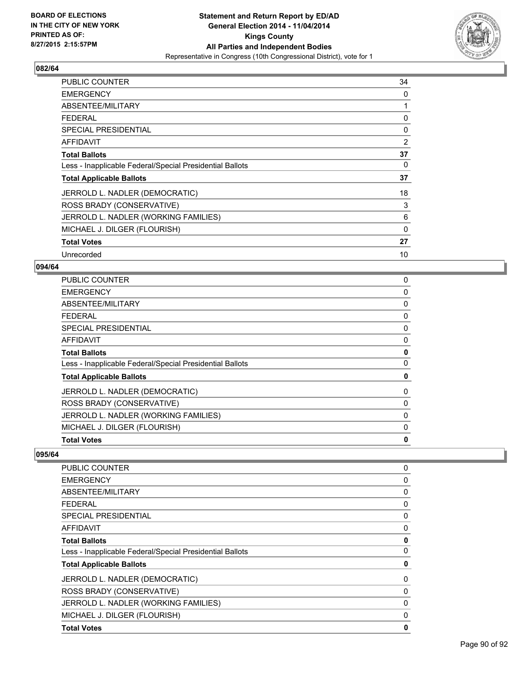

| PUBLIC COUNTER                                           | 34       |
|----------------------------------------------------------|----------|
| <b>EMERGENCY</b>                                         | 0        |
| ABSENTEE/MILITARY                                        | 1        |
| <b>FEDERAL</b>                                           | 0        |
| <b>SPECIAL PRESIDENTIAL</b>                              | 0        |
| <b>AFFIDAVIT</b>                                         | 2        |
| <b>Total Ballots</b>                                     | 37       |
| Less - Inapplicable Federal/Special Presidential Ballots | 0        |
| <b>Total Applicable Ballots</b>                          | 37       |
| JERROLD L. NADLER (DEMOCRATIC)                           | 18       |
| ROSS BRADY (CONSERVATIVE)                                | 3        |
| JERROLD L. NADLER (WORKING FAMILIES)                     | 6        |
| MICHAEL J. DILGER (FLOURISH)                             | $\Omega$ |
| <b>Total Votes</b>                                       | 27       |
| Unrecorded                                               | 10       |

### **094/64**

| <b>PUBLIC COUNTER</b>                                    | 0 |
|----------------------------------------------------------|---|
| <b>EMERGENCY</b>                                         | 0 |
| ABSENTEE/MILITARY                                        | 0 |
| <b>FEDERAL</b>                                           | 0 |
| <b>SPECIAL PRESIDENTIAL</b>                              | 0 |
| <b>AFFIDAVIT</b>                                         | 0 |
| <b>Total Ballots</b>                                     | 0 |
| Less - Inapplicable Federal/Special Presidential Ballots | 0 |
| <b>Total Applicable Ballots</b>                          | 0 |
| JERROLD L. NADLER (DEMOCRATIC)                           | 0 |
| ROSS BRADY (CONSERVATIVE)                                | 0 |
| JERROLD L. NADLER (WORKING FAMILIES)                     | 0 |
| MICHAEL J. DILGER (FLOURISH)                             | 0 |
| <b>Total Votes</b>                                       | 0 |

| PUBLIC COUNTER                                           | 0           |
|----------------------------------------------------------|-------------|
| <b>EMERGENCY</b>                                         | 0           |
| ABSENTEE/MILITARY                                        | 0           |
| <b>FEDERAL</b>                                           | 0           |
| <b>SPECIAL PRESIDENTIAL</b>                              | 0           |
| <b>AFFIDAVIT</b>                                         | 0           |
| <b>Total Ballots</b>                                     | $\mathbf 0$ |
| Less - Inapplicable Federal/Special Presidential Ballots | 0           |
| <b>Total Applicable Ballots</b>                          | 0           |
| JERROLD L. NADLER (DEMOCRATIC)                           | 0           |
| ROSS BRADY (CONSERVATIVE)                                | 0           |
| JERROLD L. NADLER (WORKING FAMILIES)                     | 0           |
| MICHAEL J. DILGER (FLOURISH)                             | 0           |
| <b>Total Votes</b>                                       | 0           |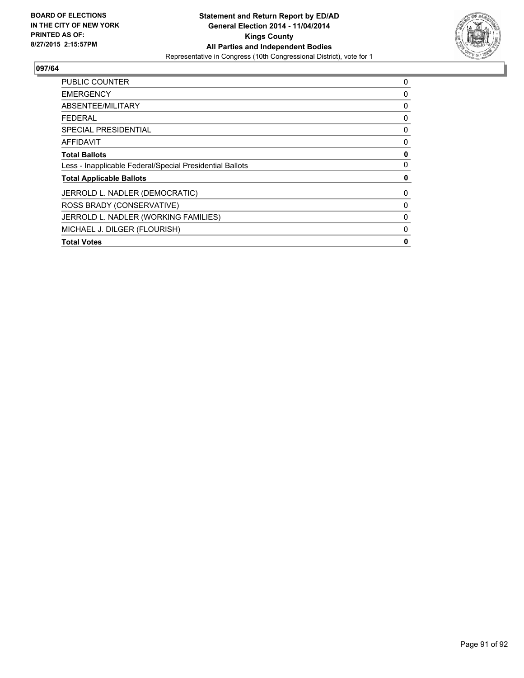

| <b>PUBLIC COUNTER</b>                                    | 0 |
|----------------------------------------------------------|---|
| <b>EMERGENCY</b>                                         | 0 |
| ABSENTEE/MILITARY                                        | 0 |
| <b>FEDERAL</b>                                           | 0 |
| SPECIAL PRESIDENTIAL                                     | 0 |
| AFFIDAVIT                                                | 0 |
| <b>Total Ballots</b>                                     | 0 |
| Less - Inapplicable Federal/Special Presidential Ballots | 0 |
| <b>Total Applicable Ballots</b>                          | 0 |
| JERROLD L. NADLER (DEMOCRATIC)                           | 0 |
| ROSS BRADY (CONSERVATIVE)                                | 0 |
| JERROLD L. NADLER (WORKING FAMILIES)                     | 0 |
| MICHAEL J. DILGER (FLOURISH)                             | 0 |
| <b>Total Votes</b>                                       | 0 |